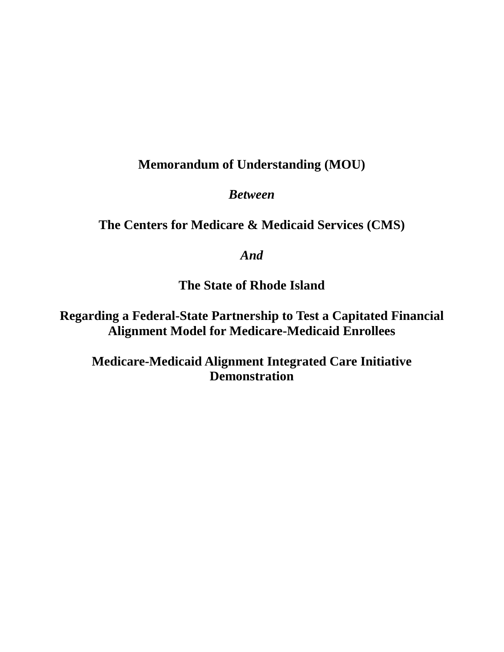# **Memorandum of Understanding (MOU)**

*Between*

**The Centers for Medicare & Medicaid Services (CMS)**

*And*

**The State of Rhode Island**

**Regarding a Federal-State Partnership to Test a Capitated Financial Alignment Model for Medicare-Medicaid Enrollees**

**Medicare-Medicaid Alignment Integrated Care Initiative Demonstration**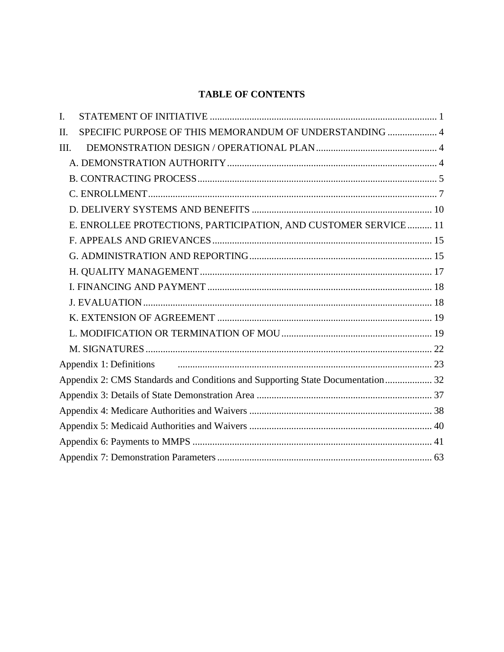## **TABLE OF CONTENTS**

| I.      |                                                                                |  |
|---------|--------------------------------------------------------------------------------|--|
| $\Pi$ . | SPECIFIC PURPOSE OF THIS MEMORANDUM OF UNDERSTANDING  4                        |  |
| III.    |                                                                                |  |
|         |                                                                                |  |
|         |                                                                                |  |
|         |                                                                                |  |
|         |                                                                                |  |
|         | E. ENROLLEE PROTECTIONS, PARTICIPATION, AND CUSTOMER SERVICE  11               |  |
|         |                                                                                |  |
|         |                                                                                |  |
|         |                                                                                |  |
|         |                                                                                |  |
|         |                                                                                |  |
|         |                                                                                |  |
|         |                                                                                |  |
|         |                                                                                |  |
|         |                                                                                |  |
|         | Appendix 2: CMS Standards and Conditions and Supporting State Documentation 32 |  |
|         |                                                                                |  |
|         |                                                                                |  |
|         |                                                                                |  |
|         |                                                                                |  |
|         |                                                                                |  |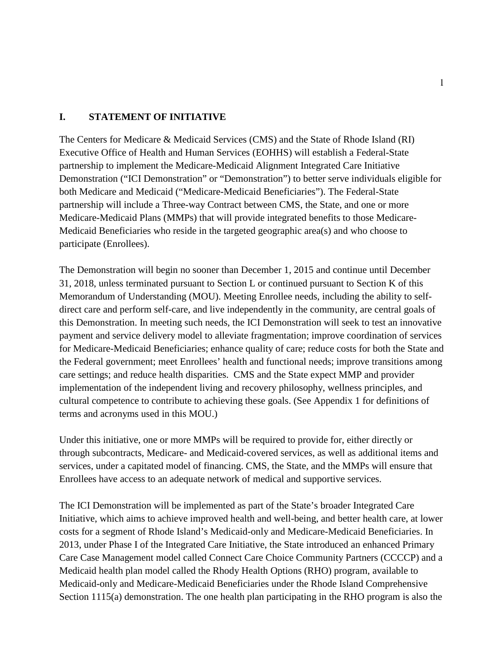#### <span id="page-2-0"></span>**I. STATEMENT OF INITIATIVE**

The Centers for Medicare & Medicaid Services (CMS) and the State of Rhode Island (RI) Executive Office of Health and Human Services (EOHHS) will establish a Federal-State partnership to implement the Medicare-Medicaid Alignment Integrated Care Initiative Demonstration ("ICI Demonstration" or "Demonstration") to better serve individuals eligible for both Medicare and Medicaid ("Medicare-Medicaid Beneficiaries"). The Federal-State partnership will include a Three-way Contract between CMS, the State, and one or more Medicare-Medicaid Plans (MMPs) that will provide integrated benefits to those Medicare-Medicaid Beneficiaries who reside in the targeted geographic area(s) and who choose to participate (Enrollees).

The Demonstration will begin no sooner than December 1, 2015 and continue until December 31, 2018, unless terminated pursuant to Section L or continued pursuant to Section K of this Memorandum of Understanding (MOU). Meeting Enrollee needs, including the ability to selfdirect care and perform self-care, and live independently in the community, are central goals of this Demonstration. In meeting such needs, the ICI Demonstration will seek to test an innovative payment and service delivery model to alleviate fragmentation; improve coordination of services for Medicare-Medicaid Beneficiaries; enhance quality of care; reduce costs for both the State and the Federal government; meet Enrollees' health and functional needs; improve transitions among care settings; and reduce health disparities. CMS and the State expect MMP and provider implementation of the independent living and recovery philosophy, wellness principles, and cultural competence to contribute to achieving these goals. (See Appendix 1 for definitions of terms and acronyms used in this MOU.)

Under this initiative, one or more MMPs will be required to provide for, either directly or through subcontracts, Medicare- and Medicaid-covered services, as well as additional items and services, under a capitated model of financing. CMS, the State, and the MMPs will ensure that Enrollees have access to an adequate network of medical and supportive services.

The ICI Demonstration will be implemented as part of the State's broader Integrated Care Initiative, which aims to achieve improved health and well-being, and better health care, at lower costs for a segment of Rhode Island's Medicaid-only and Medicare-Medicaid Beneficiaries. In 2013, under Phase I of the Integrated Care Initiative, the State introduced an enhanced Primary Care Case Management model called Connect Care Choice Community Partners (CCCCP) and a Medicaid health plan model called the Rhody Health Options (RHO) program, available to Medicaid-only and Medicare-Medicaid Beneficiaries under the Rhode Island Comprehensive Section 1115(a) demonstration. The one health plan participating in the RHO program is also the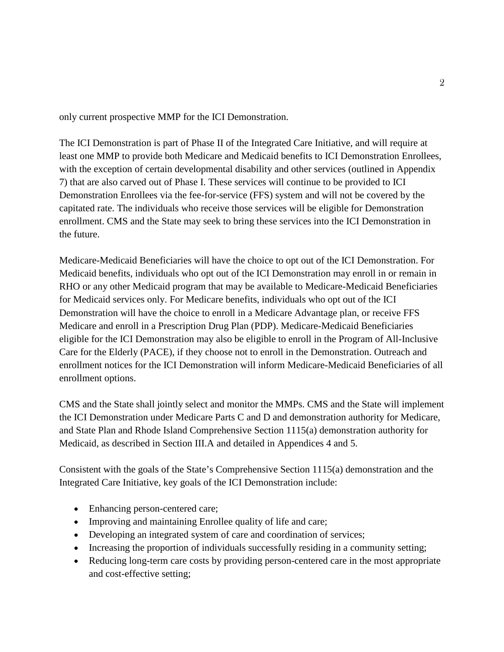only current prospective MMP for the ICI Demonstration.

The ICI Demonstration is part of Phase II of the Integrated Care Initiative, and will require at least one MMP to provide both Medicare and Medicaid benefits to ICI Demonstration Enrollees, with the exception of certain developmental disability and other services (outlined in Appendix 7) that are also carved out of Phase I. These services will continue to be provided to ICI Demonstration Enrollees via the fee-for-service (FFS) system and will not be covered by the capitated rate. The individuals who receive those services will be eligible for Demonstration enrollment. CMS and the State may seek to bring these services into the ICI Demonstration in the future.

Medicare-Medicaid Beneficiaries will have the choice to opt out of the ICI Demonstration. For Medicaid benefits, individuals who opt out of the ICI Demonstration may enroll in or remain in RHO or any other Medicaid program that may be available to Medicare-Medicaid Beneficiaries for Medicaid services only. For Medicare benefits, individuals who opt out of the ICI Demonstration will have the choice to enroll in a Medicare Advantage plan, or receive FFS Medicare and enroll in a Prescription Drug Plan (PDP). Medicare-Medicaid Beneficiaries eligible for the ICI Demonstration may also be eligible to enroll in the Program of All-Inclusive Care for the Elderly (PACE), if they choose not to enroll in the Demonstration. Outreach and enrollment notices for the ICI Demonstration will inform Medicare-Medicaid Beneficiaries of all enrollment options.

CMS and the State shall jointly select and monitor the MMPs. CMS and the State will implement the ICI Demonstration under Medicare Parts C and D and demonstration authority for Medicare, and State Plan and Rhode Island Comprehensive Section 1115(a) demonstration authority for Medicaid, as described in Section III.A and detailed in Appendices 4 and 5.

Consistent with the goals of the State's Comprehensive Section 1115(a) demonstration and the Integrated Care Initiative, key goals of the ICI Demonstration include:

- Enhancing person-centered care;
- Improving and maintaining Enrollee quality of life and care;
- Developing an integrated system of care and coordination of services;
- Increasing the proportion of individuals successfully residing in a community setting;
- Reducing long-term care costs by providing person-centered care in the most appropriate and cost-effective setting;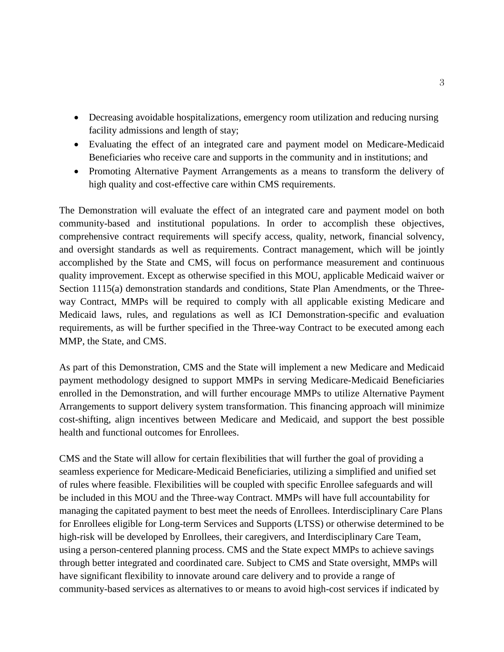- Decreasing avoidable hospitalizations, emergency room utilization and reducing nursing facility admissions and length of stay;
- Evaluating the effect of an integrated care and payment model on Medicare-Medicaid Beneficiaries who receive care and supports in the community and in institutions; and
- Promoting Alternative Payment Arrangements as a means to transform the delivery of high quality and cost-effective care within CMS requirements.

The Demonstration will evaluate the effect of an integrated care and payment model on both community-based and institutional populations. In order to accomplish these objectives, comprehensive contract requirements will specify access, quality, network, financial solvency, and oversight standards as well as requirements. Contract management, which will be jointly accomplished by the State and CMS, will focus on performance measurement and continuous quality improvement. Except as otherwise specified in this MOU, applicable Medicaid waiver or Section 1115(a) demonstration standards and conditions, State Plan Amendments, or the Threeway Contract, MMPs will be required to comply with all applicable existing Medicare and Medicaid laws, rules, and regulations as well as ICI Demonstration-specific and evaluation requirements, as will be further specified in the Three-way Contract to be executed among each MMP, the State, and CMS.

As part of this Demonstration, CMS and the State will implement a new Medicare and Medicaid payment methodology designed to support MMPs in serving Medicare-Medicaid Beneficiaries enrolled in the Demonstration, and will further encourage MMPs to utilize Alternative Payment Arrangements to support delivery system transformation. This financing approach will minimize cost-shifting, align incentives between Medicare and Medicaid, and support the best possible health and functional outcomes for Enrollees.

CMS and the State will allow for certain flexibilities that will further the goal of providing a seamless experience for Medicare-Medicaid Beneficiaries, utilizing a simplified and unified set of rules where feasible. Flexibilities will be coupled with specific Enrollee safeguards and will be included in this MOU and the Three-way Contract. MMPs will have full accountability for managing the capitated payment to best meet the needs of Enrollees. Interdisciplinary Care Plans for Enrollees eligible for Long-term Services and Supports (LTSS) or otherwise determined to be high-risk will be developed by Enrollees, their caregivers, and Interdisciplinary Care Team, using a person-centered planning process. CMS and the State expect MMPs to achieve savings through better integrated and coordinated care. Subject to CMS and State oversight, MMPs will have significant flexibility to innovate around care delivery and to provide a range of community-based services as alternatives to or means to avoid high-cost services if indicated by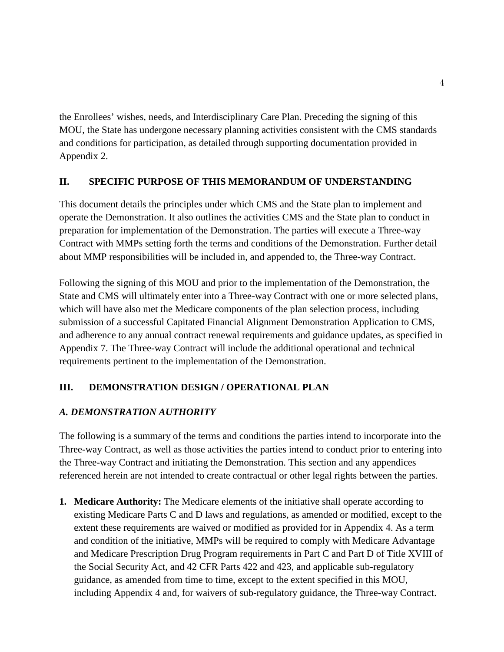the Enrollees' wishes, needs, and Interdisciplinary Care Plan. Preceding the signing of this MOU, the State has undergone necessary planning activities consistent with the CMS standards and conditions for participation, as detailed through supporting documentation provided in Appendix 2.

## <span id="page-5-0"></span>**II. SPECIFIC PURPOSE OF THIS MEMORANDUM OF UNDERSTANDING**

This document details the principles under which CMS and the State plan to implement and operate the Demonstration. It also outlines the activities CMS and the State plan to conduct in preparation for implementation of the Demonstration. The parties will execute a Three-way Contract with MMPs setting forth the terms and conditions of the Demonstration. Further detail about MMP responsibilities will be included in, and appended to, the Three-way Contract.

Following the signing of this MOU and prior to the implementation of the Demonstration, the State and CMS will ultimately enter into a Three-way Contract with one or more selected plans, which will have also met the Medicare components of the plan selection process, including submission of a successful Capitated Financial Alignment Demonstration Application to CMS, and adherence to any annual contract renewal requirements and guidance updates, as specified in Appendix 7. The Three-way Contract will include the additional operational and technical requirements pertinent to the implementation of the Demonstration.

## <span id="page-5-1"></span>**III. DEMONSTRATION DESIGN / OPERATIONAL PLAN**

## <span id="page-5-2"></span>*A. DEMONSTRATION AUTHORITY*

The following is a summary of the terms and conditions the parties intend to incorporate into the Three-way Contract, as well as those activities the parties intend to conduct prior to entering into the Three-way Contract and initiating the Demonstration. This section and any appendices referenced herein are not intended to create contractual or other legal rights between the parties.

**1. Medicare Authority:** The Medicare elements of the initiative shall operate according to existing Medicare Parts C and D laws and regulations, as amended or modified, except to the extent these requirements are waived or modified as provided for in Appendix 4. As a term and condition of the initiative, MMPs will be required to comply with Medicare Advantage and Medicare Prescription Drug Program requirements in Part C and Part D of Title XVIII of the Social Security Act, and 42 CFR Parts 422 and 423, and applicable sub-regulatory guidance, as amended from time to time, except to the extent specified in this MOU, including Appendix 4 and, for waivers of sub-regulatory guidance, the Three-way Contract.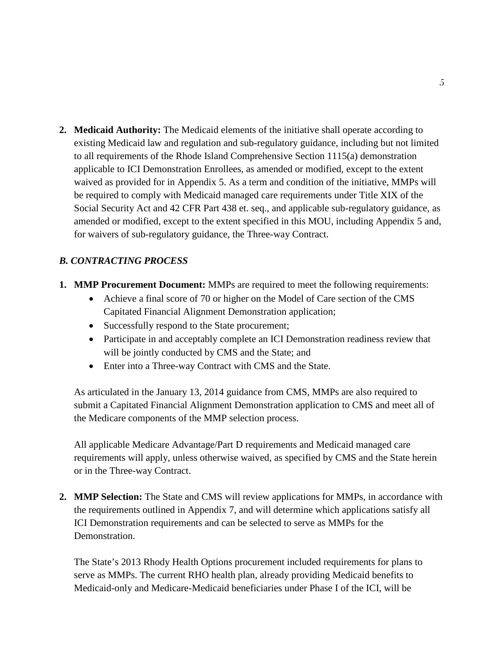**2. Medicaid Authority:** The Medicaid elements of the initiative shall operate according to existing Medicaid law and regulation and sub-regulatory guidance, including but not limited to all requirements of the Rhode Island Comprehensive Section 1115(a) demonstration applicable to ICI Demonstration Enrollees, as amended or modified, except to the extent waived as provided for in Appendix 5. As a term and condition of the initiative, MMPs will be required to comply with Medicaid managed care requirements under Title XIX of the Social Security Act and 42 CFR Part 438 et. seq., and applicable sub-regulatory guidance, as amended or modified, except to the extent specified in this MOU, including Appendix 5 and, for waivers of sub-regulatory guidance, the Three-way Contract.

## <span id="page-6-0"></span>*B. CONTRACTING PROCESS*

- **1. MMP Procurement Document:** MMPs are required to meet the following requirements:
	- Achieve a final score of 70 or higher on the Model of Care section of the CMS Capitated Financial Alignment Demonstration application;
	- Successfully respond to the State procurement;
	- Participate in and acceptably complete an ICI Demonstration readiness review that will be jointly conducted by CMS and the State; and
	- Enter into a Three-way Contract with CMS and the State.

As articulated in the January 13, 2014 guidance from CMS, MMPs are also required to submit a Capitated Financial Alignment Demonstration application to CMS and meet all of the Medicare components of the MMP selection process.

All applicable Medicare Advantage/Part D requirements and Medicaid managed care requirements will apply, unless otherwise waived, as specified by CMS and the State herein or in the Three-way Contract.

**2. MMP Selection:** The State and CMS will review applications for MMPs, in accordance with the requirements outlined in Appendix 7, and will determine which applications satisfy all ICI Demonstration requirements and can be selected to serve as MMPs for the Demonstration.

The State's 2013 Rhody Health Options procurement included requirements for plans to serve as MMPs. The current RHO health plan, already providing Medicaid benefits to Medicaid-only and Medicare-Medicaid beneficiaries under Phase I of the ICI, will be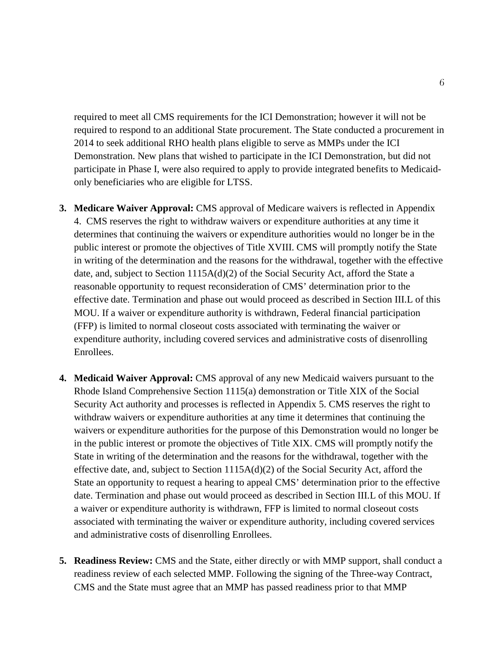required to meet all CMS requirements for the ICI Demonstration; however it will not be required to respond to an additional State procurement. The State conducted a procurement in 2014 to seek additional RHO health plans eligible to serve as MMPs under the ICI Demonstration. New plans that wished to participate in the ICI Demonstration, but did not participate in Phase I, were also required to apply to provide integrated benefits to Medicaidonly beneficiaries who are eligible for LTSS.

- **3. Medicare Waiver Approval:** CMS approval of Medicare waivers is reflected in Appendix 4. CMS reserves the right to withdraw waivers or expenditure authorities at any time it determines that continuing the waivers or expenditure authorities would no longer be in the public interest or promote the objectives of Title XVIII. CMS will promptly notify the State in writing of the determination and the reasons for the withdrawal, together with the effective date, and, subject to Section 1115A(d)(2) of the Social Security Act, afford the State a reasonable opportunity to request reconsideration of CMS' determination prior to the effective date. Termination and phase out would proceed as described in Section III.L of this MOU. If a waiver or expenditure authority is withdrawn, Federal financial participation (FFP) is limited to normal closeout costs associated with terminating the waiver or expenditure authority, including covered services and administrative costs of disenrolling Enrollees.
- **4. Medicaid Waiver Approval:** CMS approval of any new Medicaid waivers pursuant to the Rhode Island Comprehensive Section 1115(a) demonstration or Title XIX of the Social Security Act authority and processes is reflected in Appendix 5. CMS reserves the right to withdraw waivers or expenditure authorities at any time it determines that continuing the waivers or expenditure authorities for the purpose of this Demonstration would no longer be in the public interest or promote the objectives of Title XIX. CMS will promptly notify the State in writing of the determination and the reasons for the withdrawal, together with the effective date, and, subject to Section  $1115A(d)(2)$  of the Social Security Act, afford the State an opportunity to request a hearing to appeal CMS' determination prior to the effective date. Termination and phase out would proceed as described in Section III.L of this MOU. If a waiver or expenditure authority is withdrawn, FFP is limited to normal closeout costs associated with terminating the waiver or expenditure authority, including covered services and administrative costs of disenrolling Enrollees.
- **5. Readiness Review:** CMS and the State, either directly or with MMP support, shall conduct a readiness review of each selected MMP. Following the signing of the Three-way Contract, CMS and the State must agree that an MMP has passed readiness prior to that MMP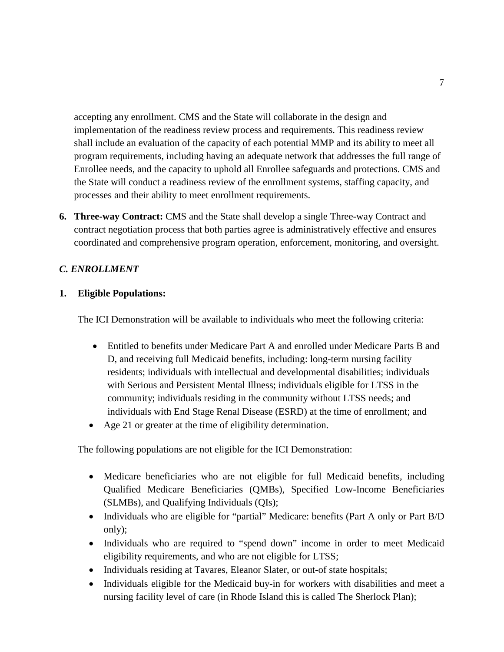accepting any enrollment. CMS and the State will collaborate in the design and implementation of the readiness review process and requirements. This readiness review shall include an evaluation of the capacity of each potential MMP and its ability to meet all program requirements, including having an adequate network that addresses the full range of Enrollee needs, and the capacity to uphold all Enrollee safeguards and protections. CMS and the State will conduct a readiness review of the enrollment systems, staffing capacity, and processes and their ability to meet enrollment requirements.

**6. Three-way Contract:** CMS and the State shall develop a single Three-way Contract and contract negotiation process that both parties agree is administratively effective and ensures coordinated and comprehensive program operation, enforcement, monitoring, and oversight.

## <span id="page-8-0"></span>*C. ENROLLMENT*

### **1. Eligible Populations:**

The ICI Demonstration will be available to individuals who meet the following criteria:

- Entitled to benefits under Medicare Part A and enrolled under Medicare Parts B and D, and receiving full Medicaid benefits, including: long-term nursing facility residents; individuals with intellectual and developmental disabilities; individuals with Serious and Persistent Mental Illness; individuals eligible for LTSS in the community; individuals residing in the community without LTSS needs; and individuals with End Stage Renal Disease (ESRD) at the time of enrollment; and
- Age 21 or greater at the time of eligibility determination.

The following populations are not eligible for the ICI Demonstration:

- Medicare beneficiaries who are not eligible for full Medicaid benefits, including Qualified Medicare Beneficiaries (QMBs), Specified Low-Income Beneficiaries (SLMBs), and Qualifying Individuals (QIs);
- Individuals who are eligible for "partial" Medicare: benefits (Part A only or Part B/D only);
- Individuals who are required to "spend down" income in order to meet Medicaid eligibility requirements, and who are not eligible for LTSS;
- Individuals residing at Tavares, Eleanor Slater, or out-of state hospitals;
- Individuals eligible for the Medicaid buy-in for workers with disabilities and meet a nursing facility level of care (in Rhode Island this is called The Sherlock Plan);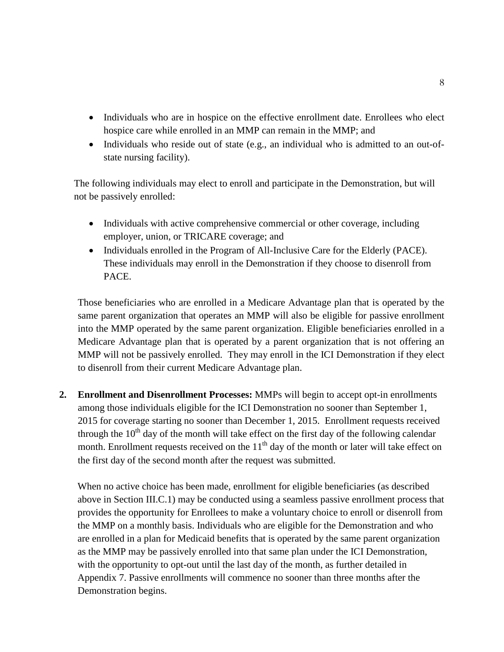- Individuals who are in hospice on the effective enrollment date. Enrollees who elect hospice care while enrolled in an MMP can remain in the MMP; and
- Individuals who reside out of state (e.g., an individual who is admitted to an out-ofstate nursing facility).

The following individuals may elect to enroll and participate in the Demonstration, but will not be passively enrolled:

- Individuals with active comprehensive commercial or other coverage, including employer, union, or TRICARE coverage; and
- Individuals enrolled in the Program of All-Inclusive Care for the Elderly (PACE). These individuals may enroll in the Demonstration if they choose to disenroll from PACE.

Those beneficiaries who are enrolled in a Medicare Advantage plan that is operated by the same parent organization that operates an MMP will also be eligible for passive enrollment into the MMP operated by the same parent organization. Eligible beneficiaries enrolled in a Medicare Advantage plan that is operated by a parent organization that is not offering an MMP will not be passively enrolled. They may enroll in the ICI Demonstration if they elect to disenroll from their current Medicare Advantage plan.

**2. Enrollment and Disenrollment Processes:** MMPs will begin to accept opt-in enrollments among those individuals eligible for the ICI Demonstration no sooner than September 1, 2015 for coverage starting no sooner than December 1, 2015. Enrollment requests received through the  $10<sup>th</sup>$  day of the month will take effect on the first day of the following calendar month. Enrollment requests received on the  $11<sup>th</sup>$  day of the month or later will take effect on the first day of the second month after the request was submitted.

When no active choice has been made, enrollment for eligible beneficiaries (as described above in Section III.C.1) may be conducted using a seamless passive enrollment process that provides the opportunity for Enrollees to make a voluntary choice to enroll or disenroll from the MMP on a monthly basis. Individuals who are eligible for the Demonstration and who are enrolled in a plan for Medicaid benefits that is operated by the same parent organization as the MMP may be passively enrolled into that same plan under the ICI Demonstration, with the opportunity to opt-out until the last day of the month, as further detailed in Appendix 7. Passive enrollments will commence no sooner than three months after the Demonstration begins.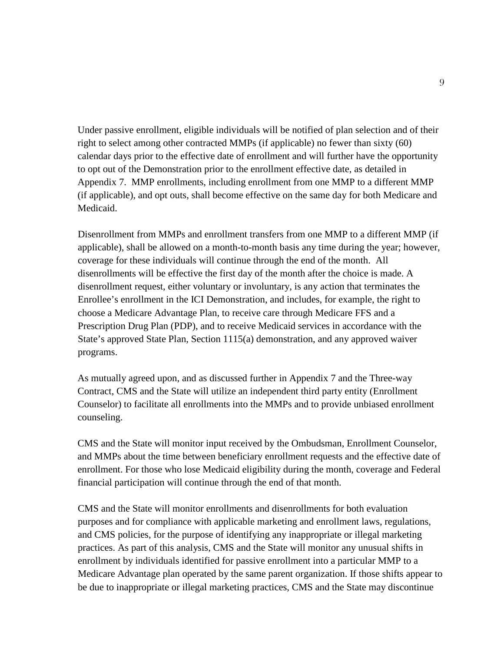Under passive enrollment, eligible individuals will be notified of plan selection and of their right to select among other contracted MMPs (if applicable) no fewer than sixty (60) calendar days prior to the effective date of enrollment and will further have the opportunity to opt out of the Demonstration prior to the enrollment effective date, as detailed in Appendix 7. MMP enrollments, including enrollment from one MMP to a different MMP (if applicable), and opt outs, shall become effective on the same day for both Medicare and Medicaid.

Disenrollment from MMPs and enrollment transfers from one MMP to a different MMP (if applicable), shall be allowed on a month-to-month basis any time during the year; however, coverage for these individuals will continue through the end of the month. All disenrollments will be effective the first day of the month after the choice is made. A disenrollment request, either voluntary or involuntary, is any action that terminates the Enrollee's enrollment in the ICI Demonstration, and includes, for example, the right to choose a Medicare Advantage Plan, to receive care through Medicare FFS and a Prescription Drug Plan (PDP), and to receive Medicaid services in accordance with the State's approved State Plan, Section 1115(a) demonstration, and any approved waiver programs.

As mutually agreed upon, and as discussed further in Appendix 7 and the Three-way Contract, CMS and the State will utilize an independent third party entity (Enrollment Counselor) to facilitate all enrollments into the MMPs and to provide unbiased enrollment counseling.

CMS and the State will monitor input received by the Ombudsman, Enrollment Counselor, and MMPs about the time between beneficiary enrollment requests and the effective date of enrollment. For those who lose Medicaid eligibility during the month, coverage and Federal financial participation will continue through the end of that month.

CMS and the State will monitor enrollments and disenrollments for both evaluation purposes and for compliance with applicable marketing and enrollment laws, regulations, and CMS policies, for the purpose of identifying any inappropriate or illegal marketing practices. As part of this analysis, CMS and the State will monitor any unusual shifts in enrollment by individuals identified for passive enrollment into a particular MMP to a Medicare Advantage plan operated by the same parent organization. If those shifts appear to be due to inappropriate or illegal marketing practices, CMS and the State may discontinue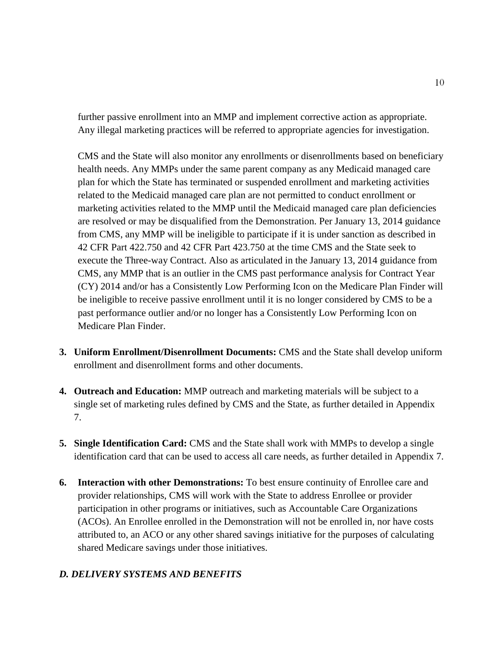further passive enrollment into an MMP and implement corrective action as appropriate. Any illegal marketing practices will be referred to appropriate agencies for investigation.

CMS and the State will also monitor any enrollments or disenrollments based on beneficiary health needs. Any MMPs under the same parent company as any Medicaid managed care plan for which the State has terminated or suspended enrollment and marketing activities related to the Medicaid managed care plan are not permitted to conduct enrollment or marketing activities related to the MMP until the Medicaid managed care plan deficiencies are resolved or may be disqualified from the Demonstration. Per January 13, 2014 guidance from CMS, any MMP will be ineligible to participate if it is under sanction as described in 42 CFR Part 422.750 and 42 CFR Part 423.750 at the time CMS and the State seek to execute the Three-way Contract. Also as articulated in the January 13, 2014 guidance from CMS, any MMP that is an outlier in the CMS past performance analysis for Contract Year (CY) 2014 and/or has a Consistently Low Performing Icon on the Medicare Plan Finder will be ineligible to receive passive enrollment until it is no longer considered by CMS to be a past performance outlier and/or no longer has a Consistently Low Performing Icon on Medicare Plan Finder.

- **3. Uniform Enrollment/Disenrollment Documents:** CMS and the State shall develop uniform enrollment and disenrollment forms and other documents.
- **4. Outreach and Education:** MMP outreach and marketing materials will be subject to a single set of marketing rules defined by CMS and the State, as further detailed in Appendix 7.
- **5. Single Identification Card:** CMS and the State shall work with MMPs to develop a single identification card that can be used to access all care needs, as further detailed in Appendix 7.
- **6. Interaction with other Demonstrations:** To best ensure continuity of Enrollee care and provider relationships, CMS will work with the State to address Enrollee or provider participation in other programs or initiatives, such as Accountable Care Organizations (ACOs). An Enrollee enrolled in the Demonstration will not be enrolled in, nor have costs attributed to, an ACO or any other shared savings initiative for the purposes of calculating shared Medicare savings under those initiatives.

## <span id="page-11-0"></span>*D. DELIVERY SYSTEMS AND BENEFITS*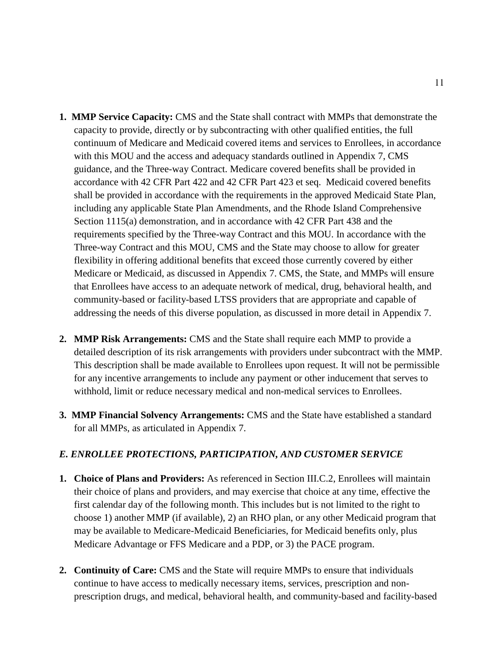- **1. MMP Service Capacity:** CMS and the State shall contract with MMPs that demonstrate the capacity to provide, directly or by subcontracting with other qualified entities, the full continuum of Medicare and Medicaid covered items and services to Enrollees, in accordance with this MOU and the access and adequacy standards outlined in Appendix 7, CMS guidance, and the Three-way Contract. Medicare covered benefits shall be provided in accordance with 42 CFR Part 422 and 42 CFR Part 423 et seq. Medicaid covered benefits shall be provided in accordance with the requirements in the approved Medicaid State Plan, including any applicable State Plan Amendments, and the Rhode Island Comprehensive Section 1115(a) demonstration, and in accordance with 42 CFR Part 438 and the requirements specified by the Three-way Contract and this MOU. In accordance with the Three-way Contract and this MOU, CMS and the State may choose to allow for greater flexibility in offering additional benefits that exceed those currently covered by either Medicare or Medicaid, as discussed in Appendix 7. CMS, the State, and MMPs will ensure that Enrollees have access to an adequate network of medical, drug, behavioral health, and community-based or facility-based LTSS providers that are appropriate and capable of addressing the needs of this diverse population, as discussed in more detail in Appendix 7.
- **2. MMP Risk Arrangements:** CMS and the State shall require each MMP to provide a detailed description of its risk arrangements with providers under subcontract with the MMP. This description shall be made available to Enrollees upon request. It will not be permissible for any incentive arrangements to include any payment or other inducement that serves to withhold, limit or reduce necessary medical and non-medical services to Enrollees.
- **3. MMP Financial Solvency Arrangements:** CMS and the State have established a standard for all MMPs, as articulated in Appendix 7.

#### <span id="page-12-0"></span>*E. ENROLLEE PROTECTIONS, PARTICIPATION, AND CUSTOMER SERVICE*

- **1. Choice of Plans and Providers:** As referenced in Section III.C.2, Enrollees will maintain their choice of plans and providers, and may exercise that choice at any time, effective the first calendar day of the following month. This includes but is not limited to the right to choose 1) another MMP (if available), 2) an RHO plan, or any other Medicaid program that may be available to Medicare-Medicaid Beneficiaries, for Medicaid benefits only, plus Medicare Advantage or FFS Medicare and a PDP, or 3) the PACE program.
- **2. Continuity of Care:** CMS and the State will require MMPs to ensure that individuals continue to have access to medically necessary items, services, prescription and nonprescription drugs, and medical, behavioral health, and community-based and facility-based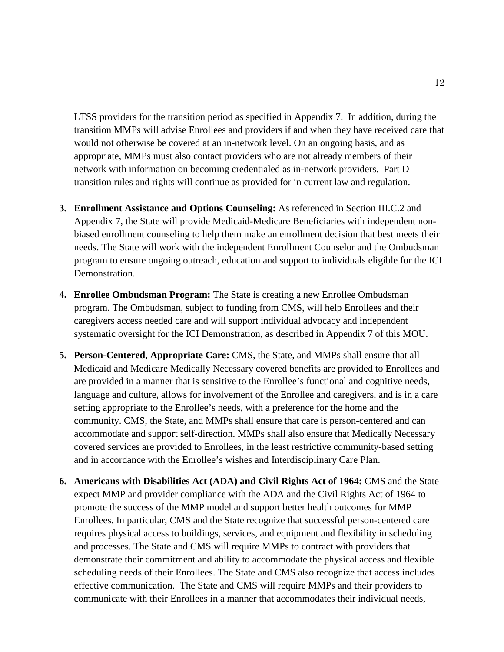LTSS providers for the transition period as specified in Appendix 7. In addition, during the transition MMPs will advise Enrollees and providers if and when they have received care that would not otherwise be covered at an in-network level. On an ongoing basis, and as appropriate, MMPs must also contact providers who are not already members of their network with information on becoming credentialed as in-network providers. Part D transition rules and rights will continue as provided for in current law and regulation.

- **3. Enrollment Assistance and Options Counseling:** As referenced in Section III.C.2 and Appendix 7, the State will provide Medicaid-Medicare Beneficiaries with independent nonbiased enrollment counseling to help them make an enrollment decision that best meets their needs. The State will work with the independent Enrollment Counselor and the Ombudsman program to ensure ongoing outreach, education and support to individuals eligible for the ICI Demonstration.
- **4. Enrollee Ombudsman Program:** The State is creating a new Enrollee Ombudsman program. The Ombudsman, subject to funding from CMS, will help Enrollees and their caregivers access needed care and will support individual advocacy and independent systematic oversight for the ICI Demonstration, as described in Appendix 7 of this MOU.
- **5. Person-Centered**, **Appropriate Care:** CMS, the State, and MMPs shall ensure that all Medicaid and Medicare Medically Necessary covered benefits are provided to Enrollees and are provided in a manner that is sensitive to the Enrollee's functional and cognitive needs, language and culture, allows for involvement of the Enrollee and caregivers, and is in a care setting appropriate to the Enrollee's needs, with a preference for the home and the community. CMS, the State, and MMPs shall ensure that care is person-centered and can accommodate and support self-direction. MMPs shall also ensure that Medically Necessary covered services are provided to Enrollees, in the least restrictive community-based setting and in accordance with the Enrollee's wishes and Interdisciplinary Care Plan.
- **6. Americans with Disabilities Act (ADA) and Civil Rights Act of 1964:** CMS and the State expect MMP and provider compliance with the ADA and the Civil Rights Act of 1964 to promote the success of the MMP model and support better health outcomes for MMP Enrollees. In particular, CMS and the State recognize that successful person-centered care requires physical access to buildings, services, and equipment and flexibility in scheduling and processes. The State and CMS will require MMPs to contract with providers that demonstrate their commitment and ability to accommodate the physical access and flexible scheduling needs of their Enrollees. The State and CMS also recognize that access includes effective communication. The State and CMS will require MMPs and their providers to communicate with their Enrollees in a manner that accommodates their individual needs,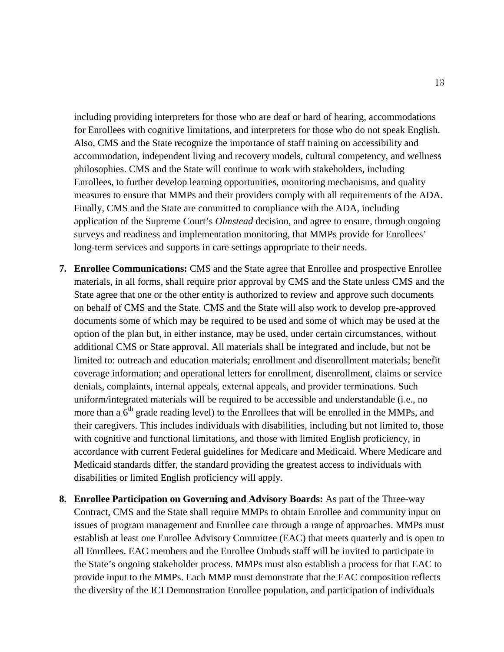including providing interpreters for those who are deaf or hard of hearing, accommodations for Enrollees with cognitive limitations, and interpreters for those who do not speak English. Also, CMS and the State recognize the importance of staff training on accessibility and accommodation, independent living and recovery models, cultural competency, and wellness philosophies. CMS and the State will continue to work with stakeholders, including Enrollees, to further develop learning opportunities, monitoring mechanisms, and quality measures to ensure that MMPs and their providers comply with all requirements of the ADA. Finally, CMS and the State are committed to compliance with the ADA, including application of the Supreme Court's *Olmstead* decision, and agree to ensure, through ongoing surveys and readiness and implementation monitoring, that MMPs provide for Enrollees' long-term services and supports in care settings appropriate to their needs.

- **7. Enrollee Communications:** CMS and the State agree that Enrollee and prospective Enrollee materials, in all forms, shall require prior approval by CMS and the State unless CMS and the State agree that one or the other entity is authorized to review and approve such documents on behalf of CMS and the State. CMS and the State will also work to develop pre-approved documents some of which may be required to be used and some of which may be used at the option of the plan but, in either instance, may be used, under certain circumstances, without additional CMS or State approval. All materials shall be integrated and include, but not be limited to: outreach and education materials; enrollment and disenrollment materials; benefit coverage information; and operational letters for enrollment, disenrollment, claims or service denials, complaints, internal appeals, external appeals, and provider terminations. Such uniform/integrated materials will be required to be accessible and understandable (i.e., no more than a  $6<sup>th</sup>$  grade reading level) to the Enrollees that will be enrolled in the MMPs, and their caregivers. This includes individuals with disabilities, including but not limited to, those with cognitive and functional limitations, and those with limited English proficiency, in accordance with current Federal guidelines for Medicare and Medicaid. Where Medicare and Medicaid standards differ, the standard providing the greatest access to individuals with disabilities or limited English proficiency will apply.
- **8. Enrollee Participation on Governing and Advisory Boards:** As part of the Three-way Contract, CMS and the State shall require MMPs to obtain Enrollee and community input on issues of program management and Enrollee care through a range of approaches. MMPs must establish at least one Enrollee Advisory Committee (EAC) that meets quarterly and is open to all Enrollees. EAC members and the Enrollee Ombuds staff will be invited to participate in the State's ongoing stakeholder process. MMPs must also establish a process for that EAC to provide input to the MMPs. Each MMP must demonstrate that the EAC composition reflects the diversity of the ICI Demonstration Enrollee population, and participation of individuals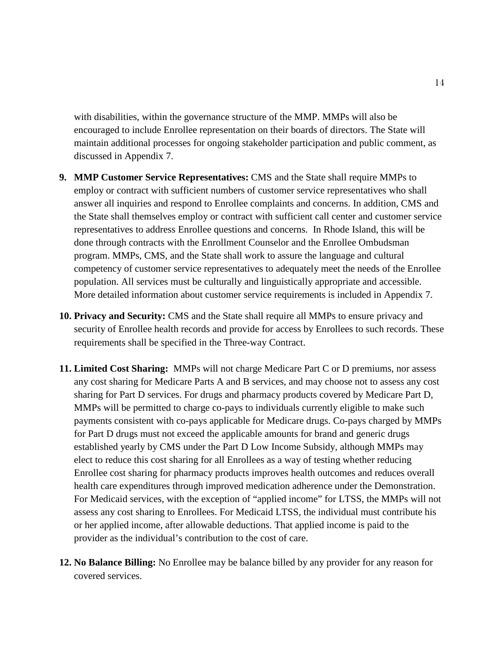with disabilities, within the governance structure of the MMP. MMPs will also be encouraged to include Enrollee representation on their boards of directors. The State will maintain additional processes for ongoing stakeholder participation and public comment, as discussed in Appendix 7.

- **9. MMP Customer Service Representatives:** CMS and the State shall require MMPs to employ or contract with sufficient numbers of customer service representatives who shall answer all inquiries and respond to Enrollee complaints and concerns. In addition, CMS and the State shall themselves employ or contract with sufficient call center and customer service representatives to address Enrollee questions and concerns. In Rhode Island, this will be done through contracts with the Enrollment Counselor and the Enrollee Ombudsman program. MMPs, CMS, and the State shall work to assure the language and cultural competency of customer service representatives to adequately meet the needs of the Enrollee population. All services must be culturally and linguistically appropriate and accessible. More detailed information about customer service requirements is included in Appendix 7.
- **10. Privacy and Security:** CMS and the State shall require all MMPs to ensure privacy and security of Enrollee health records and provide for access by Enrollees to such records. These requirements shall be specified in the Three-way Contract.
- **11. Limited Cost Sharing:** MMPs will not charge Medicare Part C or D premiums, nor assess any cost sharing for Medicare Parts A and B services, and may choose not to assess any cost sharing for Part D services. For drugs and pharmacy products covered by Medicare Part D, MMPs will be permitted to charge co-pays to individuals currently eligible to make such payments consistent with co-pays applicable for Medicare drugs. Co-pays charged by MMPs for Part D drugs must not exceed the applicable amounts for brand and generic drugs established yearly by CMS under the Part D Low Income Subsidy, although MMPs may elect to reduce this cost sharing for all Enrollees as a way of testing whether reducing Enrollee cost sharing for pharmacy products improves health outcomes and reduces overall health care expenditures through improved medication adherence under the Demonstration. For Medicaid services, with the exception of "applied income" for LTSS, the MMPs will not assess any cost sharing to Enrollees. For Medicaid LTSS, the individual must contribute his or her applied income, after allowable deductions. That applied income is paid to the provider as the individual's contribution to the cost of care.
- **12. No Balance Billing:** No Enrollee may be balance billed by any provider for any reason for covered services.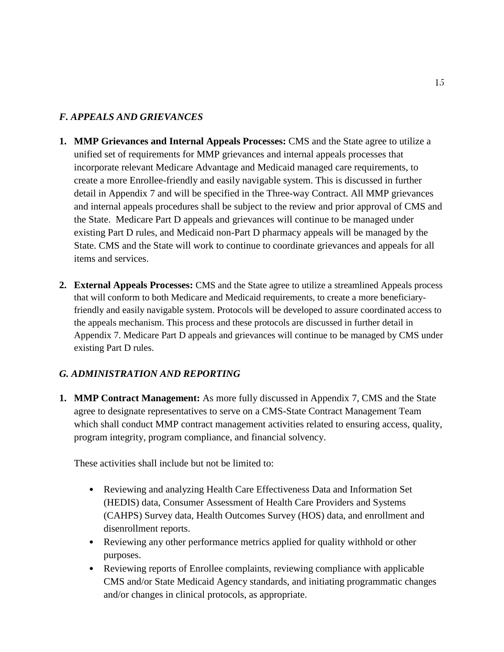## <span id="page-16-0"></span>*F. APPEALS AND GRIEVANCES*

- **1. MMP Grievances and Internal Appeals Processes:** CMS and the State agree to utilize a unified set of requirements for MMP grievances and internal appeals processes that incorporate relevant Medicare Advantage and Medicaid managed care requirements, to create a more Enrollee-friendly and easily navigable system. This is discussed in further detail in Appendix 7 and will be specified in the Three-way Contract. All MMP grievances and internal appeals procedures shall be subject to the review and prior approval of CMS and the State. Medicare Part D appeals and grievances will continue to be managed under existing Part D rules, and Medicaid non-Part D pharmacy appeals will be managed by the State. CMS and the State will work to continue to coordinate grievances and appeals for all items and services.
- **2. External Appeals Processes:** CMS and the State agree to utilize a streamlined Appeals process that will conform to both Medicare and Medicaid requirements, to create a more beneficiaryfriendly and easily navigable system. Protocols will be developed to assure coordinated access to the appeals mechanism. This process and these protocols are discussed in further detail in Appendix 7. Medicare Part D appeals and grievances will continue to be managed by CMS under existing Part D rules.

## <span id="page-16-1"></span>*G. ADMINISTRATION AND REPORTING*

**1. MMP Contract Management:** As more fully discussed in Appendix 7, CMS and the State agree to designate representatives to serve on a CMS-State Contract Management Team which shall conduct MMP contract management activities related to ensuring access, quality, program integrity, program compliance, and financial solvency.

These activities shall include but not be limited to:

- Reviewing and analyzing Health Care Effectiveness Data and Information Set (HEDIS) data, Consumer Assessment of Health Care Providers and Systems (CAHPS) Survey data, Health Outcomes Survey (HOS) data, and enrollment and disenrollment reports.
- Reviewing any other performance metrics applied for quality withhold or other purposes.
- Reviewing reports of Enrollee complaints, reviewing compliance with applicable CMS and/or State Medicaid Agency standards, and initiating programmatic changes and/or changes in clinical protocols, as appropriate.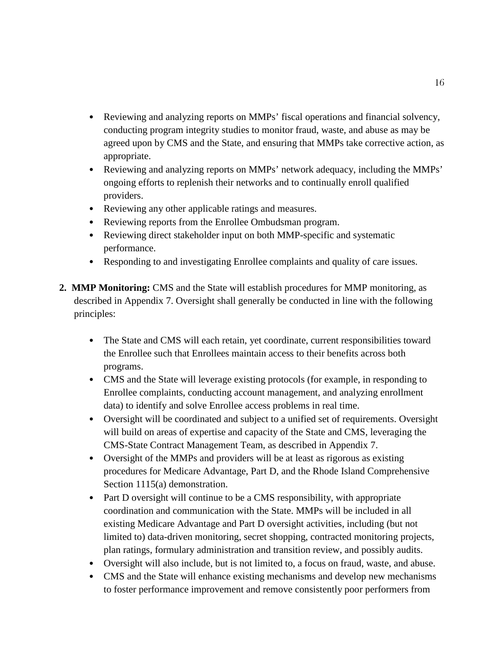- Reviewing and analyzing reports on MMPs' fiscal operations and financial solvency, conducting program integrity studies to monitor fraud, waste, and abuse as may be agreed upon by CMS and the State, and ensuring that MMPs take corrective action, as appropriate.
- Reviewing and analyzing reports on MMPs' network adequacy, including the MMPs' ongoing efforts to replenish their networks and to continually enroll qualified providers.
- Reviewing any other applicable ratings and measures.
- Reviewing reports from the Enrollee Ombudsman program.
- Reviewing direct stakeholder input on both MMP-specific and systematic performance.
- Responding to and investigating Enrollee complaints and quality of care issues.
- **2. MMP Monitoring:** CMS and the State will establish procedures for MMP monitoring, as described in Appendix 7. Oversight shall generally be conducted in line with the following principles:
	- The State and CMS will each retain, yet coordinate, current responsibilities toward the Enrollee such that Enrollees maintain access to their benefits across both programs.
	- CMS and the State will leverage existing protocols (for example, in responding to Enrollee complaints, conducting account management, and analyzing enrollment data) to identify and solve Enrollee access problems in real time.
	- Oversight will be coordinated and subject to a unified set of requirements. Oversight will build on areas of expertise and capacity of the State and CMS, leveraging the CMS-State Contract Management Team, as described in Appendix 7.
	- Oversight of the MMPs and providers will be at least as rigorous as existing procedures for Medicare Advantage, Part D, and the Rhode Island Comprehensive Section 1115(a) demonstration.
	- Part D oversight will continue to be a CMS responsibility, with appropriate coordination and communication with the State. MMPs will be included in all existing Medicare Advantage and Part D oversight activities, including (but not limited to) data-driven monitoring, secret shopping, contracted monitoring projects, plan ratings, formulary administration and transition review, and possibly audits.
	- Oversight will also include, but is not limited to, a focus on fraud, waste, and abuse.
	- CMS and the State will enhance existing mechanisms and develop new mechanisms to foster performance improvement and remove consistently poor performers from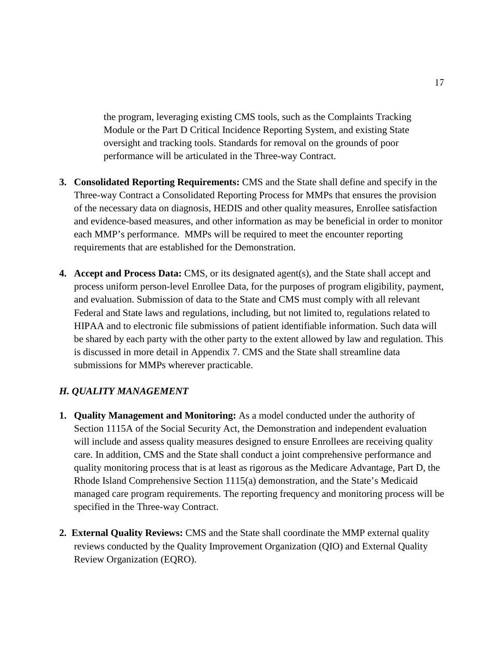the program, leveraging existing CMS tools, such as the Complaints Tracking Module or the Part D Critical Incidence Reporting System, and existing State oversight and tracking tools. Standards for removal on the grounds of poor performance will be articulated in the Three-way Contract.

- **3. Consolidated Reporting Requirements:** CMS and the State shall define and specify in the Three-way Contract a Consolidated Reporting Process for MMPs that ensures the provision of the necessary data on diagnosis, HEDIS and other quality measures, Enrollee satisfaction and evidence-based measures, and other information as may be beneficial in order to monitor each MMP's performance. MMPs will be required to meet the encounter reporting requirements that are established for the Demonstration.
- **4. Accept and Process Data:** CMS, or its designated agent(s), and the State shall accept and process uniform person-level Enrollee Data, for the purposes of program eligibility, payment, and evaluation. Submission of data to the State and CMS must comply with all relevant Federal and State laws and regulations, including, but not limited to, regulations related to HIPAA and to electronic file submissions of patient identifiable information. Such data will be shared by each party with the other party to the extent allowed by law and regulation. This is discussed in more detail in Appendix 7. CMS and the State shall streamline data submissions for MMPs wherever practicable.

## <span id="page-18-0"></span>*H. QUALITY MANAGEMENT*

- **1. Quality Management and Monitoring:** As a model conducted under the authority of Section 1115A of the Social Security Act, the Demonstration and independent evaluation will include and assess quality measures designed to ensure Enrollees are receiving quality care. In addition, CMS and the State shall conduct a joint comprehensive performance and quality monitoring process that is at least as rigorous as the Medicare Advantage, Part D, the Rhode Island Comprehensive Section 1115(a) demonstration, and the State's Medicaid managed care program requirements. The reporting frequency and monitoring process will be specified in the Three-way Contract.
- **2. External Quality Reviews:** CMS and the State shall coordinate the MMP external quality reviews conducted by the Quality Improvement Organization (QIO) and External Quality Review Organization (EQRO).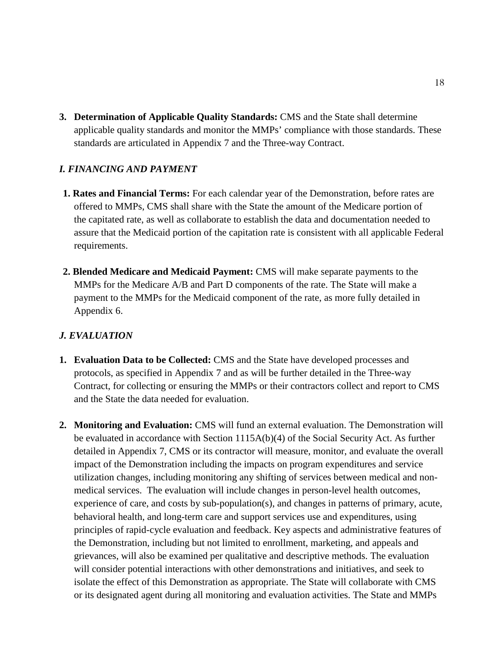**3. Determination of Applicable Quality Standards:** CMS and the State shall determine applicable quality standards and monitor the MMPs' compliance with those standards. These standards are articulated in Appendix 7 and the Three-way Contract.

### <span id="page-19-0"></span>*I. FINANCING AND PAYMENT*

- **1. Rates and Financial Terms:** For each calendar year of the Demonstration, before rates are offered to MMPs, CMS shall share with the State the amount of the Medicare portion of the capitated rate, as well as collaborate to establish the data and documentation needed to assure that the Medicaid portion of the capitation rate is consistent with all applicable Federal requirements.
- **2. Blended Medicare and Medicaid Payment:** CMS will make separate payments to the MMPs for the Medicare A/B and Part D components of the rate. The State will make a payment to the MMPs for the Medicaid component of the rate, as more fully detailed in Appendix 6.

## <span id="page-19-1"></span>*J. EVALUATION*

- **1. Evaluation Data to be Collected:** CMS and the State have developed processes and protocols, as specified in Appendix 7 and as will be further detailed in the Three-way Contract, for collecting or ensuring the MMPs or their contractors collect and report to CMS and the State the data needed for evaluation.
- **2. Monitoring and Evaluation:** CMS will fund an external evaluation. The Demonstration will be evaluated in accordance with Section 1115A(b)(4) of the Social Security Act. As further detailed in Appendix 7, CMS or its contractor will measure, monitor, and evaluate the overall impact of the Demonstration including the impacts on program expenditures and service utilization changes, including monitoring any shifting of services between medical and nonmedical services. The evaluation will include changes in person-level health outcomes, experience of care, and costs by sub-population(s), and changes in patterns of primary, acute, behavioral health, and long-term care and support services use and expenditures, using principles of rapid-cycle evaluation and feedback. Key aspects and administrative features of the Demonstration, including but not limited to enrollment, marketing, and appeals and grievances, will also be examined per qualitative and descriptive methods. The evaluation will consider potential interactions with other demonstrations and initiatives, and seek to isolate the effect of this Demonstration as appropriate. The State will collaborate with CMS or its designated agent during all monitoring and evaluation activities. The State and MMPs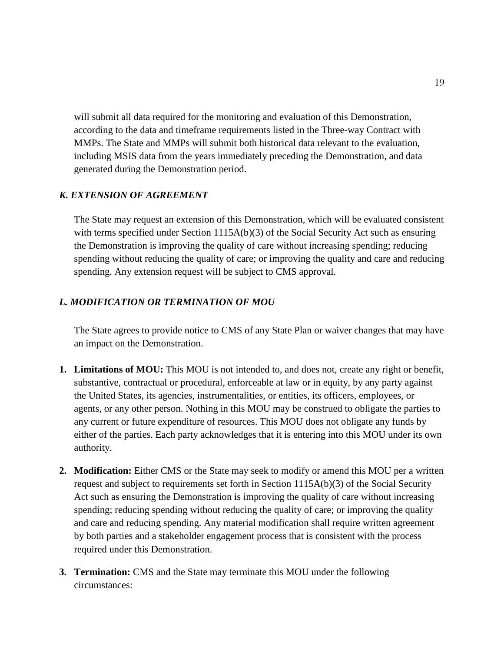will submit all data required for the monitoring and evaluation of this Demonstration, according to the data and timeframe requirements listed in the Three-way Contract with MMPs. The State and MMPs will submit both historical data relevant to the evaluation, including MSIS data from the years immediately preceding the Demonstration, and data generated during the Demonstration period.

### <span id="page-20-0"></span>*K. EXTENSION OF AGREEMENT*

The State may request an extension of this Demonstration, which will be evaluated consistent with terms specified under Section  $1115A(b)(3)$  of the Social Security Act such as ensuring the Demonstration is improving the quality of care without increasing spending; reducing spending without reducing the quality of care; or improving the quality and care and reducing spending. Any extension request will be subject to CMS approval.

#### <span id="page-20-1"></span>*L. MODIFICATION OR TERMINATION OF MOU*

The State agrees to provide notice to CMS of any State Plan or waiver changes that may have an impact on the Demonstration.

- **1. Limitations of MOU:** This MOU is not intended to, and does not, create any right or benefit, substantive, contractual or procedural, enforceable at law or in equity, by any party against the United States, its agencies, instrumentalities, or entities, its officers, employees, or agents, or any other person. Nothing in this MOU may be construed to obligate the parties to any current or future expenditure of resources. This MOU does not obligate any funds by either of the parties. Each party acknowledges that it is entering into this MOU under its own authority.
- **2. Modification:** Either CMS or the State may seek to modify or amend this MOU per a written request and subject to requirements set forth in Section 1115A(b)(3) of the Social Security Act such as ensuring the Demonstration is improving the quality of care without increasing spending; reducing spending without reducing the quality of care; or improving the quality and care and reducing spending. Any material modification shall require written agreement by both parties and a stakeholder engagement process that is consistent with the process required under this Demonstration.
- **3. Termination:** CMS and the State may terminate this MOU under the following circumstances: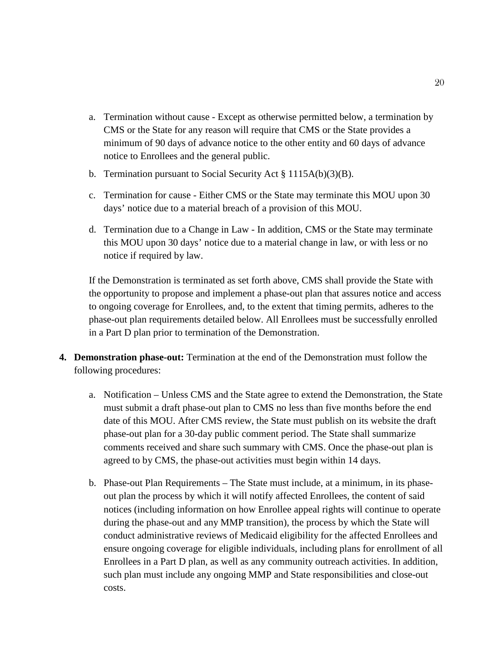- a. Termination without cause Except as otherwise permitted below, a termination by CMS or the State for any reason will require that CMS or the State provides a minimum of 90 days of advance notice to the other entity and 60 days of advance notice to Enrollees and the general public.
- b. Termination pursuant to Social Security Act § 1115A(b)(3)(B).
- c. Termination for cause Either CMS or the State may terminate this MOU upon 30 days' notice due to a material breach of a provision of this MOU.
- d. Termination due to a Change in Law In addition, CMS or the State may terminate this MOU upon 30 days' notice due to a material change in law, or with less or no notice if required by law.

If the Demonstration is terminated as set forth above, CMS shall provide the State with the opportunity to propose and implement a phase-out plan that assures notice and access to ongoing coverage for Enrollees, and, to the extent that timing permits, adheres to the phase-out plan requirements detailed below. All Enrollees must be successfully enrolled in a Part D plan prior to termination of the Demonstration.

- **4. Demonstration phase-out:** Termination at the end of the Demonstration must follow the following procedures:
	- a. Notification Unless CMS and the State agree to extend the Demonstration, the State must submit a draft phase-out plan to CMS no less than five months before the end date of this MOU. After CMS review, the State must publish on its website the draft phase-out plan for a 30-day public comment period. The State shall summarize comments received and share such summary with CMS. Once the phase-out plan is agreed to by CMS, the phase-out activities must begin within 14 days.
	- b. Phase-out Plan Requirements The State must include, at a minimum, in its phaseout plan the process by which it will notify affected Enrollees, the content of said notices (including information on how Enrollee appeal rights will continue to operate during the phase-out and any MMP transition), the process by which the State will conduct administrative reviews of Medicaid eligibility for the affected Enrollees and ensure ongoing coverage for eligible individuals, including plans for enrollment of all Enrollees in a Part D plan, as well as any community outreach activities. In addition, such plan must include any ongoing MMP and State responsibilities and close-out costs.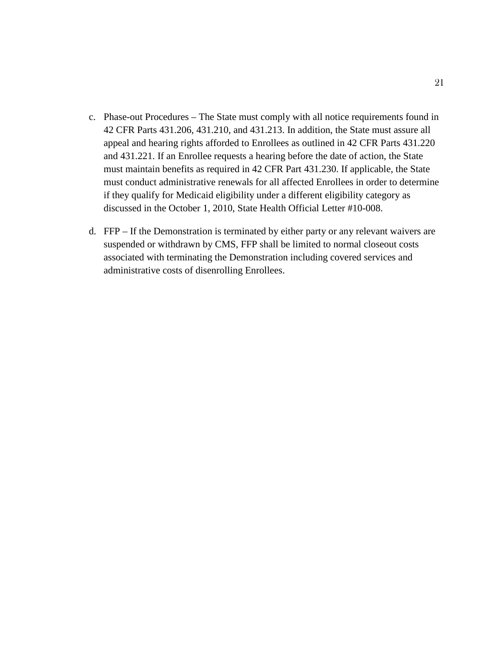- c. Phase-out Procedures The State must comply with all notice requirements found in 42 CFR Parts 431.206, 431.210, and 431.213. In addition, the State must assure all appeal and hearing rights afforded to Enrollees as outlined in 42 CFR Parts 431.220 and 431.221. If an Enrollee requests a hearing before the date of action, the State must maintain benefits as required in 42 CFR Part 431.230. If applicable, the State must conduct administrative renewals for all affected Enrollees in order to determine if they qualify for Medicaid eligibility under a different eligibility category as discussed in the October 1, 2010, State Health Official Letter #10-008.
- d. FFP If the Demonstration is terminated by either party or any relevant waivers are suspended or withdrawn by CMS, FFP shall be limited to normal closeout costs associated with terminating the Demonstration including covered services and administrative costs of disenrolling Enrollees.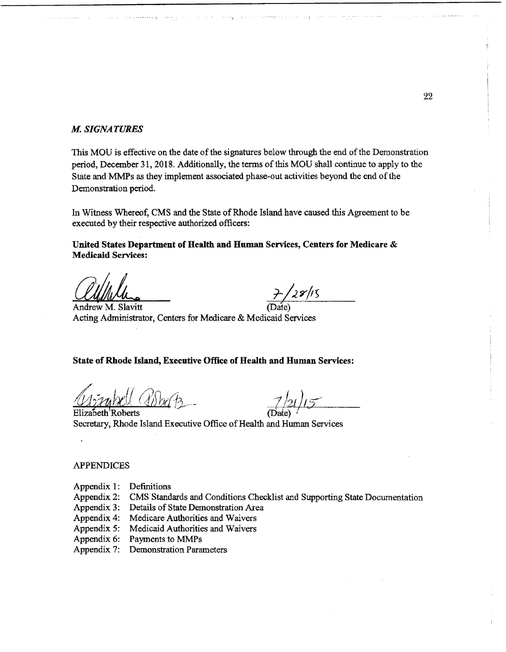#### M. *SIGNATURES*

This MOU is effective on the date of the signatures below through the end of the Demonstration period, December 31, 2018. Additionally, the terms of this MOU shall continue to apply to the State and MMPs as they implement associated phase-out activities beyond the end ofthe Demonstration period.

.<br>د فاقت الرابط و التي الم الروايد و و من الروايد التي توسط الموجود الأول و التي التي يوم الروايد التي

In Witness Whereof, CMS and the State of Rhode Island have caused this Agreement to be executed by their respective authorized officers:

United States Department of Health and Human Services, Centers for Medicare & Medicaid Services:

Medicaid Services:<br>
Clump du antique de la production de la production de la production de la production de la production de la production de la production de la production de la production de la production de la producti  $\frac{1}{2}$ /28/15<br>Andrew M. Slavitt (Date) Acting Administrator, Centers for Medicare & Medicaid Services

State of Rhode Island, Executive Office of Health and Human Services:

Elizabeth Roberts Secretary, Rhode Island Executive Office of Health and Human Services

#### APPENDICES

- Appendix 1: Definitions
- Appendix 2: CMS Standards and Conditions Checklist and Supporting State Documentation
- Appendix 3: Details of State Demonstration Area
- Appendix 4: Medicare Authorities and Waivers
- Appendix 5: Medicaid Authorities and Waivers
- Appendix 6: Payments to MMPs

Appendix 7: Demonstration Parameters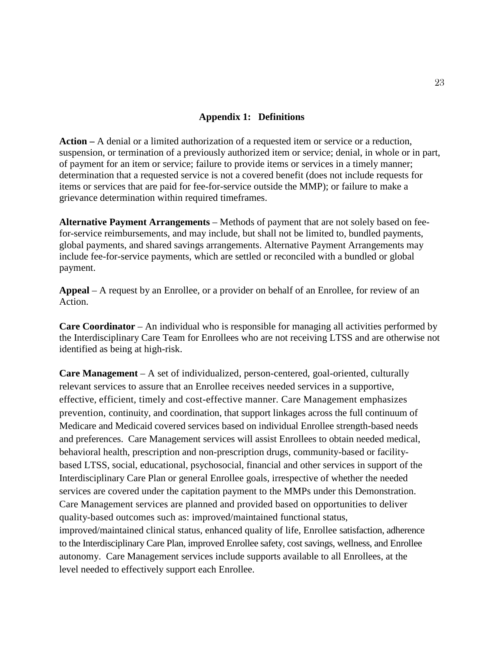#### **Appendix 1: Definitions**

<span id="page-24-0"></span>**Action –** A denial or a limited authorization of a requested item or service or a reduction, suspension, or termination of a previously authorized item or service; denial, in whole or in part, of payment for an item or service; failure to provide items or services in a timely manner; determination that a requested service is not a covered benefit (does not include requests for items or services that are paid for fee-for-service outside the MMP); or failure to make a grievance determination within required timeframes.

**Alternative Payment Arrangements** – Methods of payment that are not solely based on feefor-service reimbursements, and may include, but shall not be limited to, bundled payments, global payments, and shared savings arrangements. Alternative Payment Arrangements may include fee-for-service payments, which are settled or reconciled with a bundled or global payment.

**Appeal** – A request by an Enrollee, or a provider on behalf of an Enrollee, for review of an Action.

**Care Coordinator** – An individual who is responsible for managing all activities performed by the Interdisciplinary Care Team for Enrollees who are not receiving LTSS and are otherwise not identified as being at high-risk.

**Care Management** – A set of individualized, person-centered, goal-oriented, culturally relevant services to assure that an Enrollee receives needed services in a supportive, effective, efficient, timely and cost-effective manner. Care Management emphasizes prevention, continuity, and coordination, that support linkages across the full continuum of Medicare and Medicaid covered services based on individual Enrollee strength-based needs and preferences. Care Management services will assist Enrollees to obtain needed medical, behavioral health, prescription and non-prescription drugs, community-based or facilitybased LTSS, social, educational, psychosocial, financial and other services in support of the Interdisciplinary Care Plan or general Enrollee goals, irrespective of whether the needed services are covered under the capitation payment to the MMPs under this Demonstration. Care Management services are planned and provided based on opportunities to deliver quality-based outcomes such as: improved/maintained functional status, improved/maintained clinical status, enhanced quality of life, Enrollee satisfaction, adherence to the Interdisciplinary Care Plan, improved Enrollee safety, cost savings, wellness, and Enrollee autonomy. Care Management services include supports available to all Enrollees, at the level needed to effectively support each Enrollee.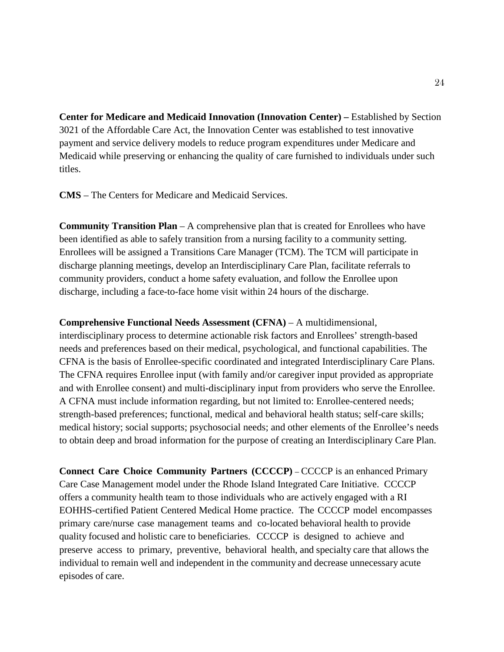**Center for Medicare and Medicaid Innovation (Innovation Center) –** Established by Section 3021 of the Affordable Care Act, the Innovation Center was established to test innovative payment and service delivery models to reduce program expenditures under Medicare and Medicaid while preserving or enhancing the quality of care furnished to individuals under such titles.

**CMS** – The Centers for Medicare and Medicaid Services.

**Community Transition Plan** – A comprehensive plan that is created for Enrollees who have been identified as able to safely transition from a nursing facility to a community setting. Enrollees will be assigned a Transitions Care Manager (TCM). The TCM will participate in discharge planning meetings, develop an Interdisciplinary Care Plan, facilitate referrals to community providers, conduct a home safety evaluation, and follow the Enrollee upon discharge, including a face-to-face home visit within 24 hours of the discharge.

**Comprehensive Functional Needs Assessment (CFNA)** – A multidimensional, interdisciplinary process to determine actionable risk factors and Enrollees' strength-based needs and preferences based on their medical, psychological, and functional capabilities. The CFNA is the basis of Enrollee-specific coordinated and integrated Interdisciplinary Care Plans. The CFNA requires Enrollee input (with family and/or caregiver input provided as appropriate and with Enrollee consent) and multi-disciplinary input from providers who serve the Enrollee. A CFNA must include information regarding, but not limited to: Enrollee-centered needs; strength-based preferences; functional, medical and behavioral health status; self-care skills; medical history; social supports; psychosocial needs; and other elements of the Enrollee's needs to obtain deep and broad information for the purpose of creating an Interdisciplinary Care Plan.

**Connect Care Choice Community Partners (CCCCP)** – CCCCP is an enhanced Primary Care Case Management model under the Rhode Island Integrated Care Initiative. CCCCP offers a community health team to those individuals who are actively engaged with a RI EOHHS-certified Patient Centered Medical Home practice. The CCCCP model encompasses primary care/nurse case management teams and co-located behavioral health to provide quality focused and holistic care to beneficiaries. CCCCP is designed to achieve and preserve access to primary, preventive, behavioral health, and specialty care that allows the individual to remain well and independent in the community and decrease unnecessary acute episodes of care.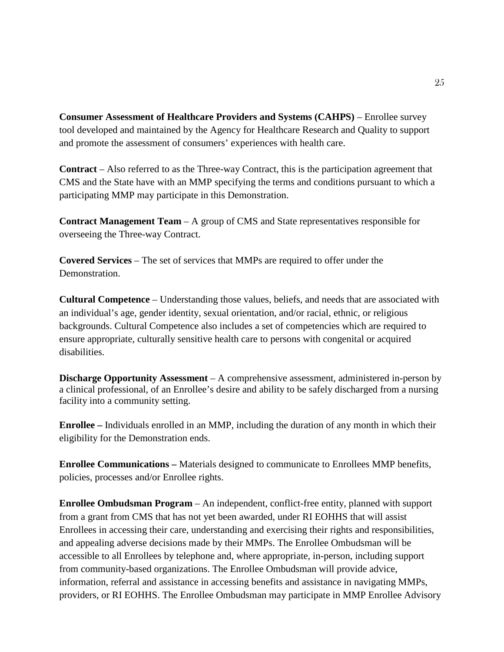**Consumer Assessment of Healthcare Providers and Systems (CAHPS)** – Enrollee survey tool developed and maintained by the Agency for Healthcare Research and Quality to support and promote the assessment of consumers' experiences with health care.

**Contract** – Also referred to as the Three-way Contract, this is the participation agreement that CMS and the State have with an MMP specifying the terms and conditions pursuant to which a participating MMP may participate in this Demonstration.

**Contract Management Team** – A group of CMS and State representatives responsible for overseeing the Three-way Contract.

**Covered Services** – The set of services that MMPs are required to offer under the Demonstration.

**Cultural Competence** – Understanding those values, beliefs, and needs that are associated with an individual's age, gender identity, sexual orientation, and/or racial, ethnic, or religious backgrounds. Cultural Competence also includes a set of competencies which are required to ensure appropriate, culturally sensitive health care to persons with congenital or acquired disabilities.

**Discharge Opportunity Assessment** – A comprehensive assessment, administered in-person by a clinical professional, of an Enrollee's desire and ability to be safely discharged from a nursing facility into a community setting.

**Enrollee –** Individuals enrolled in an MMP, including the duration of any month in which their eligibility for the Demonstration ends.

**Enrollee Communications –** Materials designed to communicate to Enrollees MMP benefits, policies, processes and/or Enrollee rights.

**Enrollee Ombudsman Program** – An independent, conflict-free entity, planned with support from a grant from CMS that has not yet been awarded, under RI EOHHS that will assist Enrollees in accessing their care, understanding and exercising their rights and responsibilities, and appealing adverse decisions made by their MMPs. The Enrollee Ombudsman will be accessible to all Enrollees by telephone and, where appropriate, in-person, including support from community-based organizations. The Enrollee Ombudsman will provide advice, information, referral and assistance in accessing benefits and assistance in navigating MMPs, providers, or RI EOHHS. The Enrollee Ombudsman may participate in MMP Enrollee Advisory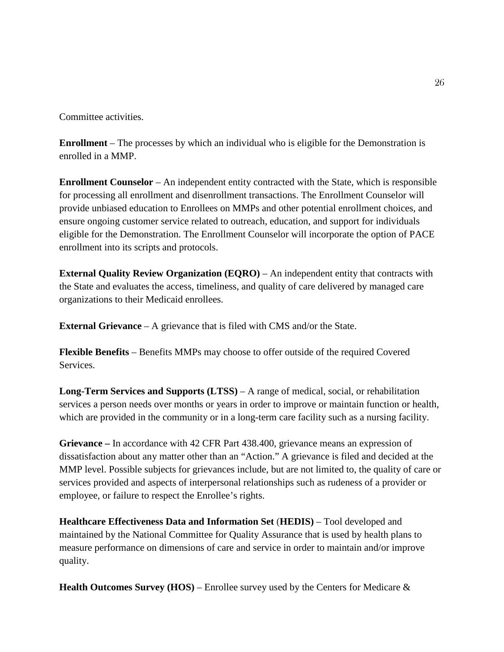Committee activities.

**Enrollment** – The processes by which an individual who is eligible for the Demonstration is enrolled in a MMP.

**Enrollment Counselor** – An independent entity contracted with the State, which is responsible for processing all enrollment and disenrollment transactions. The Enrollment Counselor will provide unbiased education to Enrollees on MMPs and other potential enrollment choices, and ensure ongoing customer service related to outreach, education, and support for individuals eligible for the Demonstration. The Enrollment Counselor will incorporate the option of PACE enrollment into its scripts and protocols.

**External Quality Review Organization (EQRO)** – An independent entity that contracts with the State and evaluates the access, timeliness, and quality of care delivered by managed care organizations to their Medicaid enrollees.

**External Grievance** – A grievance that is filed with CMS and/or the State.

**Flexible Benefits** – Benefits MMPs may choose to offer outside of the required Covered Services.

**Long-Term Services and Supports (LTSS)** – A range of medical, social, or rehabilitation services a person needs over months or years in order to improve or maintain function or health, which are provided in the community or in a long-term care facility such as a nursing facility.

**Grievance –** In accordance with 42 CFR Part 438.400, grievance means an expression of dissatisfaction about any matter other than an "Action." A grievance is filed and decided at the MMP level. Possible subjects for grievances include, but are not limited to, the quality of care or services provided and aspects of interpersonal relationships such as rudeness of a provider or employee, or failure to respect the Enrollee's rights.

**Healthcare Effectiveness Data and Information Set** (**HEDIS)** – Tool developed and maintained by the National Committee for Quality Assurance that is used by health plans to measure performance on dimensions of care and service in order to maintain and/or improve quality.

**Health Outcomes Survey (HOS)** – Enrollee survey used by the Centers for Medicare &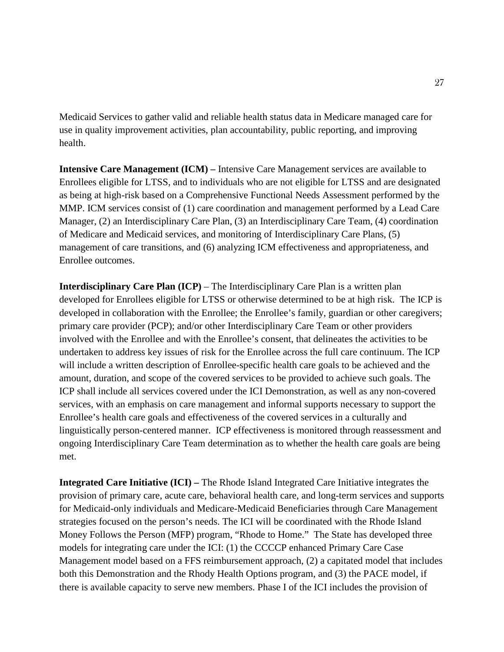Medicaid Services to gather valid and reliable health status data in Medicare managed care for use in quality improvement activities, plan accountability, public reporting, and improving health.

**Intensive Care Management (ICM) –** Intensive Care Management services are available to Enrollees eligible for LTSS, and to individuals who are not eligible for LTSS and are designated as being at high-risk based on a Comprehensive Functional Needs Assessment performed by the MMP. ICM services consist of (1) care coordination and management performed by a Lead Care Manager, (2) an Interdisciplinary Care Plan, (3) an Interdisciplinary Care Team, (4) coordination of Medicare and Medicaid services, and monitoring of Interdisciplinary Care Plans, (5) management of care transitions, and (6) analyzing ICM effectiveness and appropriateness, and Enrollee outcomes.

**Interdisciplinary Care Plan (ICP)** – The Interdisciplinary Care Plan is a written plan developed for Enrollees eligible for LTSS or otherwise determined to be at high risk. The ICP is developed in collaboration with the Enrollee; the Enrollee's family, guardian or other caregivers; primary care provider (PCP); and/or other Interdisciplinary Care Team or other providers involved with the Enrollee and with the Enrollee's consent, that delineates the activities to be undertaken to address key issues of risk for the Enrollee across the full care continuum. The ICP will include a written description of Enrollee-specific health care goals to be achieved and the amount, duration, and scope of the covered services to be provided to achieve such goals. The ICP shall include all services covered under the ICI Demonstration, as well as any non-covered services, with an emphasis on care management and informal supports necessary to support the Enrollee's health care goals and effectiveness of the covered services in a culturally and linguistically person-centered manner. ICP effectiveness is monitored through reassessment and ongoing Interdisciplinary Care Team determination as to whether the health care goals are being met.

**Integrated Care Initiative (ICI) –** The Rhode Island Integrated Care Initiative integrates the provision of primary care, acute care, behavioral health care, and long-term services and supports for Medicaid-only individuals and Medicare-Medicaid Beneficiaries through Care Management strategies focused on the person's needs. The ICI will be coordinated with the Rhode Island Money Follows the Person (MFP) program, "Rhode to Home." The State has developed three models for integrating care under the ICI: (1) the CCCCP enhanced Primary Care Case Management model based on a FFS reimbursement approach, (2) a capitated model that includes both this Demonstration and the Rhody Health Options program, and (3) the PACE model, if there is available capacity to serve new members. Phase I of the ICI includes the provision of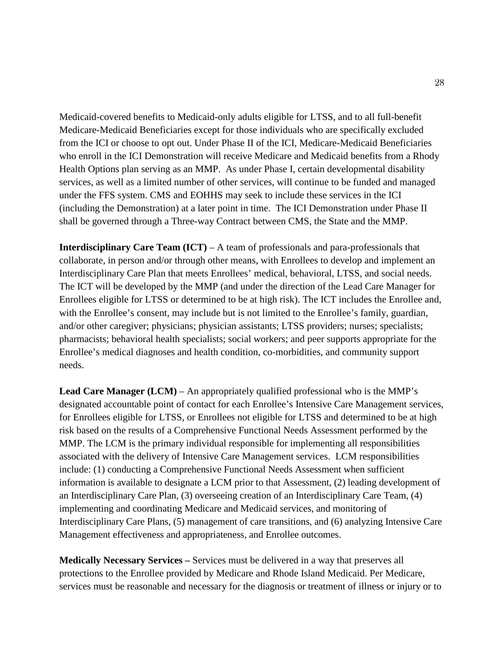Medicaid-covered benefits to Medicaid-only adults eligible for LTSS, and to all full-benefit Medicare-Medicaid Beneficiaries except for those individuals who are specifically excluded from the ICI or choose to opt out. Under Phase II of the ICI, Medicare-Medicaid Beneficiaries who enroll in the ICI Demonstration will receive Medicare and Medicaid benefits from a Rhody Health Options plan serving as an MMP. As under Phase I, certain developmental disability services, as well as a limited number of other services, will continue to be funded and managed under the FFS system. CMS and EOHHS may seek to include these services in the ICI (including the Demonstration) at a later point in time. The ICI Demonstration under Phase II shall be governed through a Three-way Contract between CMS, the State and the MMP.

**Interdisciplinary Care Team (ICT)** – A team of professionals and para-professionals that collaborate, in person and/or through other means, with Enrollees to develop and implement an Interdisciplinary Care Plan that meets Enrollees' medical, behavioral, LTSS, and social needs. The ICT will be developed by the MMP (and under the direction of the Lead Care Manager for Enrollees eligible for LTSS or determined to be at high risk). The ICT includes the Enrollee and, with the Enrollee's consent, may include but is not limited to the Enrollee's family, guardian, and/or other caregiver; physicians; physician assistants; LTSS providers; nurses; specialists; pharmacists; behavioral health specialists; social workers; and peer supports appropriate for the Enrollee's medical diagnoses and health condition, co-morbidities, and community support needs.

**Lead Care Manager (LCM)** – An appropriately qualified professional who is the MMP's designated accountable point of contact for each Enrollee's Intensive Care Management services, for Enrollees eligible for LTSS, or Enrollees not eligible for LTSS and determined to be at high risk based on the results of a Comprehensive Functional Needs Assessment performed by the MMP. The LCM is the primary individual responsible for implementing all responsibilities associated with the delivery of Intensive Care Management services. LCM responsibilities include: (1) conducting a Comprehensive Functional Needs Assessment when sufficient information is available to designate a LCM prior to that Assessment, (2) leading development of an Interdisciplinary Care Plan, (3) overseeing creation of an Interdisciplinary Care Team, (4) implementing and coordinating Medicare and Medicaid services, and monitoring of Interdisciplinary Care Plans, (5) management of care transitions, and (6) analyzing Intensive Care Management effectiveness and appropriateness, and Enrollee outcomes.

**Medically Necessary Services –** Services must be delivered in a way that preserves all protections to the Enrollee provided by Medicare and Rhode Island Medicaid. Per Medicare, services must be reasonable and necessary for the diagnosis or treatment of illness or injury or to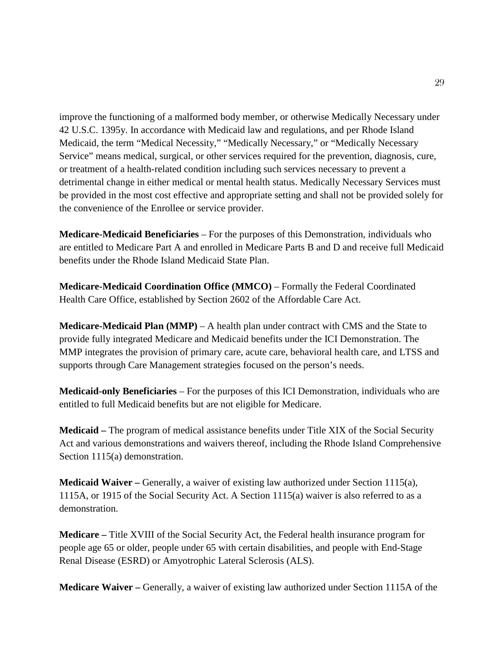improve the functioning of a malformed body member, or otherwise Medically Necessary under 42 U.S.C. 1395y. In accordance with Medicaid law and regulations, and per Rhode Island Medicaid, the term "Medical Necessity," "Medically Necessary," or "Medically Necessary Service" means medical, surgical, or other services required for the prevention, diagnosis, cure, or treatment of a health-related condition including such services necessary to prevent a detrimental change in either medical or mental health status. Medically Necessary Services must be provided in the most cost effective and appropriate setting and shall not be provided solely for the convenience of the Enrollee or service provider.

**Medicare-Medicaid Beneficiaries** – For the purposes of this Demonstration, individuals who are entitled to Medicare Part A and enrolled in Medicare Parts B and D and receive full Medicaid benefits under the Rhode Island Medicaid State Plan.

**Medicare-Medicaid Coordination Office (MMCO)** – Formally the Federal Coordinated Health Care Office, established by Section 2602 of the Affordable Care Act.

**Medicare-Medicaid Plan (MMP)** – A health plan under contract with CMS and the State to provide fully integrated Medicare and Medicaid benefits under the ICI Demonstration. The MMP integrates the provision of primary care, acute care, behavioral health care, and LTSS and supports through Care Management strategies focused on the person's needs.

**Medicaid-only Beneficiaries** – For the purposes of this ICI Demonstration, individuals who are entitled to full Medicaid benefits but are not eligible for Medicare.

**Medicaid –** The program of medical assistance benefits under Title XIX of the Social Security Act and various demonstrations and waivers thereof, including the Rhode Island Comprehensive Section 1115(a) demonstration.

**Medicaid Waiver –** Generally, a waiver of existing law authorized under Section 1115(a), 1115A, or 1915 of the Social Security Act. A Section 1115(a) waiver is also referred to as a demonstration.

**Medicare –** Title XVIII of the Social Security Act, the Federal health insurance program for people age 65 or older, people under 65 with certain disabilities, and people with End-Stage Renal Disease (ESRD) or Amyotrophic Lateral Sclerosis (ALS).

**Medicare Waiver –** Generally, a waiver of existing law authorized under Section 1115A of the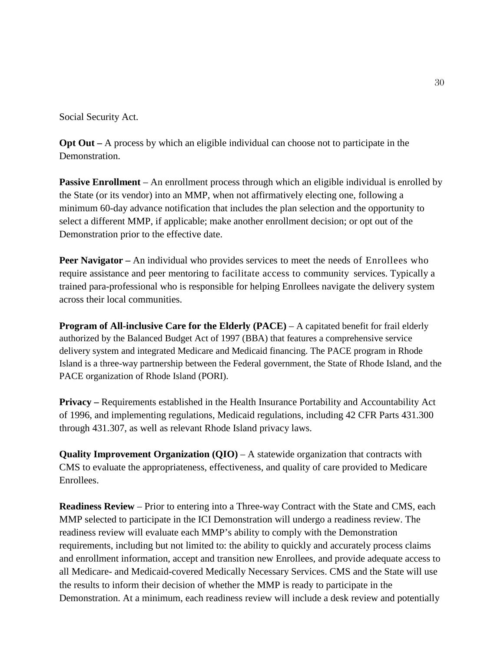Social Security Act.

**Opt Out –** A process by which an eligible individual can choose not to participate in the Demonstration.

**Passive Enrollment** – An enrollment process through which an eligible individual is enrolled by the State (or its vendor) into an MMP, when not affirmatively electing one, following a minimum 60-day advance notification that includes the plan selection and the opportunity to select a different MMP, if applicable; make another enrollment decision; or opt out of the Demonstration prior to the effective date.

**Peer Navigator –** An individual who provides services to meet the needs of Enrollees who require assistance and peer mentoring to facilitate access to community services. Typically a trained para-professional who is responsible for helping Enrollees navigate the delivery system across their local communities.

**Program of All-inclusive Care for the Elderly (PACE)** – A capitated benefit for frail elderly authorized by the Balanced Budget Act of 1997 (BBA) that features a comprehensive service delivery system and integrated Medicare and Medicaid financing. The PACE program in Rhode Island is a three-way partnership between the Federal government, the State of Rhode Island, and the PACE organization of Rhode Island (PORI).

**Privacy** – Requirements established in the Health Insurance Portability and Accountability Act of 1996, and implementing regulations, Medicaid regulations, including 42 CFR Parts 431.300 through 431.307, as well as relevant Rhode Island privacy laws.

**Quality Improvement Organization (QIO)** – A statewide organization that contracts with CMS to evaluate the appropriateness, effectiveness, and quality of care provided to Medicare Enrollees.

**Readiness Review** – Prior to entering into a Three-way Contract with the State and CMS, each MMP selected to participate in the ICI Demonstration will undergo a readiness review. The readiness review will evaluate each MMP's ability to comply with the Demonstration requirements, including but not limited to: the ability to quickly and accurately process claims and enrollment information, accept and transition new Enrollees, and provide adequate access to all Medicare- and Medicaid-covered Medically Necessary Services. CMS and the State will use the results to inform their decision of whether the MMP is ready to participate in the Demonstration. At a minimum, each readiness review will include a desk review and potentially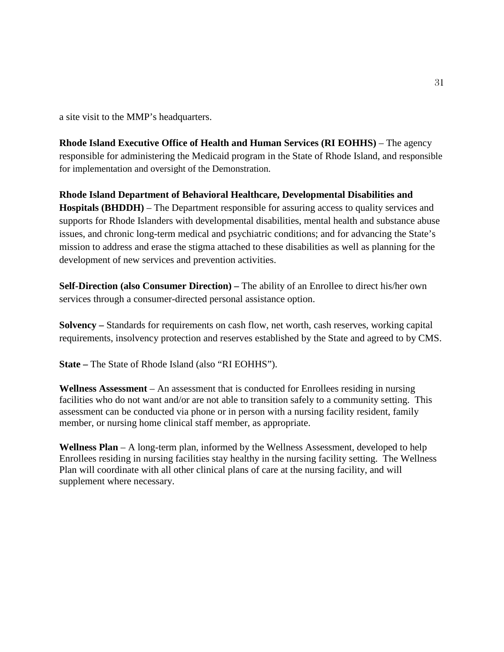a site visit to the MMP's headquarters.

**Rhode Island Executive Office of Health and Human Services (RI EOHHS)** – The agency responsible for administering the Medicaid program in the State of Rhode Island, and responsible for implementation and oversight of the Demonstration.

**Rhode Island Department of Behavioral Healthcare, Developmental Disabilities and Hospitals (BHDDH)** – The Department responsible for assuring access to quality services and supports for Rhode Islanders with developmental disabilities, mental health and substance abuse issues, and chronic long-term medical and psychiatric conditions; and for advancing the State's mission to address and erase the stigma attached to these disabilities as well as planning for the development of new services and prevention activities.

**Self-Direction (also Consumer Direction) –** The ability of an Enrollee to direct his/her own services through a consumer-directed personal assistance option.

**Solvency –** Standards for requirements on cash flow, net worth, cash reserves, working capital requirements, insolvency protection and reserves established by the State and agreed to by CMS.

**State –** The State of Rhode Island (also "RI EOHHS").

**Wellness Assessment** – An assessment that is conducted for Enrollees residing in nursing facilities who do not want and/or are not able to transition safely to a community setting. This assessment can be conducted via phone or in person with a nursing facility resident, family member, or nursing home clinical staff member, as appropriate.

**Wellness Plan** – A long-term plan, informed by the Wellness Assessment, developed to help Enrollees residing in nursing facilities stay healthy in the nursing facility setting. The Wellness Plan will coordinate with all other clinical plans of care at the nursing facility, and will supplement where necessary.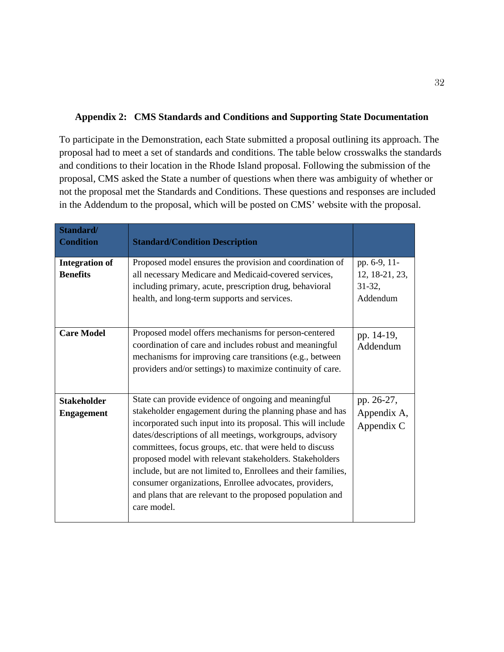### <span id="page-33-0"></span>**Appendix 2: CMS Standards and Conditions and Supporting State Documentation**

To participate in the Demonstration, each State submitted a proposal outlining its approach. The proposal had to meet a set of standards and conditions. The table below crosswalks the standards and conditions to their location in the Rhode Island proposal. Following the submission of the proposal, CMS asked the State a number of questions when there was ambiguity of whether or not the proposal met the Standards and Conditions. These questions and responses are included in the Addendum to the proposal, which will be posted on CMS' website with the proposal.

| Standard/<br><b>Condition</b>            | <b>Standard/Condition Description</b>                                                                                                                                                                                                                                                                                                                                                                                                                                                                                                                                        |                                                        |
|------------------------------------------|------------------------------------------------------------------------------------------------------------------------------------------------------------------------------------------------------------------------------------------------------------------------------------------------------------------------------------------------------------------------------------------------------------------------------------------------------------------------------------------------------------------------------------------------------------------------------|--------------------------------------------------------|
| <b>Integration of</b><br><b>Benefits</b> | Proposed model ensures the provision and coordination of<br>all necessary Medicare and Medicaid-covered services,<br>including primary, acute, prescription drug, behavioral<br>health, and long-term supports and services.                                                                                                                                                                                                                                                                                                                                                 | pp. 6-9, 11-<br>12, 18-21, 23,<br>$31-32,$<br>Addendum |
| <b>Care Model</b>                        | Proposed model offers mechanisms for person-centered<br>coordination of care and includes robust and meaningful<br>mechanisms for improving care transitions (e.g., between<br>providers and/or settings) to maximize continuity of care.                                                                                                                                                                                                                                                                                                                                    | pp. 14-19,<br>Addendum                                 |
| <b>Stakeholder</b><br><b>Engagement</b>  | State can provide evidence of ongoing and meaningful<br>stakeholder engagement during the planning phase and has<br>incorporated such input into its proposal. This will include<br>dates/descriptions of all meetings, workgroups, advisory<br>committees, focus groups, etc. that were held to discuss<br>proposed model with relevant stakeholders. Stakeholders<br>include, but are not limited to, Enrollees and their families,<br>consumer organizations, Enrollee advocates, providers,<br>and plans that are relevant to the proposed population and<br>care model. | pp. 26-27,<br>Appendix A,<br>Appendix C                |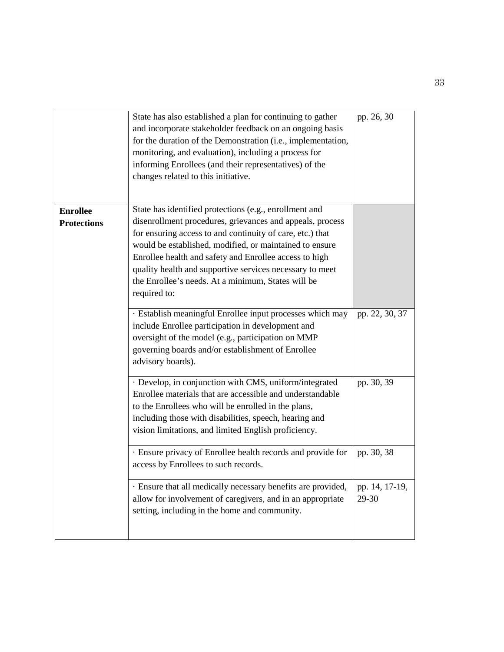|                    | State has also established a plan for continuing to gather<br>and incorporate stakeholder feedback on an ongoing basis<br>for the duration of the Demonstration (i.e., implementation,<br>monitoring, and evaluation), including a process for<br>informing Enrollees (and their representatives) of the<br>changes related to this initiative. | pp. 26, 30     |
|--------------------|-------------------------------------------------------------------------------------------------------------------------------------------------------------------------------------------------------------------------------------------------------------------------------------------------------------------------------------------------|----------------|
| <b>Enrollee</b>    | State has identified protections (e.g., enrollment and                                                                                                                                                                                                                                                                                          |                |
| <b>Protections</b> | disenrollment procedures, grievances and appeals, process                                                                                                                                                                                                                                                                                       |                |
|                    | for ensuring access to and continuity of care, etc.) that                                                                                                                                                                                                                                                                                       |                |
|                    | would be established, modified, or maintained to ensure                                                                                                                                                                                                                                                                                         |                |
|                    |                                                                                                                                                                                                                                                                                                                                                 |                |
|                    | Enrollee health and safety and Enrollee access to high                                                                                                                                                                                                                                                                                          |                |
|                    | quality health and supportive services necessary to meet                                                                                                                                                                                                                                                                                        |                |
|                    | the Enrollee's needs. At a minimum, States will be                                                                                                                                                                                                                                                                                              |                |
|                    | required to:                                                                                                                                                                                                                                                                                                                                    |                |
|                    |                                                                                                                                                                                                                                                                                                                                                 |                |
|                    | · Establish meaningful Enrollee input processes which may                                                                                                                                                                                                                                                                                       | pp. 22, 30, 37 |
|                    | include Enrollee participation in development and                                                                                                                                                                                                                                                                                               |                |
|                    | oversight of the model (e.g., participation on MMP                                                                                                                                                                                                                                                                                              |                |
|                    | governing boards and/or establishment of Enrollee                                                                                                                                                                                                                                                                                               |                |
|                    | advisory boards).                                                                                                                                                                                                                                                                                                                               |                |
|                    |                                                                                                                                                                                                                                                                                                                                                 |                |
|                    | · Develop, in conjunction with CMS, uniform/integrated                                                                                                                                                                                                                                                                                          | pp. 30, 39     |
|                    | Enrollee materials that are accessible and understandable                                                                                                                                                                                                                                                                                       |                |
|                    | to the Enrollees who will be enrolled in the plans,                                                                                                                                                                                                                                                                                             |                |
|                    | including those with disabilities, speech, hearing and                                                                                                                                                                                                                                                                                          |                |
|                    | vision limitations, and limited English proficiency.                                                                                                                                                                                                                                                                                            |                |
|                    | · Ensure privacy of Enrollee health records and provide for                                                                                                                                                                                                                                                                                     | pp. 30, 38     |
|                    | access by Enrollees to such records.                                                                                                                                                                                                                                                                                                            |                |
|                    |                                                                                                                                                                                                                                                                                                                                                 |                |
|                    | · Ensure that all medically necessary benefits are provided,                                                                                                                                                                                                                                                                                    | pp. 14, 17-19, |
|                    | allow for involvement of caregivers, and in an appropriate                                                                                                                                                                                                                                                                                      | 29-30          |
|                    | setting, including in the home and community.                                                                                                                                                                                                                                                                                                   |                |
|                    |                                                                                                                                                                                                                                                                                                                                                 |                |
|                    |                                                                                                                                                                                                                                                                                                                                                 |                |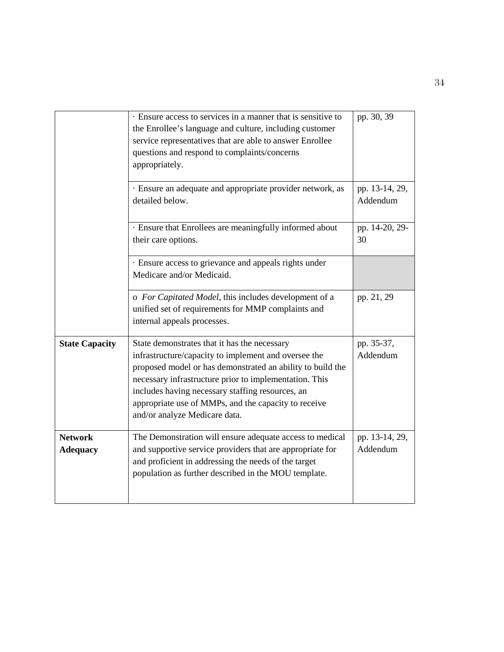|                                   | Ensure access to services in a manner that is sensitive to<br>the Enrollee's language and culture, including customer<br>service representatives that are able to answer Enrollee<br>questions and respond to complaints/concerns<br>appropriately.                                                                                                                       | pp. 30, 39                 |
|-----------------------------------|---------------------------------------------------------------------------------------------------------------------------------------------------------------------------------------------------------------------------------------------------------------------------------------------------------------------------------------------------------------------------|----------------------------|
|                                   | · Ensure an adequate and appropriate provider network, as<br>detailed below.                                                                                                                                                                                                                                                                                              | pp. 13-14, 29,<br>Addendum |
|                                   | · Ensure that Enrollees are meaningfully informed about<br>their care options.                                                                                                                                                                                                                                                                                            | pp. 14-20, 29-<br>30       |
|                                   | · Ensure access to grievance and appeals rights under<br>Medicare and/or Medicaid.                                                                                                                                                                                                                                                                                        |                            |
|                                   | o For Capitated Model, this includes development of a<br>unified set of requirements for MMP complaints and<br>internal appeals processes.                                                                                                                                                                                                                                | pp. 21, 29                 |
| <b>State Capacity</b>             | State demonstrates that it has the necessary<br>infrastructure/capacity to implement and oversee the<br>proposed model or has demonstrated an ability to build the<br>necessary infrastructure prior to implementation. This<br>includes having necessary staffing resources, an<br>appropriate use of MMPs, and the capacity to receive<br>and/or analyze Medicare data. | pp. 35-37,<br>Addendum     |
| <b>Network</b><br><b>Adequacy</b> | The Demonstration will ensure adequate access to medical<br>and supportive service providers that are appropriate for<br>and proficient in addressing the needs of the target<br>population as further described in the MOU template.                                                                                                                                     | pp. 13-14, 29,<br>Addendum |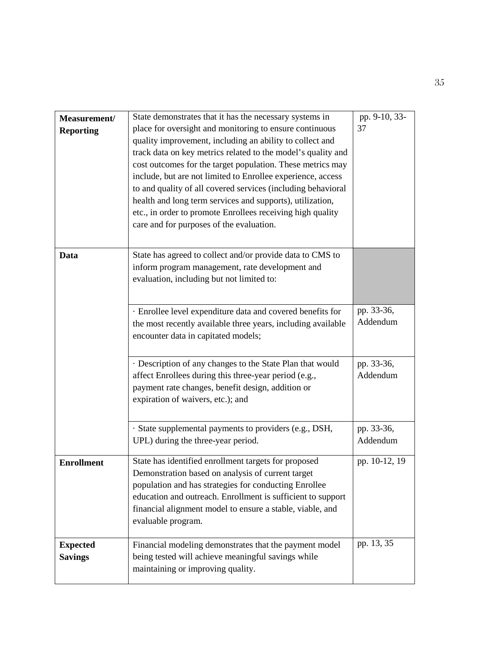| Measurement/<br><b>Reporting</b>  | State demonstrates that it has the necessary systems in<br>place for oversight and monitoring to ensure continuous<br>quality improvement, including an ability to collect and<br>track data on key metrics related to the model's quality and<br>cost outcomes for the target population. These metrics may<br>include, but are not limited to Enrollee experience, access<br>to and quality of all covered services (including behavioral<br>health and long term services and supports), utilization,<br>etc., in order to promote Enrollees receiving high quality<br>care and for purposes of the evaluation. | pp. 9-10, 33-<br>37    |
|-----------------------------------|--------------------------------------------------------------------------------------------------------------------------------------------------------------------------------------------------------------------------------------------------------------------------------------------------------------------------------------------------------------------------------------------------------------------------------------------------------------------------------------------------------------------------------------------------------------------------------------------------------------------|------------------------|
| Data                              | State has agreed to collect and/or provide data to CMS to<br>inform program management, rate development and<br>evaluation, including but not limited to:                                                                                                                                                                                                                                                                                                                                                                                                                                                          |                        |
|                                   | · Enrollee level expenditure data and covered benefits for<br>the most recently available three years, including available<br>encounter data in capitated models;                                                                                                                                                                                                                                                                                                                                                                                                                                                  | pp. 33-36,<br>Addendum |
|                                   | · Description of any changes to the State Plan that would<br>affect Enrollees during this three-year period (e.g.,<br>payment rate changes, benefit design, addition or<br>expiration of waivers, etc.); and                                                                                                                                                                                                                                                                                                                                                                                                       | pp. 33-36,<br>Addendum |
|                                   | · State supplemental payments to providers (e.g., DSH,<br>UPL) during the three-year period.                                                                                                                                                                                                                                                                                                                                                                                                                                                                                                                       | pp. 33-36,<br>Addendum |
| <b>Enrollment</b>                 | State has identified enrollment targets for proposed<br>Demonstration based on analysis of current target<br>population and has strategies for conducting Enrollee<br>education and outreach. Enrollment is sufficient to support<br>financial alignment model to ensure a stable, viable, and<br>evaluable program.                                                                                                                                                                                                                                                                                               | pp. 10-12, 19          |
| <b>Expected</b><br><b>Savings</b> | Financial modeling demonstrates that the payment model<br>being tested will achieve meaningful savings while<br>maintaining or improving quality.                                                                                                                                                                                                                                                                                                                                                                                                                                                                  | pp. 13, 35             |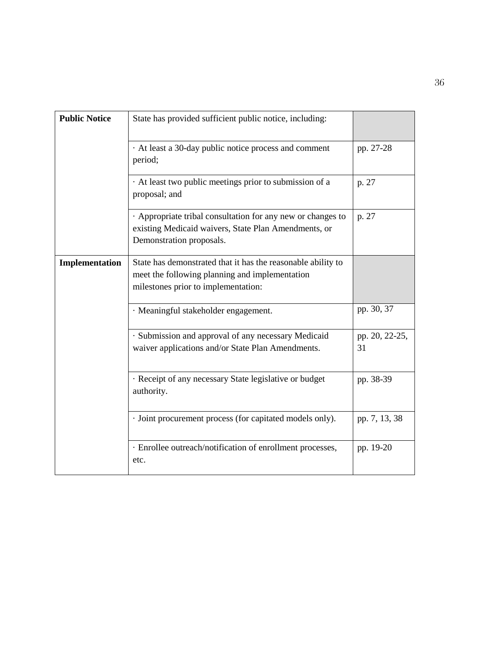| <b>Public Notice</b> | State has provided sufficient public notice, including:                                                                                               |                      |
|----------------------|-------------------------------------------------------------------------------------------------------------------------------------------------------|----------------------|
|                      | At least a 30-day public notice process and comment<br>period;                                                                                        | pp. 27-28            |
|                      | At least two public meetings prior to submission of a<br>proposal; and                                                                                | p. 27                |
|                      | Appropriate tribal consultation for any new or changes to<br>existing Medicaid waivers, State Plan Amendments, or<br>Demonstration proposals.         | p. 27                |
| Implementation       | State has demonstrated that it has the reasonable ability to<br>meet the following planning and implementation<br>milestones prior to implementation: |                      |
|                      | · Meaningful stakeholder engagement.                                                                                                                  | pp. 30, 37           |
|                      | · Submission and approval of any necessary Medicaid<br>waiver applications and/or State Plan Amendments.                                              | pp. 20, 22-25,<br>31 |
|                      | · Receipt of any necessary State legislative or budget<br>authority.                                                                                  | pp. 38-39            |
|                      | · Joint procurement process (for capitated models only).                                                                                              | pp. 7, 13, 38        |
|                      | · Enrollee outreach/notification of enrollment processes,<br>etc.                                                                                     | pp. 19-20            |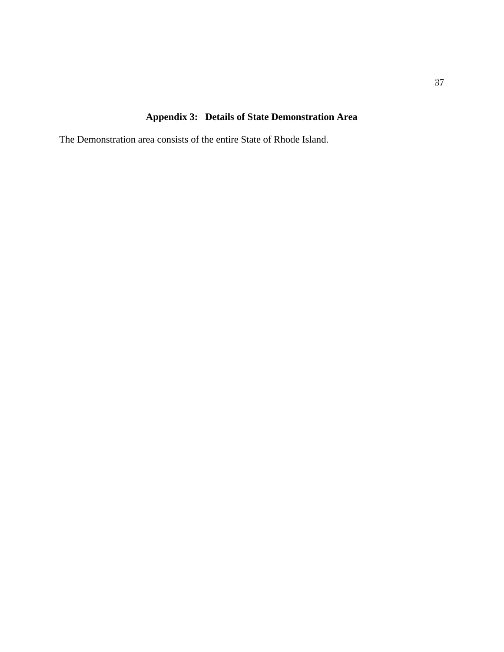## **Appendix 3: Details of State Demonstration Area**

The Demonstration area consists of the entire State of Rhode Island.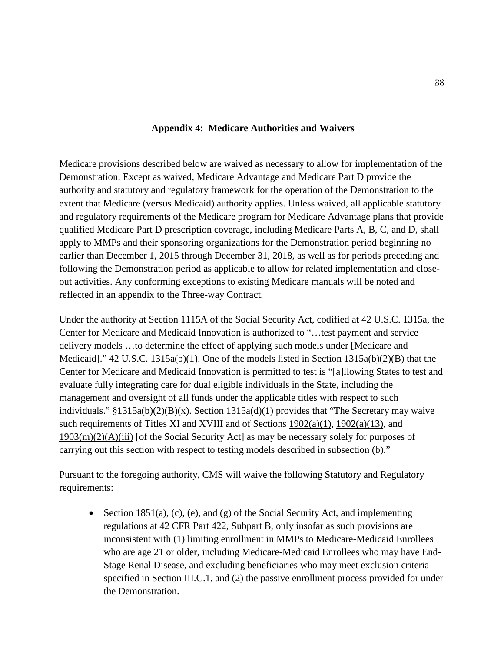## **Appendix 4: Medicare Authorities and Waivers**

Medicare provisions described below are waived as necessary to allow for implementation of the Demonstration. Except as waived, Medicare Advantage and Medicare Part D provide the authority and statutory and regulatory framework for the operation of the Demonstration to the extent that Medicare (versus Medicaid) authority applies. Unless waived, all applicable statutory and regulatory requirements of the Medicare program for Medicare Advantage plans that provide qualified Medicare Part D prescription coverage, including Medicare Parts A, B, C, and D, shall apply to MMPs and their sponsoring organizations for the Demonstration period beginning no earlier than December 1, 2015 through December 31, 2018, as well as for periods preceding and following the Demonstration period as applicable to allow for related implementation and closeout activities. Any conforming exceptions to existing Medicare manuals will be noted and reflected in an appendix to the Three-way Contract.

Under the authority at Section 1115A of the Social Security Act, codified at 42 U.S.C. 1315a, the Center for Medicare and Medicaid Innovation is authorized to "…test payment and service delivery models …to determine the effect of applying such models under [Medicare and Medicaid]." 42 U.S.C. 1315a(b)(1). One of the models listed in Section 1315a(b)(2)(B) that the Center for Medicare and Medicaid Innovation is permitted to test is "[a]llowing States to test and evaluate fully integrating care for dual eligible individuals in the State, including the management and oversight of all funds under the applicable titles with respect to such individuals." §1315a(b)(2)(B)(x). Section 1315a(d)(1) provides that "The Secretary may waive such requirements of Titles XI and XVIII and of Sections  $1902(a)(1)$ ,  $1902(a)(13)$ , and  $1903(m)(2)(A)(iii)$  [of the Social Security Act] as may be necessary solely for purposes of carrying out this section with respect to testing models described in subsection (b)."

Pursuant to the foregoing authority, CMS will waive the following Statutory and Regulatory requirements:

• Section 1851(a), (c), (e), and (g) of the Social Security Act, and implementing regulations at 42 CFR Part 422, Subpart B, only insofar as such provisions are inconsistent with (1) limiting enrollment in MMPs to Medicare-Medicaid Enrollees who are age 21 or older, including Medicare-Medicaid Enrollees who may have End-Stage Renal Disease, and excluding beneficiaries who may meet exclusion criteria specified in Section III.C.1, and (2) the passive enrollment process provided for under the Demonstration.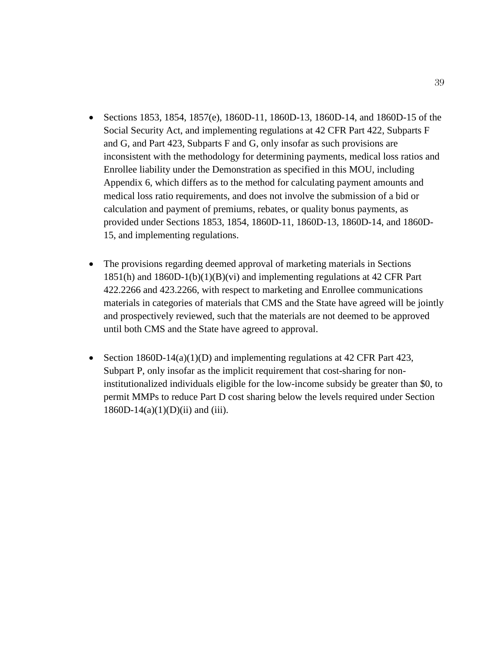- Sections 1853, 1854, 1857(e), 1860D-11, 1860D-13, 1860D-14, and 1860D-15 of the Social Security Act, and implementing regulations at 42 CFR Part 422, Subparts F and G, and Part 423, Subparts F and G, only insofar as such provisions are inconsistent with the methodology for determining payments, medical loss ratios and Enrollee liability under the Demonstration as specified in this MOU, including Appendix 6, which differs as to the method for calculating payment amounts and medical loss ratio requirements, and does not involve the submission of a bid or calculation and payment of premiums, rebates, or quality bonus payments, as provided under Sections 1853, 1854, 1860D-11, 1860D-13, 1860D-14, and 1860D-15, and implementing regulations.
- The provisions regarding deemed approval of marketing materials in Sections 1851(h) and 1860D-1(b)(1)(B)(vi) and implementing regulations at 42 CFR Part 422.2266 and 423.2266, with respect to marketing and Enrollee communications materials in categories of materials that CMS and the State have agreed will be jointly and prospectively reviewed, such that the materials are not deemed to be approved until both CMS and the State have agreed to approval.
- Section  $1860D-14(a)(1)(D)$  and implementing regulations at 42 CFR Part 423, Subpart P, only insofar as the implicit requirement that cost-sharing for noninstitutionalized individuals eligible for the low-income subsidy be greater than \$0, to permit MMPs to reduce Part D cost sharing below the levels required under Section  $1860D-14(a)(1)(D)(ii)$  and (iii).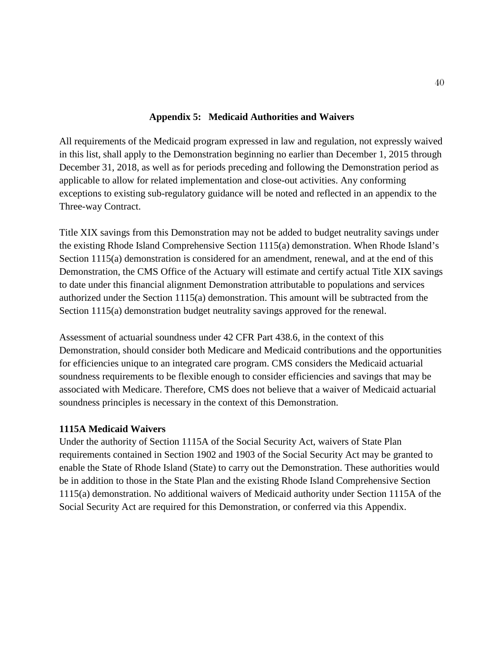## **Appendix 5: Medicaid Authorities and Waivers**

All requirements of the Medicaid program expressed in law and regulation, not expressly waived in this list, shall apply to the Demonstration beginning no earlier than December 1, 2015 through December 31, 2018, as well as for periods preceding and following the Demonstration period as applicable to allow for related implementation and close-out activities. Any conforming exceptions to existing sub-regulatory guidance will be noted and reflected in an appendix to the Three-way Contract.

Title XIX savings from this Demonstration may not be added to budget neutrality savings under the existing Rhode Island Comprehensive Section 1115(a) demonstration. When Rhode Island's Section 1115(a) demonstration is considered for an amendment, renewal, and at the end of this Demonstration, the CMS Office of the Actuary will estimate and certify actual Title XIX savings to date under this financial alignment Demonstration attributable to populations and services authorized under the Section 1115(a) demonstration. This amount will be subtracted from the Section 1115(a) demonstration budget neutrality savings approved for the renewal.

Assessment of actuarial soundness under 42 CFR Part 438.6, in the context of this Demonstration, should consider both Medicare and Medicaid contributions and the opportunities for efficiencies unique to an integrated care program. CMS considers the Medicaid actuarial soundness requirements to be flexible enough to consider efficiencies and savings that may be associated with Medicare. Therefore, CMS does not believe that a waiver of Medicaid actuarial soundness principles is necessary in the context of this Demonstration.

## **1115A Medicaid Waivers**

Under the authority of Section 1115A of the Social Security Act, waivers of State Plan requirements contained in Section 1902 and 1903 of the Social Security Act may be granted to enable the State of Rhode Island (State) to carry out the Demonstration. These authorities would be in addition to those in the State Plan and the existing Rhode Island Comprehensive Section 1115(a) demonstration. No additional waivers of Medicaid authority under Section 1115A of the Social Security Act are required for this Demonstration, or conferred via this Appendix.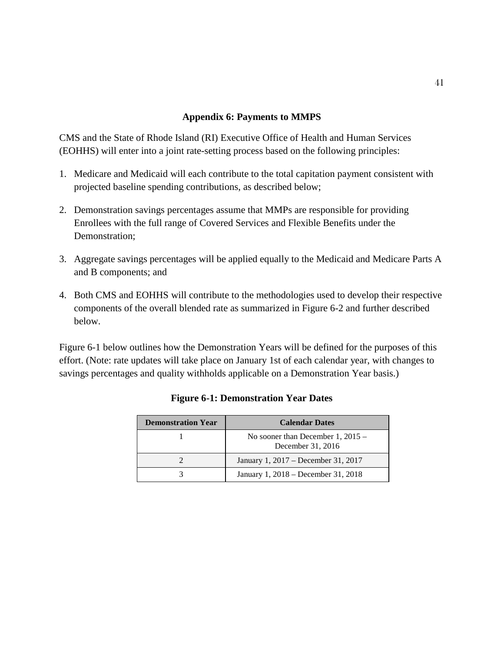## **Appendix 6: Payments to MMPS**

CMS and the State of Rhode Island (RI) Executive Office of Health and Human Services (EOHHS) will enter into a joint rate-setting process based on the following principles:

- 1. Medicare and Medicaid will each contribute to the total capitation payment consistent with projected baseline spending contributions, as described below;
- 2. Demonstration savings percentages assume that MMPs are responsible for providing Enrollees with the full range of Covered Services and Flexible Benefits under the Demonstration;
- 3. Aggregate savings percentages will be applied equally to the Medicaid and Medicare Parts A and B components; and
- 4. Both CMS and EOHHS will contribute to the methodologies used to develop their respective components of the overall blended rate as summarized in Figure 6-2 and further described below.

Figure 6-1 below outlines how the Demonstration Years will be defined for the purposes of this effort. (Note: rate updates will take place on January 1st of each calendar year, with changes to savings percentages and quality withholds applicable on a Demonstration Year basis.)

| <b>Demonstration Year</b> | <b>Calendar Dates</b>                                    |
|---------------------------|----------------------------------------------------------|
|                           | No sooner than December 1, $2015 -$<br>December 31, 2016 |
|                           | January 1, 2017 – December 31, 2017                      |
|                           | January 1, 2018 – December 31, 2018                      |

### **Figure 6-1: Demonstration Year Dates**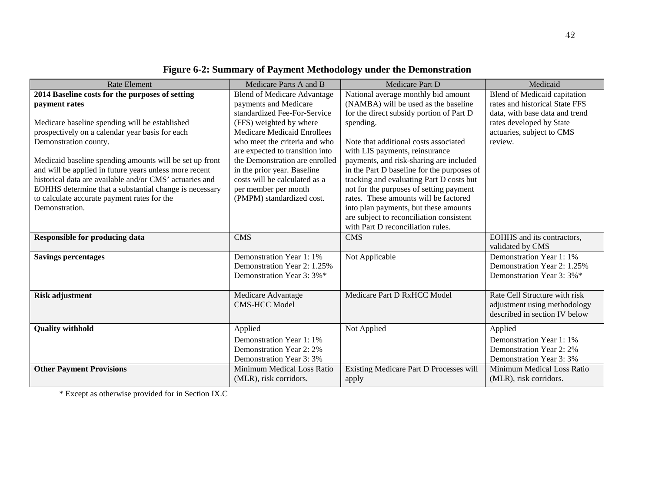| <b>Rate Element</b>                                     | Medicare Parts A and B             | Medicare Part D                            | Medicaid                          |
|---------------------------------------------------------|------------------------------------|--------------------------------------------|-----------------------------------|
| 2014 Baseline costs for the purposes of setting         | <b>Blend of Medicare Advantage</b> | National average monthly bid amount        | Blend of Medicaid capitation      |
| payment rates                                           | payments and Medicare              | (NAMBA) will be used as the baseline       | rates and historical State FFS    |
|                                                         | standardized Fee-For-Service       | for the direct subsidy portion of Part D   | data, with base data and trend    |
| Medicare baseline spending will be established          | (FFS) weighted by where            | spending.                                  | rates developed by State          |
| prospectively on a calendar year basis for each         | <b>Medicare Medicaid Enrollees</b> |                                            | actuaries, subject to CMS         |
| Demonstration county.                                   | who meet the criteria and who      | Note that additional costs associated      | review.                           |
|                                                         | are expected to transition into    | with LIS payments, reinsurance             |                                   |
| Medicaid baseline spending amounts will be set up front | the Demonstration are enrolled     | payments, and risk-sharing are included    |                                   |
| and will be applied in future years unless more recent  | in the prior year. Baseline        | in the Part D baseline for the purposes of |                                   |
| historical data are available and/or CMS' actuaries and | costs will be calculated as a      | tracking and evaluating Part D costs but   |                                   |
| EOHHS determine that a substantial change is necessary  | per member per month               | not for the purposes of setting payment    |                                   |
| to calculate accurate payment rates for the             | (PMPM) standardized cost.          | rates. These amounts will be factored      |                                   |
| Demonstration.                                          |                                    | into plan payments, but these amounts      |                                   |
|                                                         |                                    | are subject to reconciliation consistent   |                                   |
|                                                         |                                    | with Part D reconciliation rules.          |                                   |
| <b>Responsible for producing data</b>                   | <b>CMS</b>                         | <b>CMS</b>                                 | <b>EOHHS</b> and its contractors, |
|                                                         |                                    |                                            | validated by CMS                  |
| <b>Savings percentages</b>                              | Demonstration Year 1: 1%           | Not Applicable                             | Demonstration Year 1: 1%          |
|                                                         | Demonstration Year 2: 1.25%        |                                            | Demonstration Year 2: 1.25%       |
|                                                         | Demonstration Year 3: 3%*          |                                            | Demonstration Year 3: 3%*         |
|                                                         |                                    |                                            |                                   |
| <b>Risk adjustment</b>                                  | Medicare Advantage                 | Medicare Part D RxHCC Model                | Rate Cell Structure with risk     |
|                                                         | <b>CMS-HCC Model</b>               |                                            | adjustment using methodology      |
|                                                         |                                    |                                            | described in section IV below     |
| <b>Quality withhold</b>                                 | Applied                            | Not Applied                                | Applied                           |
|                                                         | Demonstration Year 1: 1%           |                                            | Demonstration Year 1: 1%          |
|                                                         | Demonstration Year 2: 2%           |                                            | Demonstration Year 2: 2%          |
|                                                         | Demonstration Year 3:3%            |                                            | Demonstration Year 3:3%           |
| <b>Other Payment Provisions</b>                         | Minimum Medical Loss Ratio         | Existing Medicare Part D Processes will    | Minimum Medical Loss Ratio        |
|                                                         | (MLR), risk corridors.             | apply                                      | (MLR), risk corridors.            |
|                                                         |                                    |                                            |                                   |

# **Figure 6-2: Summary of Payment Methodology under the Demonstration**

\* Except as otherwise provided for in Section IX.C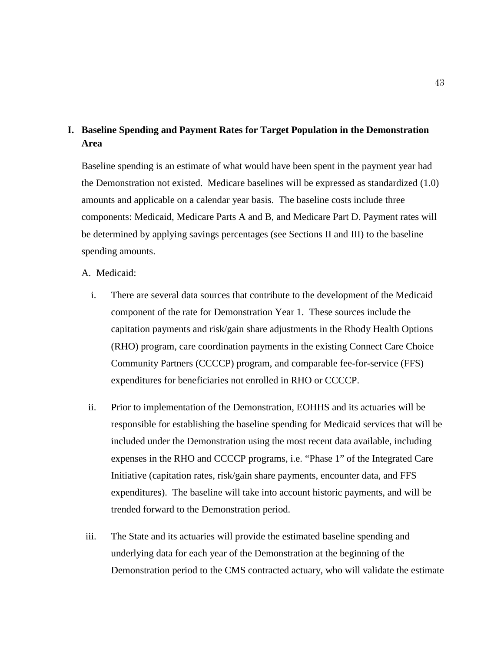## **I. Baseline Spending and Payment Rates for Target Population in the Demonstration Area**

Baseline spending is an estimate of what would have been spent in the payment year had the Demonstration not existed. Medicare baselines will be expressed as standardized (1.0) amounts and applicable on a calendar year basis. The baseline costs include three components: Medicaid, Medicare Parts A and B, and Medicare Part D. Payment rates will be determined by applying savings percentages (see Sections II and III) to the baseline spending amounts.

A. Medicaid:

- i. There are several data sources that contribute to the development of the Medicaid component of the rate for Demonstration Year 1. These sources include the capitation payments and risk/gain share adjustments in the Rhody Health Options (RHO) program, care coordination payments in the existing Connect Care Choice Community Partners (CCCCP) program, and comparable fee-for-service (FFS) expenditures for beneficiaries not enrolled in RHO or CCCCP.
- ii. Prior to implementation of the Demonstration, EOHHS and its actuaries will be responsible for establishing the baseline spending for Medicaid services that will be included under the Demonstration using the most recent data available, including expenses in the RHO and CCCCP programs, i.e. "Phase 1" of the Integrated Care Initiative (capitation rates, risk/gain share payments, encounter data, and FFS expenditures). The baseline will take into account historic payments, and will be trended forward to the Demonstration period.
- iii. The State and its actuaries will provide the estimated baseline spending and underlying data for each year of the Demonstration at the beginning of the Demonstration period to the CMS contracted actuary, who will validate the estimate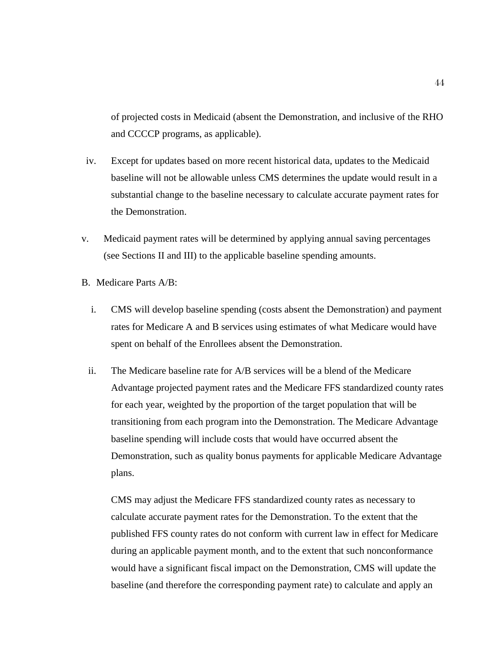of projected costs in Medicaid (absent the Demonstration, and inclusive of the RHO and CCCCP programs, as applicable).

- iv. Except for updates based on more recent historical data, updates to the Medicaid baseline will not be allowable unless CMS determines the update would result in a substantial change to the baseline necessary to calculate accurate payment rates for the Demonstration.
- v. Medicaid payment rates will be determined by applying annual saving percentages (see Sections II and III) to the applicable baseline spending amounts.
- B. Medicare Parts A/B:
	- i. CMS will develop baseline spending (costs absent the Demonstration) and payment rates for Medicare A and B services using estimates of what Medicare would have spent on behalf of the Enrollees absent the Demonstration.
	- ii. The Medicare baseline rate for A/B services will be a blend of the Medicare Advantage projected payment rates and the Medicare FFS standardized county rates for each year, weighted by the proportion of the target population that will be transitioning from each program into the Demonstration. The Medicare Advantage baseline spending will include costs that would have occurred absent the Demonstration, such as quality bonus payments for applicable Medicare Advantage plans.

CMS may adjust the Medicare FFS standardized county rates as necessary to calculate accurate payment rates for the Demonstration. To the extent that the published FFS county rates do not conform with current law in effect for Medicare during an applicable payment month, and to the extent that such nonconformance would have a significant fiscal impact on the Demonstration, CMS will update the baseline (and therefore the corresponding payment rate) to calculate and apply an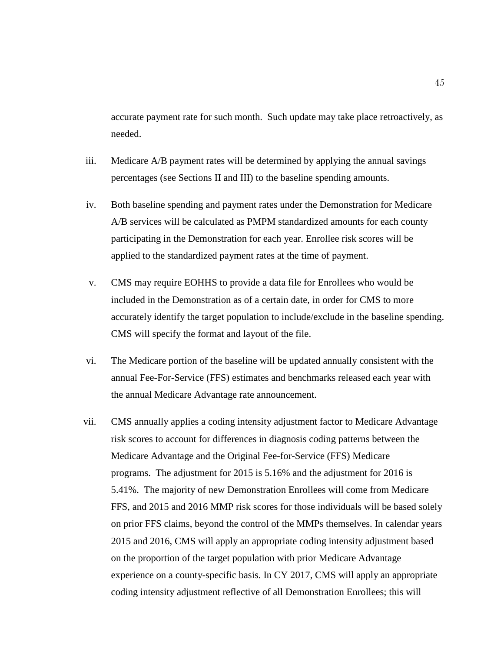accurate payment rate for such month. Such update may take place retroactively, as needed.

- iii. Medicare A/B payment rates will be determined by applying the annual savings percentages (see Sections II and III) to the baseline spending amounts.
- iv. Both baseline spending and payment rates under the Demonstration for Medicare A/B services will be calculated as PMPM standardized amounts for each county participating in the Demonstration for each year. Enrollee risk scores will be applied to the standardized payment rates at the time of payment.
- v. CMS may require EOHHS to provide a data file for Enrollees who would be included in the Demonstration as of a certain date, in order for CMS to more accurately identify the target population to include/exclude in the baseline spending. CMS will specify the format and layout of the file.
- vi. The Medicare portion of the baseline will be updated annually consistent with the annual Fee-For-Service (FFS) estimates and benchmarks released each year with the annual Medicare Advantage rate announcement.
- vii. CMS annually applies a coding intensity adjustment factor to Medicare Advantage risk scores to account for differences in diagnosis coding patterns between the Medicare Advantage and the Original Fee-for-Service (FFS) Medicare programs. The adjustment for 2015 is 5.16% and the adjustment for 2016 is 5.41%. The majority of new Demonstration Enrollees will come from Medicare FFS, and 2015 and 2016 MMP risk scores for those individuals will be based solely on prior FFS claims, beyond the control of the MMPs themselves. In calendar years 2015 and 2016, CMS will apply an appropriate coding intensity adjustment based on the proportion of the target population with prior Medicare Advantage experience on a county-specific basis. In CY 2017, CMS will apply an appropriate coding intensity adjustment reflective of all Demonstration Enrollees; this will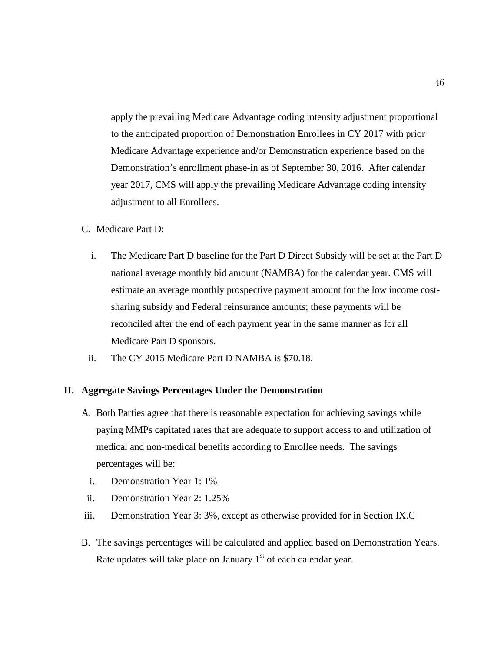apply the prevailing Medicare Advantage coding intensity adjustment proportional to the anticipated proportion of Demonstration Enrollees in CY 2017 with prior Medicare Advantage experience and/or Demonstration experience based on the Demonstration's enrollment phase-in as of September 30, 2016. After calendar year 2017, CMS will apply the prevailing Medicare Advantage coding intensity adjustment to all Enrollees.

- C. Medicare Part D:
	- i. The Medicare Part D baseline for the Part D Direct Subsidy will be set at the Part D national average monthly bid amount (NAMBA) for the calendar year. CMS will estimate an average monthly prospective payment amount for the low income costsharing subsidy and Federal reinsurance amounts; these payments will be reconciled after the end of each payment year in the same manner as for all Medicare Part D sponsors.
	- ii. The CY 2015 Medicare Part D NAMBA is \$70.18.

#### **II. Aggregate Savings Percentages Under the Demonstration**

- A. Both Parties agree that there is reasonable expectation for achieving savings while paying MMPs capitated rates that are adequate to support access to and utilization of medical and non-medical benefits according to Enrollee needs. The savings percentages will be:
	- i. Demonstration Year 1: 1%
- ii. Demonstration Year 2: 1.25%
- iii. Demonstration Year 3: 3%, except as otherwise provided for in Section IX.C
- B. The savings percentages will be calculated and applied based on Demonstration Years. Rate updates will take place on January  $1<sup>st</sup>$  of each calendar year.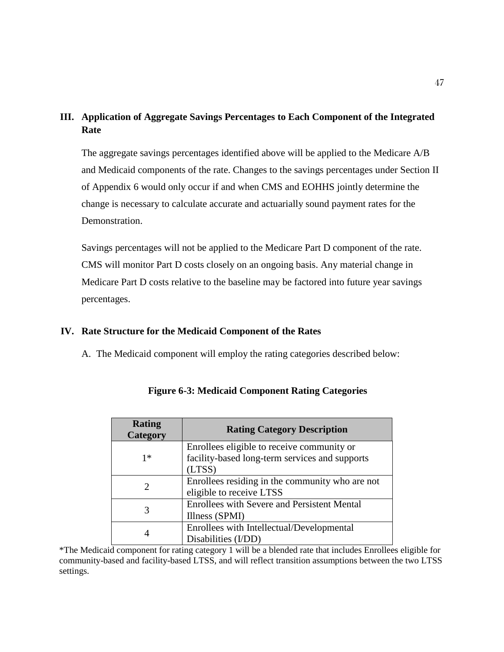## **III. Application of Aggregate Savings Percentages to Each Component of the Integrated Rate**

The aggregate savings percentages identified above will be applied to the Medicare A/B and Medicaid components of the rate. Changes to the savings percentages under Section II of Appendix 6 would only occur if and when CMS and EOHHS jointly determine the change is necessary to calculate accurate and actuarially sound payment rates for the Demonstration.

Savings percentages will not be applied to the Medicare Part D component of the rate. CMS will monitor Part D costs closely on an ongoing basis. Any material change in Medicare Part D costs relative to the baseline may be factored into future year savings percentages.

## **IV. Rate Structure for the Medicaid Component of the Rates**

A. The Medicaid component will employ the rating categories described below:

| <b>Rating</b><br><b>Category</b> | <b>Rating Category Description</b>                 |
|----------------------------------|----------------------------------------------------|
|                                  | Enrollees eligible to receive community or         |
| $1*$                             | facility-based long-term services and supports     |
|                                  | (LTSS)                                             |
|                                  | Enrollees residing in the community who are not    |
|                                  | eligible to receive LTSS                           |
| 3                                | <b>Enrollees with Severe and Persistent Mental</b> |
|                                  | Illness (SPMI)                                     |
|                                  | Enrollees with Intellectual/Developmental          |
|                                  | Disabilities (I/DD)                                |

**Figure 6-3: Medicaid Component Rating Categories**

\*The Medicaid component for rating category 1 will be a blended rate that includes Enrollees eligible for community-based and facility-based LTSS, and will reflect transition assumptions between the two LTSS settings.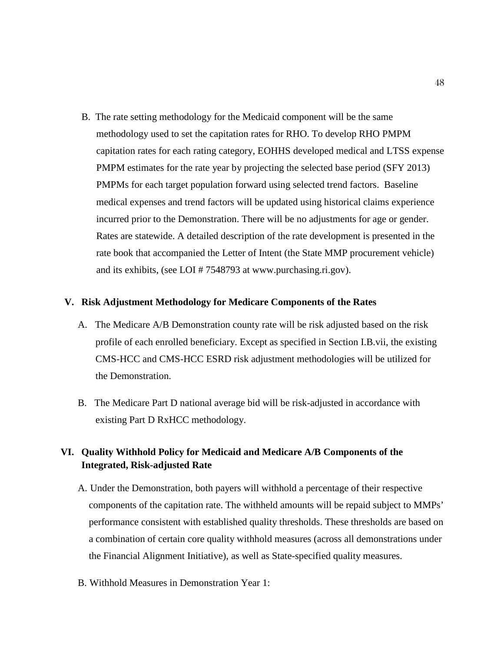B. The rate setting methodology for the Medicaid component will be the same methodology used to set the capitation rates for RHO. To develop RHO PMPM capitation rates for each rating category, EOHHS developed medical and LTSS expense PMPM estimates for the rate year by projecting the selected base period (SFY 2013) PMPMs for each target population forward using selected trend factors. Baseline medical expenses and trend factors will be updated using historical claims experience incurred prior to the Demonstration. There will be no adjustments for age or gender. Rates are statewide. A detailed description of the rate development is presented in the rate book that accompanied the Letter of Intent (the State MMP procurement vehicle) and its exhibits, (see LOI # 7548793 at [www.purchasing.ri.gov\)](http://www.purchasing.ri.gov/).

#### **V. Risk Adjustment Methodology for Medicare Components of the Rates**

- A. The Medicare A/B Demonstration county rate will be risk adjusted based on the risk profile of each enrolled beneficiary. Except as specified in Section I.B.vii, the existing CMS-HCC and CMS-HCC ESRD risk adjustment methodologies will be utilized for the Demonstration.
- B. The Medicare Part D national average bid will be risk-adjusted in accordance with existing Part D RxHCC methodology.

## **VI. Quality Withhold Policy for Medicaid and Medicare A/B Components of the Integrated, Risk-adjusted Rate**

- A. Under the Demonstration, both payers will withhold a percentage of their respective components of the capitation rate. The withheld amounts will be repaid subject to MMPs' performance consistent with established quality thresholds. These thresholds are based on a combination of certain core quality withhold measures (across all demonstrations under the Financial Alignment Initiative), as well as State-specified quality measures.
- B. Withhold Measures in Demonstration Year 1: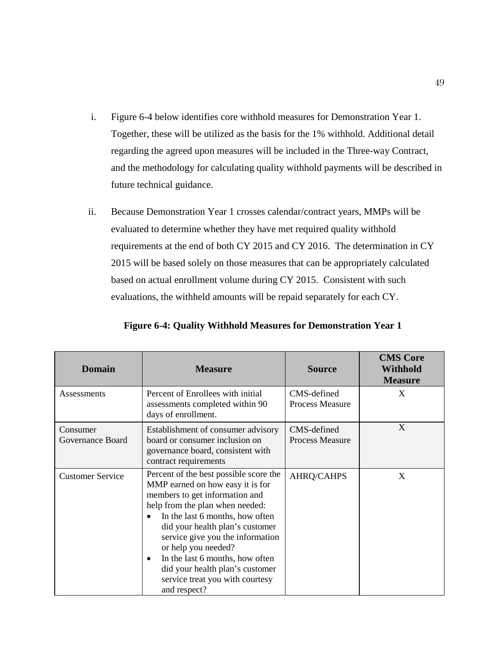- i. Figure 6-4 below identifies core withhold measures for Demonstration Year 1. Together, these will be utilized as the basis for the 1% withhold. Additional detail regarding the agreed upon measures will be included in the Three-way Contract, and the methodology for calculating quality withhold payments will be described in future technical guidance.
- ii. Because Demonstration Year 1 crosses calendar/contract years, MMPs will be evaluated to determine whether they have met required quality withhold requirements at the end of both CY 2015 and CY 2016. The determination in CY 2015 will be based solely on those measures that can be appropriately calculated based on actual enrollment volume during CY 2015. Consistent with such evaluations, the withheld amounts will be repaid separately for each CY.

| <b>Domain</b>                | <b>Measure</b>                                                                                                                                                                                                                                                                                                                                                                                                                      | <b>Source</b>                         | <b>CMS Core</b><br><b>Withhold</b><br><b>Measure</b> |
|------------------------------|-------------------------------------------------------------------------------------------------------------------------------------------------------------------------------------------------------------------------------------------------------------------------------------------------------------------------------------------------------------------------------------------------------------------------------------|---------------------------------------|------------------------------------------------------|
| Assessments                  | Percent of Enrollees with initial<br>assessments completed within 90<br>days of enrollment.                                                                                                                                                                                                                                                                                                                                         | CMS-defined<br>Process Measure        | X                                                    |
| Consumer<br>Governance Board | Establishment of consumer advisory<br>board or consumer inclusion on<br>governance board, consistent with<br>contract requirements                                                                                                                                                                                                                                                                                                  | CMS-defined<br><b>Process Measure</b> | X                                                    |
| <b>Customer Service</b>      | Percent of the best possible score the<br>MMP earned on how easy it is for<br>members to get information and<br>help from the plan when needed:<br>In the last 6 months, how often<br>$\bullet$<br>did your health plan's customer<br>service give you the information<br>or help you needed?<br>In the last 6 months, how often<br>$\bullet$<br>did your health plan's customer<br>service treat you with courtesy<br>and respect? | <b>AHRQ/CAHPS</b>                     | X                                                    |

**Figure 6-4: Quality Withhold Measures for Demonstration Year 1**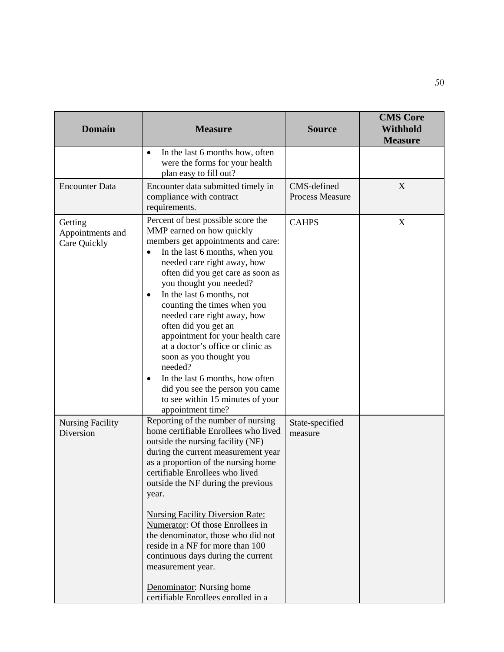| <b>Domain</b>                               | <b>Measure</b>                                                                                                                                                                                                                                                                                                                                                                                                                                                                                                                                                                                                                    | <b>Source</b>                  | <b>CMS</b> Core<br><b>Withhold</b><br><b>Measure</b> |
|---------------------------------------------|-----------------------------------------------------------------------------------------------------------------------------------------------------------------------------------------------------------------------------------------------------------------------------------------------------------------------------------------------------------------------------------------------------------------------------------------------------------------------------------------------------------------------------------------------------------------------------------------------------------------------------------|--------------------------------|------------------------------------------------------|
|                                             | In the last 6 months how, often<br>$\bullet$<br>were the forms for your health<br>plan easy to fill out?                                                                                                                                                                                                                                                                                                                                                                                                                                                                                                                          |                                |                                                      |
| <b>Encounter Data</b>                       | Encounter data submitted timely in<br>compliance with contract<br>requirements.                                                                                                                                                                                                                                                                                                                                                                                                                                                                                                                                                   | CMS-defined<br>Process Measure | X                                                    |
| Getting<br>Appointments and<br>Care Quickly | Percent of best possible score the<br>MMP earned on how quickly<br>members get appointments and care:<br>In the last 6 months, when you<br>needed care right away, how<br>often did you get care as soon as<br>you thought you needed?<br>In the last 6 months, not<br>$\bullet$<br>counting the times when you<br>needed care right away, how<br>often did you get an<br>appointment for your health care<br>at a doctor's office or clinic as<br>soon as you thought you<br>needed?<br>In the last 6 months, how often<br>$\bullet$<br>did you see the person you came<br>to see within 15 minutes of your<br>appointment time? | <b>CAHPS</b>                   | X                                                    |
| <b>Nursing Facility</b><br>Diversion        | Reporting of the number of nursing<br>home certifiable Enrollees who lived<br>outside the nursing facility (NF)<br>during the current measurement year<br>as a proportion of the nursing home<br>certifiable Enrollees who lived<br>outside the NF during the previous<br>year.<br><b>Nursing Facility Diversion Rate:</b><br>Numerator: Of those Enrollees in<br>the denominator, those who did not<br>reside in a NF for more than 100<br>continuous days during the current<br>measurement year.<br>Denominator: Nursing home<br>certifiable Enrollees enrolled in a                                                           | State-specified<br>measure     |                                                      |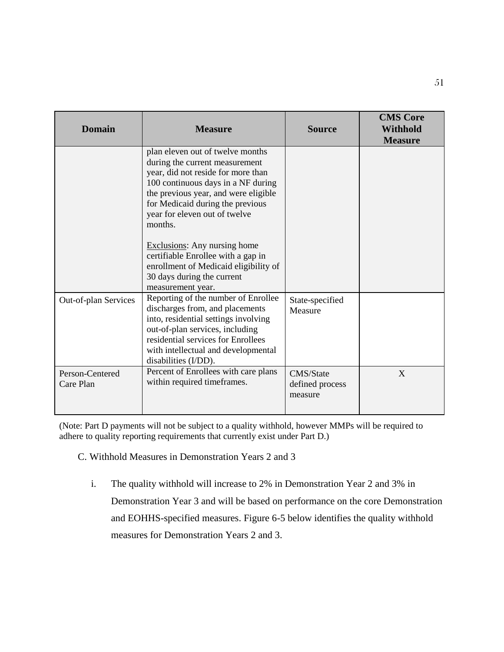| <b>Domain</b>                | <b>Measure</b>                                                                                                                                                                                                                                                         | <b>Source</b>                           | <b>CMS Core</b><br><b>Withhold</b><br><b>Measure</b> |
|------------------------------|------------------------------------------------------------------------------------------------------------------------------------------------------------------------------------------------------------------------------------------------------------------------|-----------------------------------------|------------------------------------------------------|
|                              | plan eleven out of twelve months<br>during the current measurement<br>year, did not reside for more than<br>100 continuous days in a NF during<br>the previous year, and were eligible<br>for Medicaid during the previous<br>year for eleven out of twelve<br>months. |                                         |                                                      |
|                              | <b>Exclusions:</b> Any nursing home<br>certifiable Enrollee with a gap in<br>enrollment of Medicaid eligibility of<br>30 days during the current<br>measurement year.                                                                                                  |                                         |                                                      |
| Out-of-plan Services         | Reporting of the number of Enrollee<br>discharges from, and placements<br>into, residential settings involving<br>out-of-plan services, including<br>residential services for Enrollees<br>with intellectual and developmental<br>disabilities (I/DD).                 | State-specified<br>Measure              |                                                      |
| Person-Centered<br>Care Plan | Percent of Enrollees with care plans<br>within required timeframes.                                                                                                                                                                                                    | CMS/State<br>defined process<br>measure | X                                                    |

(Note: Part D payments will not be subject to a quality withhold, however MMPs will be required to adhere to quality reporting requirements that currently exist under Part D.)

C. Withhold Measures in Demonstration Years 2 and 3

i. The quality withhold will increase to 2% in Demonstration Year 2 and 3% in Demonstration Year 3 and will be based on performance on the core Demonstration and EOHHS-specified measures. Figure 6-5 below identifies the quality withhold measures for Demonstration Years 2 and 3.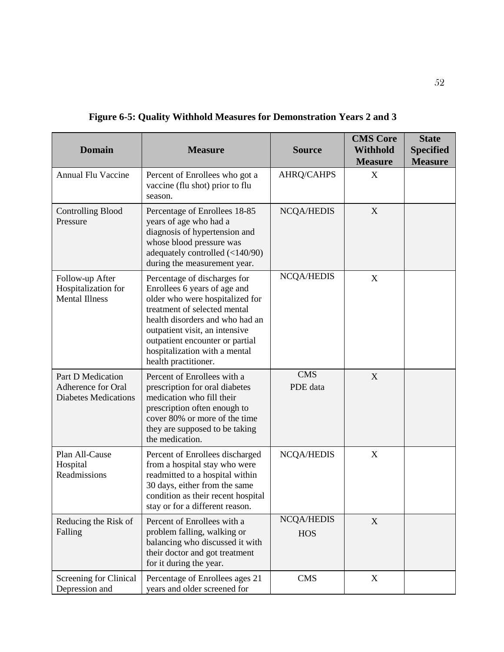| <b>Domain</b>                                                          | <b>Measure</b>                                                                                                                                                                                                                                                                                   | <b>Source</b>                   | <b>CMS Core</b><br><b>Withhold</b><br><b>Measure</b> | <b>State</b><br><b>Specified</b><br><b>Measure</b> |
|------------------------------------------------------------------------|--------------------------------------------------------------------------------------------------------------------------------------------------------------------------------------------------------------------------------------------------------------------------------------------------|---------------------------------|------------------------------------------------------|----------------------------------------------------|
| Annual Flu Vaccine                                                     | Percent of Enrollees who got a<br>vaccine (flu shot) prior to flu<br>season.                                                                                                                                                                                                                     | <b>AHRQ/CAHPS</b>               | X                                                    |                                                    |
| <b>Controlling Blood</b><br>Pressure                                   | Percentage of Enrollees 18-85<br>years of age who had a<br>diagnosis of hypertension and<br>whose blood pressure was<br>adequately controlled (<140/90)<br>during the measurement year.                                                                                                          | <b>NCQA/HEDIS</b>               | X                                                    |                                                    |
| Follow-up After<br>Hospitalization for<br><b>Mental Illness</b>        | Percentage of discharges for<br>Enrollees 6 years of age and<br>older who were hospitalized for<br>treatment of selected mental<br>health disorders and who had an<br>outpatient visit, an intensive<br>outpatient encounter or partial<br>hospitalization with a mental<br>health practitioner. | <b>NCQA/HEDIS</b>               | $\mathbf X$                                          |                                                    |
| Part D Medication<br>Adherence for Oral<br><b>Diabetes Medications</b> | Percent of Enrollees with a<br>prescription for oral diabetes<br>medication who fill their<br>prescription often enough to<br>cover 80% or more of the time<br>they are supposed to be taking<br>the medication.                                                                                 | <b>CMS</b><br>PDE data          | X                                                    |                                                    |
| Plan All-Cause<br>Hospital<br>Readmissions                             | Percent of Enrollees discharged<br>from a hospital stay who were<br>readmitted to a hospital within<br>30 days, either from the same<br>condition as their recent hospital<br>stay or for a different reason.                                                                                    | <b>NCQA/HEDIS</b>               | X                                                    |                                                    |
| Reducing the Risk of<br>Falling                                        | Percent of Enrollees with a<br>problem falling, walking or<br>balancing who discussed it with<br>their doctor and got treatment<br>for it during the year.                                                                                                                                       | <b>NCQA/HEDIS</b><br><b>HOS</b> | X                                                    |                                                    |
| Screening for Clinical<br>Depression and                               | Percentage of Enrollees ages 21<br>years and older screened for                                                                                                                                                                                                                                  | <b>CMS</b>                      | X                                                    |                                                    |

**Figure 6-5: Quality Withhold Measures for Demonstration Years 2 and 3**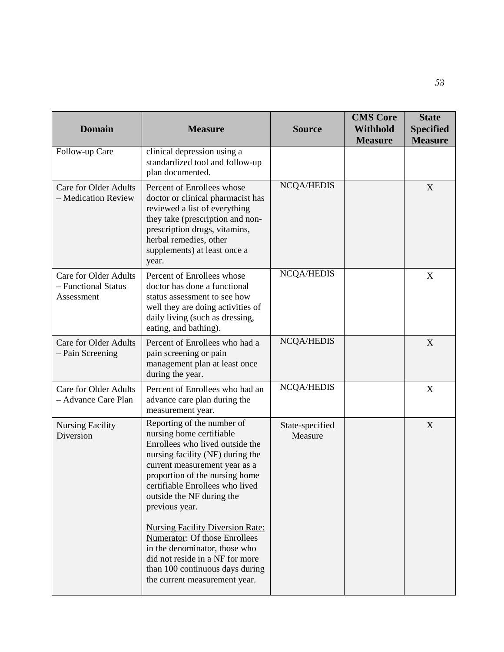| <b>Domain</b>                                                     | <b>Measure</b>                                                                                                                                                                                                                                                                                                                                                                                                                                                                                         | <b>Source</b>              | <b>CMS Core</b><br><b>Withhold</b><br><b>Measure</b> | <b>State</b><br><b>Specified</b><br><b>Measure</b> |
|-------------------------------------------------------------------|--------------------------------------------------------------------------------------------------------------------------------------------------------------------------------------------------------------------------------------------------------------------------------------------------------------------------------------------------------------------------------------------------------------------------------------------------------------------------------------------------------|----------------------------|------------------------------------------------------|----------------------------------------------------|
| Follow-up Care                                                    | clinical depression using a<br>standardized tool and follow-up<br>plan documented.                                                                                                                                                                                                                                                                                                                                                                                                                     |                            |                                                      |                                                    |
| <b>Care for Older Adults</b><br>- Medication Review               | Percent of Enrollees whose<br>doctor or clinical pharmacist has<br>reviewed a list of everything<br>they take (prescription and non-<br>prescription drugs, vitamins,<br>herbal remedies, other<br>supplements) at least once a<br>year.                                                                                                                                                                                                                                                               | <b>NCQA/HEDIS</b>          |                                                      | X                                                  |
| <b>Care for Older Adults</b><br>- Functional Status<br>Assessment | Percent of Enrollees whose<br>doctor has done a functional<br>status assessment to see how<br>well they are doing activities of<br>daily living (such as dressing,<br>eating, and bathing).                                                                                                                                                                                                                                                                                                            | <b>NCQA/HEDIS</b>          |                                                      | X                                                  |
| <b>Care for Older Adults</b><br>- Pain Screening                  | Percent of Enrollees who had a<br>pain screening or pain<br>management plan at least once<br>during the year.                                                                                                                                                                                                                                                                                                                                                                                          | <b>NCQA/HEDIS</b>          |                                                      | X                                                  |
| <b>Care for Older Adults</b><br>- Advance Care Plan               | Percent of Enrollees who had an<br>advance care plan during the<br>measurement year.                                                                                                                                                                                                                                                                                                                                                                                                                   | <b>NCQA/HEDIS</b>          |                                                      | X                                                  |
| <b>Nursing Facility</b><br>Diversion                              | Reporting of the number of<br>nursing home certifiable<br>Enrollees who lived outside the<br>nursing facility (NF) during the<br>current measurement year as a<br>proportion of the nursing home<br>certifiable Enrollees who lived<br>outside the NF during the<br>previous year.<br><b>Nursing Facility Diversion Rate:</b><br>Numerator: Of those Enrollees<br>in the denominator, those who<br>did not reside in a NF for more<br>than 100 continuous days during<br>the current measurement year. | State-specified<br>Measure |                                                      | X                                                  |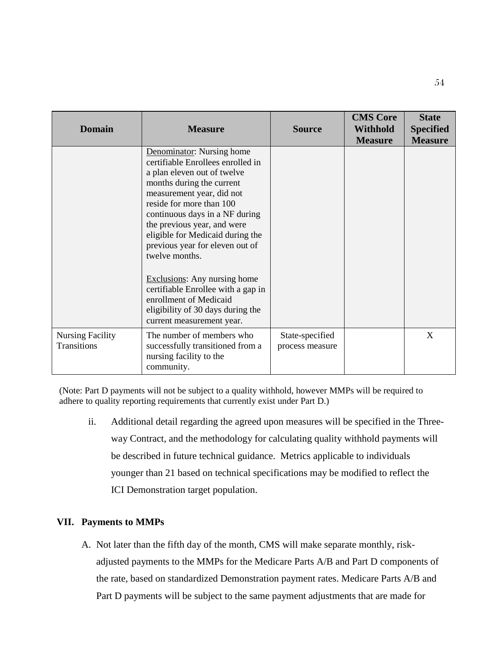| <b>Domain</b>                                 | <b>Measure</b>                                                                                                                                                                                                                                                                                                                                | <b>Source</b>                      | <b>CMS Core</b><br><b>Withhold</b><br><b>Measure</b> | <b>State</b><br><b>Specified</b><br><b>Measure</b> |
|-----------------------------------------------|-----------------------------------------------------------------------------------------------------------------------------------------------------------------------------------------------------------------------------------------------------------------------------------------------------------------------------------------------|------------------------------------|------------------------------------------------------|----------------------------------------------------|
|                                               | Denominator: Nursing home<br>certifiable Enrollees enrolled in<br>a plan eleven out of twelve<br>months during the current<br>measurement year, did not<br>reside for more than 100<br>continuous days in a NF during<br>the previous year, and were<br>eligible for Medicaid during the<br>previous year for eleven out of<br>twelve months. |                                    |                                                      |                                                    |
|                                               | <b>Exclusions:</b> Any nursing home<br>certifiable Enrollee with a gap in<br>enrollment of Medicaid<br>eligibility of 30 days during the<br>current measurement year.                                                                                                                                                                         |                                    |                                                      |                                                    |
| <b>Nursing Facility</b><br><b>Transitions</b> | The number of members who<br>successfully transitioned from a<br>nursing facility to the<br>community.                                                                                                                                                                                                                                        | State-specified<br>process measure |                                                      | X                                                  |

(Note: Part D payments will not be subject to a quality withhold, however MMPs will be required to adhere to quality reporting requirements that currently exist under Part D.)

ii. Additional detail regarding the agreed upon measures will be specified in the Threeway Contract, and the methodology for calculating quality withhold payments will be described in future technical guidance. Metrics applicable to individuals younger than 21 based on technical specifications may be modified to reflect the ICI Demonstration target population.

## **VII. Payments to MMPs**

A. Not later than the fifth day of the month, CMS will make separate monthly, riskadjusted payments to the MMPs for the Medicare Parts A/B and Part D components of the rate, based on standardized Demonstration payment rates. Medicare Parts A/B and Part D payments will be subject to the same payment adjustments that are made for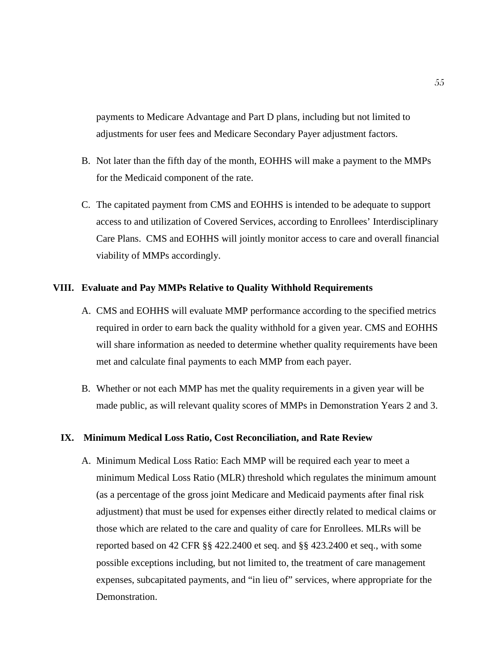payments to Medicare Advantage and Part D plans, including but not limited to adjustments for user fees and Medicare Secondary Payer adjustment factors.

- B. Not later than the fifth day of the month, EOHHS will make a payment to the MMPs for the Medicaid component of the rate.
- C. The capitated payment from CMS and EOHHS is intended to be adequate to support access to and utilization of Covered Services, according to Enrollees' Interdisciplinary Care Plans. CMS and EOHHS will jointly monitor access to care and overall financial viability of MMPs accordingly.

#### **VIII. Evaluate and Pay MMPs Relative to Quality Withhold Requirements**

- A. CMS and EOHHS will evaluate MMP performance according to the specified metrics required in order to earn back the quality withhold for a given year. CMS and EOHHS will share information as needed to determine whether quality requirements have been met and calculate final payments to each MMP from each payer.
- B. Whether or not each MMP has met the quality requirements in a given year will be made public, as will relevant quality scores of MMPs in Demonstration Years 2 and 3.

#### **IX. Minimum Medical Loss Ratio, Cost Reconciliation, and Rate Review**

A. Minimum Medical Loss Ratio: Each MMP will be required each year to meet a minimum Medical Loss Ratio (MLR) threshold which regulates the minimum amount (as a percentage of the gross joint Medicare and Medicaid payments after final risk adjustment) that must be used for expenses either directly related to medical claims or those which are related to the care and quality of care for Enrollees. MLRs will be reported based on 42 CFR §§ 422.2400 et seq. and §§ 423.2400 et seq., with some possible exceptions including, but not limited to, the treatment of care management expenses, subcapitated payments, and "in lieu of" services, where appropriate for the Demonstration.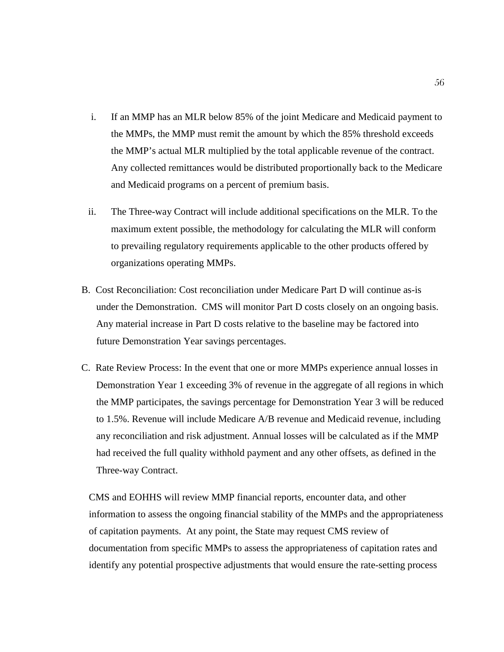- i. If an MMP has an MLR below 85% of the joint Medicare and Medicaid payment to the MMPs, the MMP must remit the amount by which the 85% threshold exceeds the MMP's actual MLR multiplied by the total applicable revenue of the contract. Any collected remittances would be distributed proportionally back to the Medicare and Medicaid programs on a percent of premium basis.
- ii. The Three-way Contract will include additional specifications on the MLR. To the maximum extent possible, the methodology for calculating the MLR will conform to prevailing regulatory requirements applicable to the other products offered by organizations operating MMPs.
- B. Cost Reconciliation: Cost reconciliation under Medicare Part D will continue as-is under the Demonstration. CMS will monitor Part D costs closely on an ongoing basis. Any material increase in Part D costs relative to the baseline may be factored into future Demonstration Year savings percentages.
- C. Rate Review Process: In the event that one or more MMPs experience annual losses in Demonstration Year 1 exceeding 3% of revenue in the aggregate of all regions in which the MMP participates, the savings percentage for Demonstration Year 3 will be reduced to 1.5%. Revenue will include Medicare A/B revenue and Medicaid revenue, including any reconciliation and risk adjustment. Annual losses will be calculated as if the MMP had received the full quality withhold payment and any other offsets, as defined in the Three-way Contract.

CMS and EOHHS will review MMP financial reports, encounter data, and other information to assess the ongoing financial stability of the MMPs and the appropriateness of capitation payments. At any point, the State may request CMS review of documentation from specific MMPs to assess the appropriateness of capitation rates and identify any potential prospective adjustments that would ensure the rate-setting process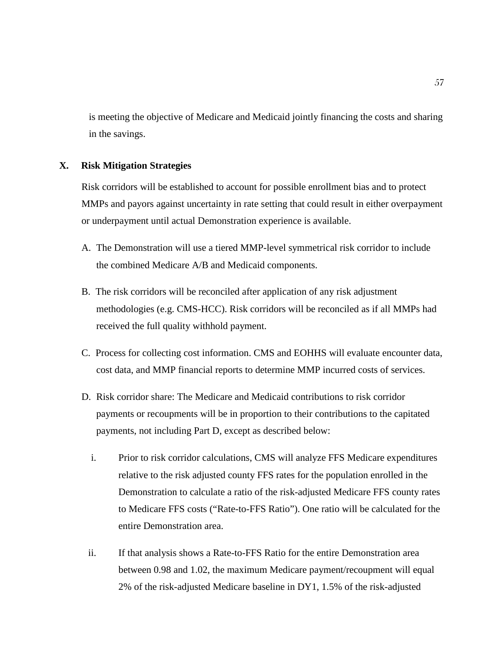is meeting the objective of Medicare and Medicaid jointly financing the costs and sharing in the savings.

#### **X. Risk Mitigation Strategies**

Risk corridors will be established to account for possible enrollment bias and to protect MMPs and payors against uncertainty in rate setting that could result in either overpayment or underpayment until actual Demonstration experience is available.

- A. The Demonstration will use a tiered MMP-level symmetrical risk corridor to include the combined Medicare A/B and Medicaid components.
- B. The risk corridors will be reconciled after application of any risk adjustment methodologies (e.g. CMS-HCC). Risk corridors will be reconciled as if all MMPs had received the full quality withhold payment.
- C. Process for collecting cost information. CMS and EOHHS will evaluate encounter data, cost data, and MMP financial reports to determine MMP incurred costs of services.
- D. Risk corridor share: The Medicare and Medicaid contributions to risk corridor payments or recoupments will be in proportion to their contributions to the capitated payments, not including Part D, except as described below:
	- i. Prior to risk corridor calculations, CMS will analyze FFS Medicare expenditures relative to the risk adjusted county FFS rates for the population enrolled in the Demonstration to calculate a ratio of the risk-adjusted Medicare FFS county rates to Medicare FFS costs ("Rate-to-FFS Ratio"). One ratio will be calculated for the entire Demonstration area.
	- ii. If that analysis shows a Rate-to-FFS Ratio for the entire Demonstration area between 0.98 and 1.02, the maximum Medicare payment/recoupment will equal 2% of the risk-adjusted Medicare baseline in DY1, 1.5% of the risk-adjusted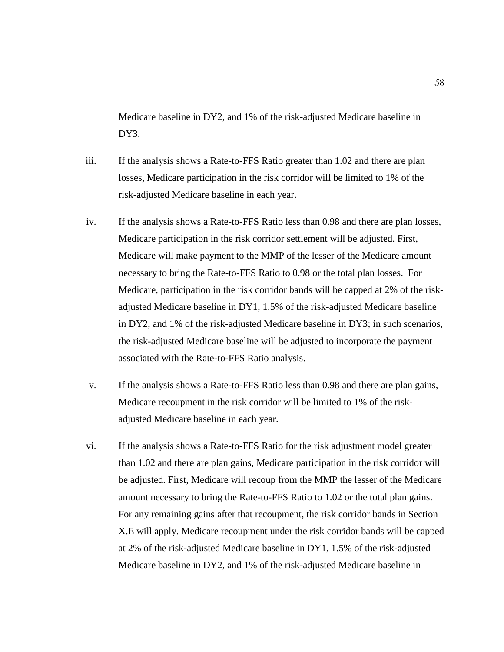Medicare baseline in DY2, and 1% of the risk-adjusted Medicare baseline in DY<sub>3</sub>.

- iii. If the analysis shows a Rate-to-FFS Ratio greater than 1.02 and there are plan losses, Medicare participation in the risk corridor will be limited to 1% of the risk-adjusted Medicare baseline in each year.
- iv. If the analysis shows a Rate-to-FFS Ratio less than 0.98 and there are plan losses, Medicare participation in the risk corridor settlement will be adjusted. First, Medicare will make payment to the MMP of the lesser of the Medicare amount necessary to bring the Rate-to-FFS Ratio to 0.98 or the total plan losses. For Medicare, participation in the risk corridor bands will be capped at 2% of the riskadjusted Medicare baseline in DY1, 1.5% of the risk-adjusted Medicare baseline in DY2, and 1% of the risk-adjusted Medicare baseline in DY3; in such scenarios, the risk-adjusted Medicare baseline will be adjusted to incorporate the payment associated with the Rate-to-FFS Ratio analysis.
- v. If the analysis shows a Rate-to-FFS Ratio less than 0.98 and there are plan gains, Medicare recoupment in the risk corridor will be limited to 1% of the riskadjusted Medicare baseline in each year.
- vi. If the analysis shows a Rate-to-FFS Ratio for the risk adjustment model greater than 1.02 and there are plan gains, Medicare participation in the risk corridor will be adjusted. First, Medicare will recoup from the MMP the lesser of the Medicare amount necessary to bring the Rate-to-FFS Ratio to 1.02 or the total plan gains. For any remaining gains after that recoupment, the risk corridor bands in Section X.E will apply. Medicare recoupment under the risk corridor bands will be capped at 2% of the risk-adjusted Medicare baseline in DY1, 1.5% of the risk-adjusted Medicare baseline in DY2, and 1% of the risk-adjusted Medicare baseline in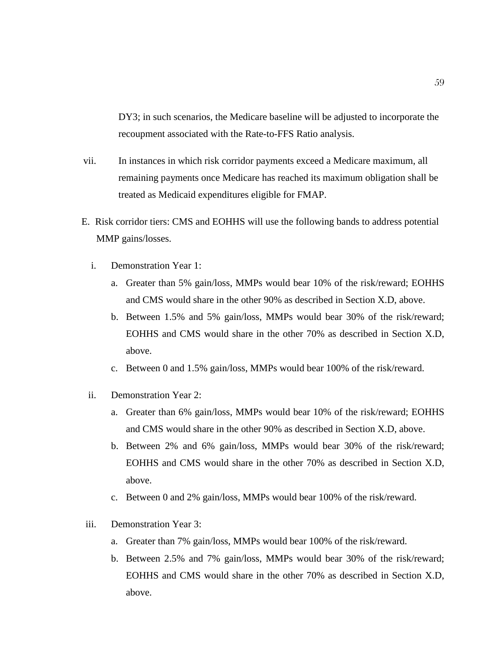DY3; in such scenarios, the Medicare baseline will be adjusted to incorporate the recoupment associated with the Rate-to-FFS Ratio analysis.

- vii. In instances in which risk corridor payments exceed a Medicare maximum, all remaining payments once Medicare has reached its maximum obligation shall be treated as Medicaid expenditures eligible for FMAP.
- E. Risk corridor tiers: CMS and EOHHS will use the following bands to address potential MMP gains/losses.
	- i. Demonstration Year 1:
		- a. Greater than 5% gain/loss, MMPs would bear 10% of the risk/reward; EOHHS and CMS would share in the other 90% as described in Section X.D, above.
		- b. Between 1.5% and 5% gain/loss, MMPs would bear 30% of the risk/reward; EOHHS and CMS would share in the other 70% as described in Section X.D, above.
		- c. Between 0 and 1.5% gain/loss, MMPs would bear 100% of the risk/reward.
	- ii. Demonstration Year 2:
		- a. Greater than 6% gain/loss, MMPs would bear 10% of the risk/reward; EOHHS and CMS would share in the other 90% as described in Section X.D, above.
		- b. Between 2% and 6% gain/loss, MMPs would bear 30% of the risk/reward; EOHHS and CMS would share in the other 70% as described in Section X.D, above.
		- c. Between 0 and 2% gain/loss, MMPs would bear 100% of the risk/reward.
- iii. Demonstration Year 3:
	- a. Greater than 7% gain/loss, MMPs would bear 100% of the risk/reward.
	- b. Between 2.5% and 7% gain/loss, MMPs would bear 30% of the risk/reward; EOHHS and CMS would share in the other 70% as described in Section X.D, above.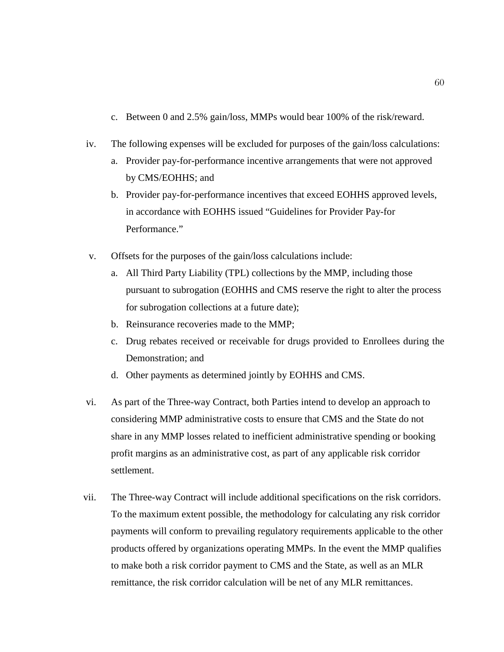- c. Between 0 and 2.5% gain/loss, MMPs would bear 100% of the risk/reward.
- iv. The following expenses will be excluded for purposes of the gain/loss calculations:
	- a. Provider pay-for-performance incentive arrangements that were not approved by CMS/EOHHS; and
	- b. Provider pay-for-performance incentives that exceed EOHHS approved levels, in accordance with EOHHS issued "Guidelines for Provider Pay-for Performance."
- v. Offsets for the purposes of the gain/loss calculations include:
	- a. All Third Party Liability (TPL) collections by the MMP, including those pursuant to subrogation (EOHHS and CMS reserve the right to alter the process for subrogation collections at a future date);
	- b. Reinsurance recoveries made to the MMP;
	- c. Drug rebates received or receivable for drugs provided to Enrollees during the Demonstration; and
	- d. Other payments as determined jointly by EOHHS and CMS.
- vi. As part of the Three-way Contract, both Parties intend to develop an approach to considering MMP administrative costs to ensure that CMS and the State do not share in any MMP losses related to inefficient administrative spending or booking profit margins as an administrative cost, as part of any applicable risk corridor settlement.
- vii. The Three-way Contract will include additional specifications on the risk corridors. To the maximum extent possible, the methodology for calculating any risk corridor payments will conform to prevailing regulatory requirements applicable to the other products offered by organizations operating MMPs. In the event the MMP qualifies to make both a risk corridor payment to CMS and the State, as well as an MLR remittance, the risk corridor calculation will be net of any MLR remittances.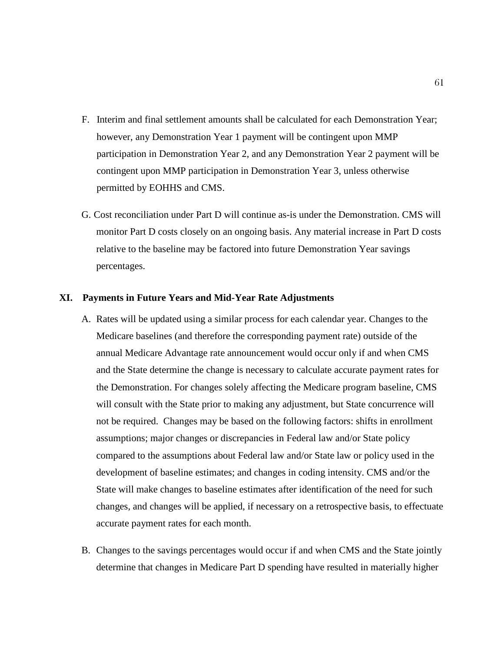- F. Interim and final settlement amounts shall be calculated for each Demonstration Year; however, any Demonstration Year 1 payment will be contingent upon MMP participation in Demonstration Year 2, and any Demonstration Year 2 payment will be contingent upon MMP participation in Demonstration Year 3, unless otherwise permitted by EOHHS and CMS.
- G. Cost reconciliation under Part D will continue as-is under the Demonstration. CMS will monitor Part D costs closely on an ongoing basis. Any material increase in Part D costs relative to the baseline may be factored into future Demonstration Year savings percentages.

### **XI. Payments in Future Years and Mid-Year Rate Adjustments**

- A. Rates will be updated using a similar process for each calendar year. Changes to the Medicare baselines (and therefore the corresponding payment rate) outside of the annual Medicare Advantage rate announcement would occur only if and when CMS and the State determine the change is necessary to calculate accurate payment rates for the Demonstration. For changes solely affecting the Medicare program baseline, CMS will consult with the State prior to making any adjustment, but State concurrence will not be required. Changes may be based on the following factors: shifts in enrollment assumptions; major changes or discrepancies in Federal law and/or State policy compared to the assumptions about Federal law and/or State law or policy used in the development of baseline estimates; and changes in coding intensity. CMS and/or the State will make changes to baseline estimates after identification of the need for such changes, and changes will be applied, if necessary on a retrospective basis, to effectuate accurate payment rates for each month.
- B. Changes to the savings percentages would occur if and when CMS and the State jointly determine that changes in Medicare Part D spending have resulted in materially higher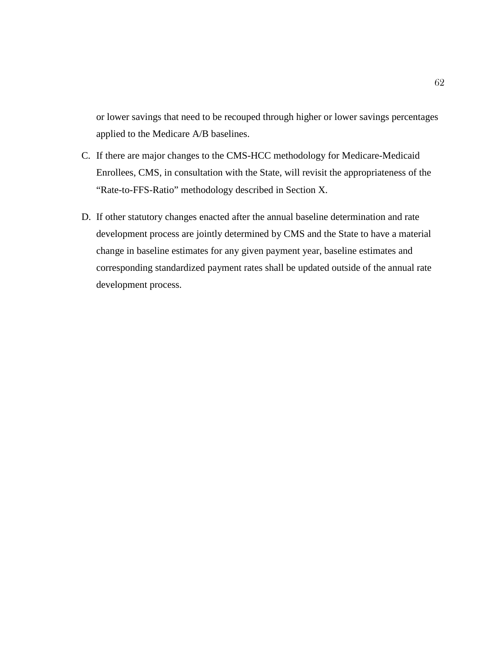or lower savings that need to be recouped through higher or lower savings percentages applied to the Medicare A/B baselines.

- C. If there are major changes to the CMS-HCC methodology for Medicare-Medicaid Enrollees, CMS, in consultation with the State, will revisit the appropriateness of the "Rate-to-FFS-Ratio" methodology described in Section X.
- D. If other statutory changes enacted after the annual baseline determination and rate development process are jointly determined by CMS and the State to have a material change in baseline estimates for any given payment year, baseline estimates and corresponding standardized payment rates shall be updated outside of the annual rate development process.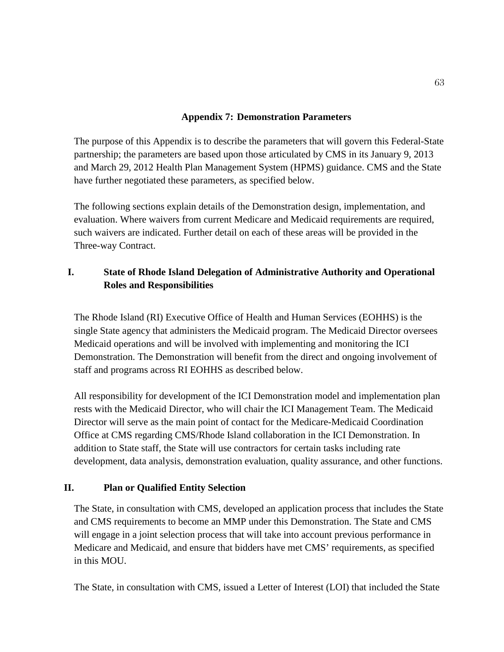## **Appendix 7: Demonstration Parameters**

The purpose of this Appendix is to describe the parameters that will govern this Federal-State partnership; the parameters are based upon those articulated by CMS in its January 9, 2013 and March 29, 2012 Health Plan Management System (HPMS) guidance. CMS and the State have further negotiated these parameters, as specified below.

The following sections explain details of the Demonstration design, implementation, and evaluation. Where waivers from current Medicare and Medicaid requirements are required, such waivers are indicated. Further detail on each of these areas will be provided in the Three-way Contract.

## **I. State of Rhode Island Delegation of Administrative Authority and Operational Roles and Responsibilities**

The Rhode Island (RI) Executive Office of Health and Human Services (EOHHS) is the single State agency that administers the Medicaid program. The Medicaid Director oversees Medicaid operations and will be involved with implementing and monitoring the ICI Demonstration. The Demonstration will benefit from the direct and ongoing involvement of staff and programs across RI EOHHS as described below.

All responsibility for development of the ICI Demonstration model and implementation plan rests with the Medicaid Director, who will chair the ICI Management Team. The Medicaid Director will serve as the main point of contact for the Medicare-Medicaid Coordination Office at CMS regarding CMS/Rhode Island collaboration in the ICI Demonstration. In addition to State staff, the State will use contractors for certain tasks including rate development, data analysis, demonstration evaluation, quality assurance, and other functions.

## **II. Plan or Qualified Entity Selection**

The State, in consultation with CMS, developed an application process that includes the State and CMS requirements to become an MMP under this Demonstration. The State and CMS will engage in a joint selection process that will take into account previous performance in Medicare and Medicaid, and ensure that bidders have met CMS' requirements, as specified in this MOU.

The State, in consultation with CMS, issued a Letter of Interest (LOI) that included the State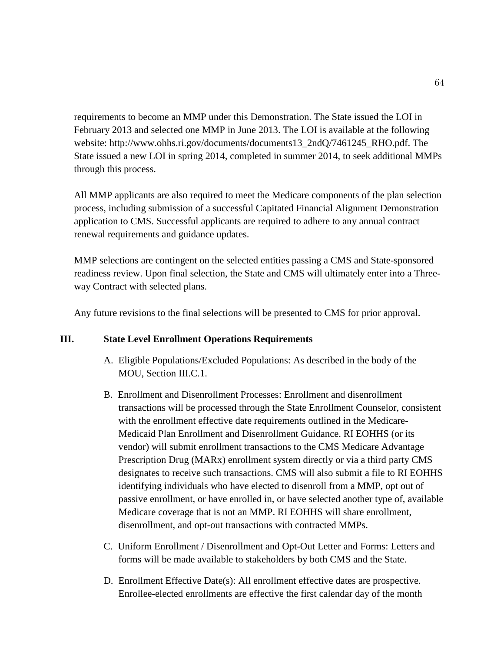requirements to become an MMP under this Demonstration. The State issued the LOI in February 2013 and selected one MMP in June 2013. The LOI is available at the following website: [http://www.ohhs.ri.gov/documents/documents13\\_2ndQ/7461245\\_RHO.pdf.](http://www.ohhs.ri.gov/documents/documents13_2ndQ/7461245_RHO.pdf) The State issued a new LOI in spring 2014, completed in summer 2014, to seek additional MMPs through this process.

All MMP applicants are also required to meet the Medicare components of the plan selection process, including submission of a successful Capitated Financial Alignment Demonstration application to CMS. Successful applicants are required to adhere to any annual contract renewal requirements and guidance updates.

MMP selections are contingent on the selected entities passing a CMS and State-sponsored readiness review. Upon final selection, the State and CMS will ultimately enter into a Threeway Contract with selected plans.

Any future revisions to the final selections will be presented to CMS for prior approval.

## **III. State Level Enrollment Operations Requirements**

- A. Eligible Populations/Excluded Populations: As described in the body of the MOU, Section III.C.1.
- B. Enrollment and Disenrollment Processes: Enrollment and disenrollment transactions will be processed through the State Enrollment Counselor, consistent with the enrollment effective date requirements outlined in the Medicare-Medicaid Plan Enrollment and Disenrollment Guidance. RI EOHHS (or its vendor) will submit enrollment transactions to the CMS Medicare Advantage Prescription Drug (MARx) enrollment system directly or via a third party CMS designates to receive such transactions. CMS will also submit a file to RI EOHHS identifying individuals who have elected to disenroll from a MMP, opt out of passive enrollment, or have enrolled in, or have selected another type of, available Medicare coverage that is not an MMP. RI EOHHS will share enrollment, disenrollment, and opt-out transactions with contracted MMPs.
- C. Uniform Enrollment / Disenrollment and Opt-Out Letter and Forms: Letters and forms will be made available to stakeholders by both CMS and the State.
- D. Enrollment Effective Date(s): All enrollment effective dates are prospective. Enrollee-elected enrollments are effective the first calendar day of the month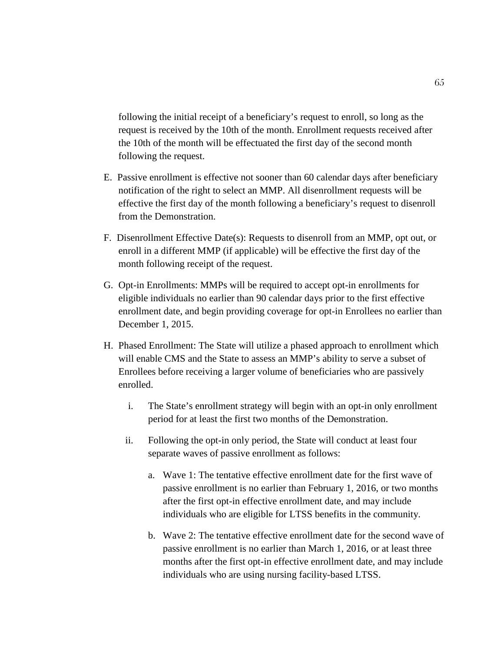following the initial receipt of a beneficiary's request to enroll, so long as the request is received by the 10th of the month. Enrollment requests received after the 10th of the month will be effectuated the first day of the second month following the request.

- E. Passive enrollment is effective not sooner than 60 calendar days after beneficiary notification of the right to select an MMP. All disenrollment requests will be effective the first day of the month following a beneficiary's request to disenroll from the Demonstration.
- F. Disenrollment Effective Date(s): Requests to disenroll from an MMP, opt out, or enroll in a different MMP (if applicable) will be effective the first day of the month following receipt of the request.
- G. Opt-in Enrollments: MMPs will be required to accept opt-in enrollments for eligible individuals no earlier than 90 calendar days prior to the first effective enrollment date, and begin providing coverage for opt-in Enrollees no earlier than December 1, 2015.
- H. Phased Enrollment: The State will utilize a phased approach to enrollment which will enable CMS and the State to assess an MMP's ability to serve a subset of Enrollees before receiving a larger volume of beneficiaries who are passively enrolled.
	- i. The State's enrollment strategy will begin with an opt-in only enrollment period for at least the first two months of the Demonstration.
	- ii. Following the opt-in only period, the State will conduct at least four separate waves of passive enrollment as follows:
		- a. Wave 1: The tentative effective enrollment date for the first wave of passive enrollment is no earlier than February 1, 2016, or two months after the first opt-in effective enrollment date, and may include individuals who are eligible for LTSS benefits in the community.
		- b. Wave 2: The tentative effective enrollment date for the second wave of passive enrollment is no earlier than March 1, 2016, or at least three months after the first opt-in effective enrollment date, and may include individuals who are using nursing facility-based LTSS.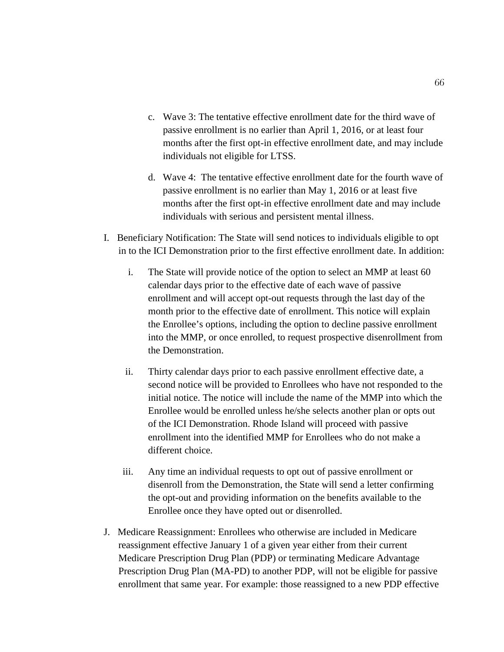- c. Wave 3: The tentative effective enrollment date for the third wave of passive enrollment is no earlier than April 1, 2016, or at least four months after the first opt-in effective enrollment date, and may include individuals not eligible for LTSS.
- d. Wave 4: The tentative effective enrollment date for the fourth wave of passive enrollment is no earlier than May 1, 2016 or at least five months after the first opt-in effective enrollment date and may include individuals with serious and persistent mental illness.
- I. Beneficiary Notification: The State will send notices to individuals eligible to opt in to the ICI Demonstration prior to the first effective enrollment date. In addition:
	- i. The State will provide notice of the option to select an MMP at least 60 calendar days prior to the effective date of each wave of passive enrollment and will accept opt-out requests through the last day of the month prior to the effective date of enrollment. This notice will explain the Enrollee's options, including the option to decline passive enrollment into the MMP, or once enrolled, to request prospective disenrollment from the Demonstration.
	- ii. Thirty calendar days prior to each passive enrollment effective date, a second notice will be provided to Enrollees who have not responded to the initial notice. The notice will include the name of the MMP into which the Enrollee would be enrolled unless he/she selects another plan or opts out of the ICI Demonstration. Rhode Island will proceed with passive enrollment into the identified MMP for Enrollees who do not make a different choice.
	- iii. Any time an individual requests to opt out of passive enrollment or disenroll from the Demonstration, the State will send a letter confirming the opt-out and providing information on the benefits available to the Enrollee once they have opted out or disenrolled.
- J. Medicare Reassignment: Enrollees who otherwise are included in Medicare reassignment effective January 1 of a given year either from their current Medicare Prescription Drug Plan (PDP) or terminating Medicare Advantage Prescription Drug Plan (MA-PD) to another PDP, will not be eligible for passive enrollment that same year. For example: those reassigned to a new PDP effective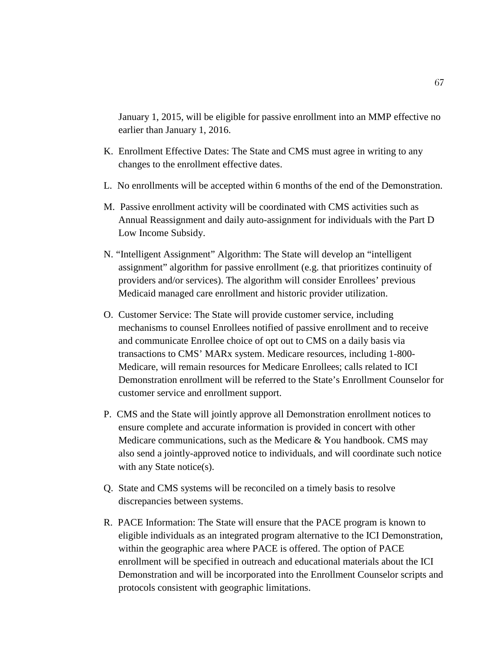January 1, 2015, will be eligible for passive enrollment into an MMP effective no earlier than January 1, 2016.

- K. Enrollment Effective Dates: The State and CMS must agree in writing to any changes to the enrollment effective dates.
- L. No enrollments will be accepted within 6 months of the end of the Demonstration.
- M. Passive enrollment activity will be coordinated with CMS activities such as Annual Reassignment and daily auto-assignment for individuals with the Part D Low Income Subsidy.
- N. "Intelligent Assignment" Algorithm: The State will develop an "intelligent assignment" algorithm for passive enrollment (e.g. that prioritizes continuity of providers and/or services). The algorithm will consider Enrollees' previous Medicaid managed care enrollment and historic provider utilization.
- O. Customer Service: The State will provide customer service, including mechanisms to counsel Enrollees notified of passive enrollment and to receive and communicate Enrollee choice of opt out to CMS on a daily basis via transactions to CMS' MARx system. Medicare resources, including 1-800- Medicare, will remain resources for Medicare Enrollees; calls related to ICI Demonstration enrollment will be referred to the State's Enrollment Counselor for customer service and enrollment support.
- P. CMS and the State will jointly approve all Demonstration enrollment notices to ensure complete and accurate information is provided in concert with other Medicare communications, such as the Medicare  $&$  You handbook. CMS may also send a jointly-approved notice to individuals, and will coordinate such notice with any State notice(s).
- Q. State and CMS systems will be reconciled on a timely basis to resolve discrepancies between systems.
- R. PACE Information: The State will ensure that the PACE program is known to eligible individuals as an integrated program alternative to the ICI Demonstration, within the geographic area where PACE is offered. The option of PACE enrollment will be specified in outreach and educational materials about the ICI Demonstration and will be incorporated into the Enrollment Counselor scripts and protocols consistent with geographic limitations.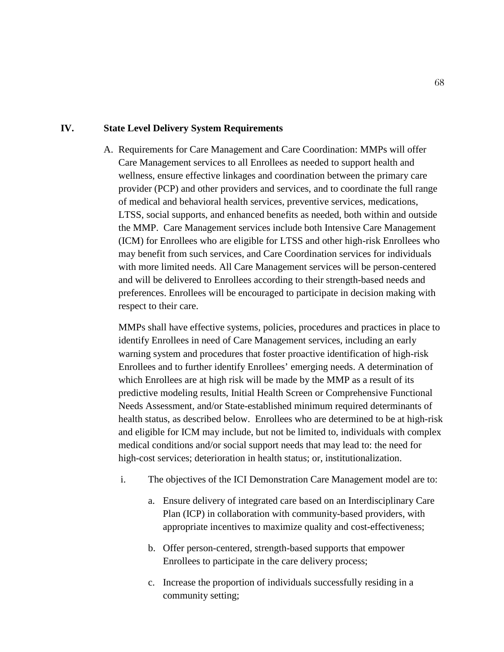### **IV. State Level Delivery System Requirements**

A. Requirements for Care Management and Care Coordination: MMPs will offer Care Management services to all Enrollees as needed to support health and wellness, ensure effective linkages and coordination between the primary care provider (PCP) and other providers and services, and to coordinate the full range of medical and behavioral health services, preventive services, medications, LTSS, social supports, and enhanced benefits as needed, both within and outside the MMP. Care Management services include both Intensive Care Management (ICM) for Enrollees who are eligible for LTSS and other high-risk Enrollees who may benefit from such services, and Care Coordination services for individuals with more limited needs. All Care Management services will be person-centered and will be delivered to Enrollees according to their strength-based needs and preferences. Enrollees will be encouraged to participate in decision making with respect to their care.

MMPs shall have effective systems, policies, procedures and practices in place to identify Enrollees in need of Care Management services, including an early warning system and procedures that foster proactive identification of high-risk Enrollees and to further identify Enrollees' emerging needs. A determination of which Enrollees are at high risk will be made by the MMP as a result of its predictive modeling results, Initial Health Screen or Comprehensive Functional Needs Assessment, and/or State-established minimum required determinants of health status, as described below. Enrollees who are determined to be at high-risk and eligible for ICM may include, but not be limited to, individuals with complex medical conditions and/or social support needs that may lead to: the need for high-cost services; deterioration in health status; or, institutionalization.

- i. The objectives of the ICI Demonstration Care Management model are to:
	- a. Ensure delivery of integrated care based on an Interdisciplinary Care Plan (ICP) in collaboration with community-based providers, with appropriate incentives to maximize quality and cost-effectiveness;
	- b. Offer person-centered, strength-based supports that empower Enrollees to participate in the care delivery process;
	- c. Increase the proportion of individuals successfully residing in a community setting;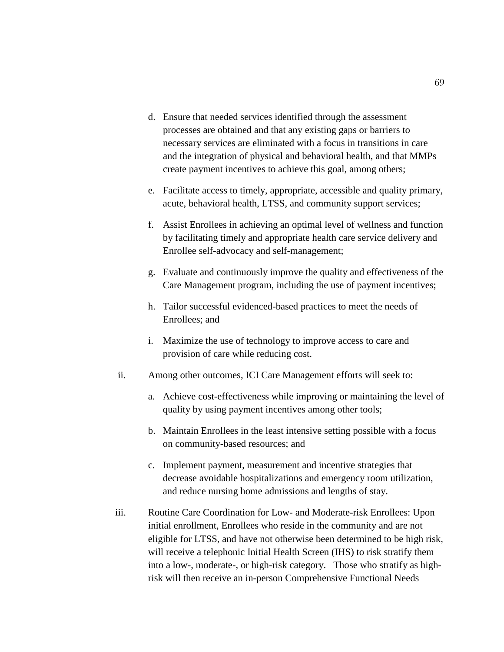- d. Ensure that needed services identified through the assessment processes are obtained and that any existing gaps or barriers to necessary services are eliminated with a focus in transitions in care and the integration of physical and behavioral health, and that MMPs create payment incentives to achieve this goal, among others;
- e. Facilitate access to timely, appropriate, accessible and quality primary, acute, behavioral health, LTSS, and community support services;
- f. Assist Enrollees in achieving an optimal level of wellness and function by facilitating timely and appropriate health care service delivery and Enrollee self-advocacy and self-management;
- g. Evaluate and continuously improve the quality and effectiveness of the Care Management program, including the use of payment incentives;
- h. Tailor successful evidenced-based practices to meet the needs of Enrollees; and
- i. Maximize the use of technology to improve access to care and provision of care while reducing cost.
- ii. Among other outcomes, ICI Care Management efforts will seek to:
	- a. Achieve cost-effectiveness while improving or maintaining the level of quality by using payment incentives among other tools;
	- b. Maintain Enrollees in the least intensive setting possible with a focus on community-based resources; and
	- c. Implement payment, measurement and incentive strategies that decrease avoidable hospitalizations and emergency room utilization, and reduce nursing home admissions and lengths of stay.
- iii. Routine Care Coordination for Low- and Moderate-risk Enrollees: Upon initial enrollment, Enrollees who reside in the community and are not eligible for LTSS, and have not otherwise been determined to be high risk, will receive a telephonic Initial Health Screen (IHS) to risk stratify them into a low-, moderate-, or high-risk category. Those who stratify as highrisk will then receive an in-person Comprehensive Functional Needs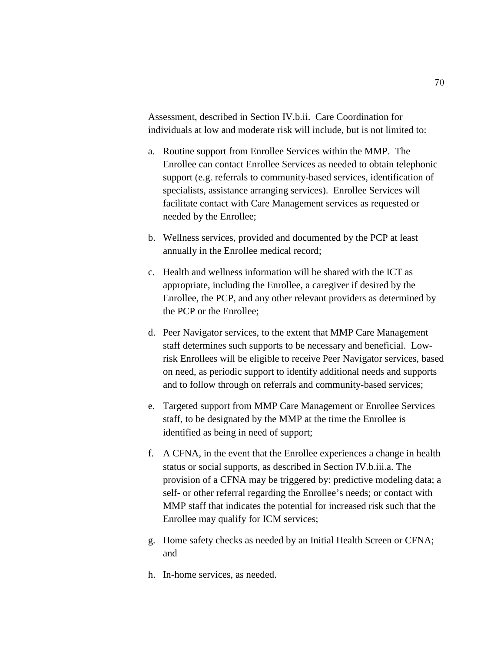Assessment, described in Section IV.b.ii. Care Coordination for individuals at low and moderate risk will include, but is not limited to:

- a. Routine support from Enrollee Services within the MMP. The Enrollee can contact Enrollee Services as needed to obtain telephonic support (e.g. referrals to community-based services, identification of specialists, assistance arranging services). Enrollee Services will facilitate contact with Care Management services as requested or needed by the Enrollee;
- b. Wellness services, provided and documented by the PCP at least annually in the Enrollee medical record;
- c. Health and wellness information will be shared with the ICT as appropriate, including the Enrollee, a caregiver if desired by the Enrollee, the PCP, and any other relevant providers as determined by the PCP or the Enrollee;
- d. Peer Navigator services, to the extent that MMP Care Management staff determines such supports to be necessary and beneficial. Lowrisk Enrollees will be eligible to receive Peer Navigator services, based on need, as periodic support to identify additional needs and supports and to follow through on referrals and community-based services;
- e. Targeted support from MMP Care Management or Enrollee Services staff, to be designated by the MMP at the time the Enrollee is identified as being in need of support;
- f. A CFNA, in the event that the Enrollee experiences a change in health status or social supports, as described in Section IV.b.iii.a. The provision of a CFNA may be triggered by: predictive modeling data; a self- or other referral regarding the Enrollee's needs; or contact with MMP staff that indicates the potential for increased risk such that the Enrollee may qualify for ICM services;
- g. Home safety checks as needed by an Initial Health Screen or CFNA; and
- h. In-home services, as needed.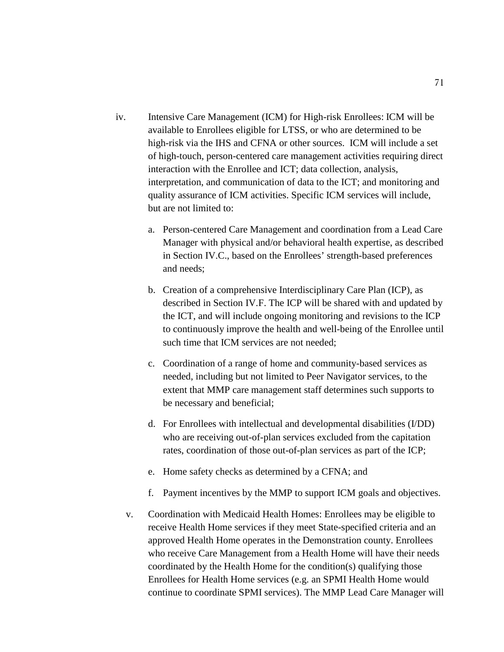- iv. Intensive Care Management (ICM) for High-risk Enrollees: ICM will be available to Enrollees eligible for LTSS, or who are determined to be high-risk via the IHS and CFNA or other sources. ICM will include a set of high-touch, person-centered care management activities requiring direct interaction with the Enrollee and ICT; data collection, analysis, interpretation, and communication of data to the ICT; and monitoring and quality assurance of ICM activities. Specific ICM services will include, but are not limited to:
	- a. Person-centered Care Management and coordination from a Lead Care Manager with physical and/or behavioral health expertise, as described in Section IV.C., based on the Enrollees' strength-based preferences and needs;
	- b. Creation of a comprehensive Interdisciplinary Care Plan (ICP), as described in Section IV.F. The ICP will be shared with and updated by the ICT, and will include ongoing monitoring and revisions to the ICP to continuously improve the health and well-being of the Enrollee until such time that ICM services are not needed;
	- c. Coordination of a range of home and community-based services as needed, including but not limited to Peer Navigator services, to the extent that MMP care management staff determines such supports to be necessary and beneficial;
	- d. For Enrollees with intellectual and developmental disabilities (I/DD) who are receiving out-of-plan services excluded from the capitation rates, coordination of those out-of-plan services as part of the ICP;
	- e. Home safety checks as determined by a CFNA; and
	- f. Payment incentives by the MMP to support ICM goals and objectives.
	- v. Coordination with Medicaid Health Homes: Enrollees may be eligible to receive Health Home services if they meet State-specified criteria and an approved Health Home operates in the Demonstration county. Enrollees who receive Care Management from a Health Home will have their needs coordinated by the Health Home for the condition(s) qualifying those Enrollees for Health Home services (e.g. an SPMI Health Home would continue to coordinate SPMI services). The MMP Lead Care Manager will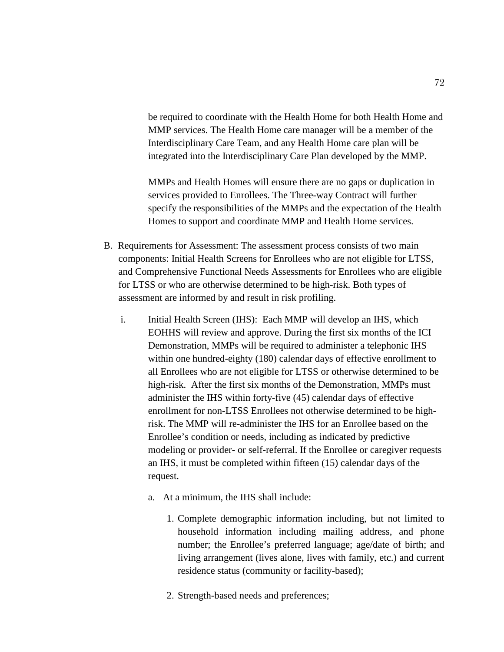be required to coordinate with the Health Home for both Health Home and MMP services. The Health Home care manager will be a member of the Interdisciplinary Care Team, and any Health Home care plan will be integrated into the Interdisciplinary Care Plan developed by the MMP.

MMPs and Health Homes will ensure there are no gaps or duplication in services provided to Enrollees. The Three-way Contract will further specify the responsibilities of the MMPs and the expectation of the Health Homes to support and coordinate MMP and Health Home services.

- B. Requirements for Assessment: The assessment process consists of two main components: Initial Health Screens for Enrollees who are not eligible for LTSS, and Comprehensive Functional Needs Assessments for Enrollees who are eligible for LTSS or who are otherwise determined to be high-risk. Both types of assessment are informed by and result in risk profiling.
	- i. Initial Health Screen (IHS): Each MMP will develop an IHS, which EOHHS will review and approve. During the first six months of the ICI Demonstration, MMPs will be required to administer a telephonic IHS within one hundred-eighty (180) calendar days of effective enrollment to all Enrollees who are not eligible for LTSS or otherwise determined to be high-risk. After the first six months of the Demonstration, MMPs must administer the IHS within forty-five (45) calendar days of effective enrollment for non-LTSS Enrollees not otherwise determined to be highrisk. The MMP will re-administer the IHS for an Enrollee based on the Enrollee's condition or needs, including as indicated by predictive modeling or provider- or self-referral. If the Enrollee or caregiver requests an IHS, it must be completed within fifteen (15) calendar days of the request.
		- a. At a minimum, the IHS shall include:
			- 1. Complete demographic information including, but not limited to household information including mailing address, and phone number; the Enrollee's preferred language; age/date of birth; and living arrangement (lives alone, lives with family, etc.) and current residence status (community or facility-based);
			- 2. Strength-based needs and preferences;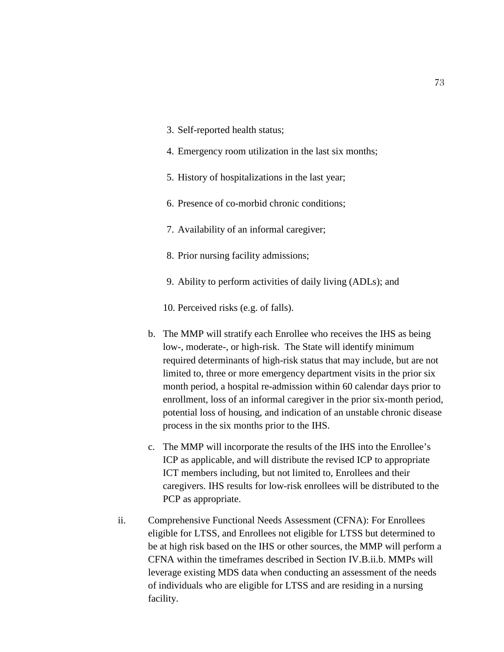- 3. Self-reported health status;
- 4. Emergency room utilization in the last six months;
- 5. History of hospitalizations in the last year;
- 6. Presence of co-morbid chronic conditions;
- 7. Availability of an informal caregiver;
- 8. Prior nursing facility admissions;
- 9. Ability to perform activities of daily living (ADLs); and

10. Perceived risks (e.g. of falls).

- b. The MMP will stratify each Enrollee who receives the IHS as being low-, moderate-, or high-risk. The State will identify minimum required determinants of high-risk status that may include, but are not limited to, three or more emergency department visits in the prior six month period, a hospital re-admission within 60 calendar days prior to enrollment, loss of an informal caregiver in the prior six-month period, potential loss of housing, and indication of an unstable chronic disease process in the six months prior to the IHS.
- c. The MMP will incorporate the results of the IHS into the Enrollee's ICP as applicable, and will distribute the revised ICP to appropriate ICT members including, but not limited to, Enrollees and their caregivers. IHS results for low-risk enrollees will be distributed to the PCP as appropriate.
- ii. Comprehensive Functional Needs Assessment (CFNA): For Enrollees eligible for LTSS, and Enrollees not eligible for LTSS but determined to be at high risk based on the IHS or other sources, the MMP will perform a CFNA within the timeframes described in Section IV.B.ii.b. MMPs will leverage existing MDS data when conducting an assessment of the needs of individuals who are eligible for LTSS and are residing in a nursing facility.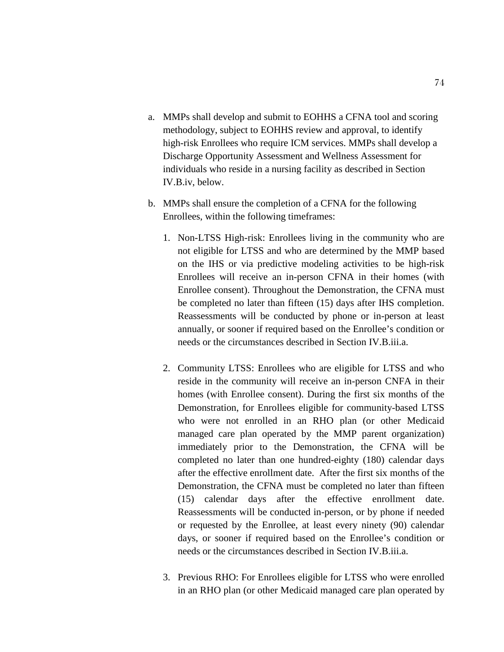- a. MMPs shall develop and submit to EOHHS a CFNA tool and scoring methodology, subject to EOHHS review and approval, to identify high-risk Enrollees who require ICM services. MMPs shall develop a Discharge Opportunity Assessment and Wellness Assessment for individuals who reside in a nursing facility as described in Section IV.B.iv, below.
- b. MMPs shall ensure the completion of a CFNA for the following Enrollees, within the following timeframes:
	- 1. Non-LTSS High-risk: Enrollees living in the community who are not eligible for LTSS and who are determined by the MMP based on the IHS or via predictive modeling activities to be high-risk Enrollees will receive an in-person CFNA in their homes (with Enrollee consent). Throughout the Demonstration, the CFNA must be completed no later than fifteen (15) days after IHS completion. Reassessments will be conducted by phone or in-person at least annually, or sooner if required based on the Enrollee's condition or needs or the circumstances described in Section IV.B.iii.a.
	- 2. Community LTSS: Enrollees who are eligible for LTSS and who reside in the community will receive an in-person CNFA in their homes (with Enrollee consent). During the first six months of the Demonstration, for Enrollees eligible for community-based LTSS who were not enrolled in an RHO plan (or other Medicaid managed care plan operated by the MMP parent organization) immediately prior to the Demonstration, the CFNA will be completed no later than one hundred-eighty (180) calendar days after the effective enrollment date. After the first six months of the Demonstration, the CFNA must be completed no later than fifteen (15) calendar days after the effective enrollment date. Reassessments will be conducted in-person, or by phone if needed or requested by the Enrollee, at least every ninety (90) calendar days, or sooner if required based on the Enrollee's condition or needs or the circumstances described in Section IV.B.iii.a.
	- 3. Previous RHO: For Enrollees eligible for LTSS who were enrolled in an RHO plan (or other Medicaid managed care plan operated by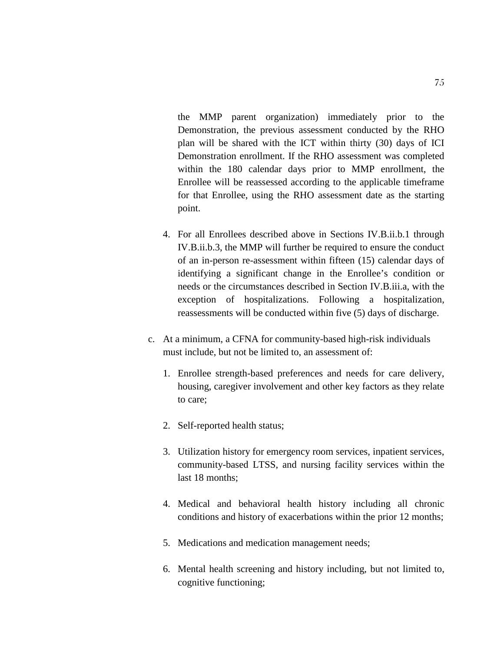the MMP parent organization) immediately prior to the Demonstration, the previous assessment conducted by the RHO plan will be shared with the ICT within thirty (30) days of ICI Demonstration enrollment. If the RHO assessment was completed within the 180 calendar days prior to MMP enrollment, the Enrollee will be reassessed according to the applicable timeframe for that Enrollee, using the RHO assessment date as the starting point.

- 4. For all Enrollees described above in Sections IV.B.ii.b.1 through IV.B.ii.b.3, the MMP will further be required to ensure the conduct of an in-person re-assessment within fifteen (15) calendar days of identifying a significant change in the Enrollee's condition or needs or the circumstances described in Section IV.B.iii.a, with the exception of hospitalizations. Following a hospitalization, reassessments will be conducted within five (5) days of discharge.
- c. At a minimum, a CFNA for community-based high-risk individuals must include, but not be limited to, an assessment of:
	- 1. Enrollee strength-based preferences and needs for care delivery, housing, caregiver involvement and other key factors as they relate to care;
	- 2. Self-reported health status;
	- 3. Utilization history for emergency room services, inpatient services, community-based LTSS, and nursing facility services within the last 18 months;
	- 4. Medical and behavioral health history including all chronic conditions and history of exacerbations within the prior 12 months;
	- 5. Medications and medication management needs;
	- 6. Mental health screening and history including, but not limited to, cognitive functioning;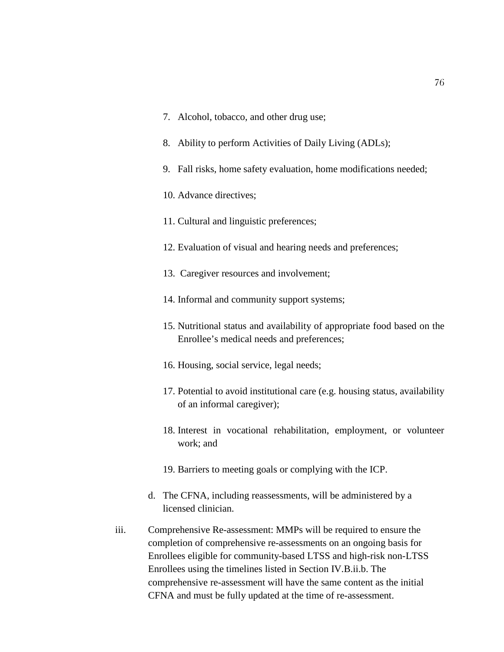- 7. Alcohol, tobacco, and other drug use;
- 8. Ability to perform Activities of Daily Living (ADLs);
- 9. Fall risks, home safety evaluation, home modifications needed;
- 10. Advance directives;
- 11. Cultural and linguistic preferences;
- 12. Evaluation of visual and hearing needs and preferences;
- 13. Caregiver resources and involvement;
- 14. Informal and community support systems;
- 15. Nutritional status and availability of appropriate food based on the Enrollee's medical needs and preferences;
- 16. Housing, social service, legal needs;
- 17. Potential to avoid institutional care (e.g. housing status, availability of an informal caregiver);
- 18. Interest in vocational rehabilitation, employment, or volunteer work; and
- 19. Barriers to meeting goals or complying with the ICP.
- d. The CFNA, including reassessments, will be administered by a licensed clinician.
- iii. Comprehensive Re-assessment: MMPs will be required to ensure the completion of comprehensive re-assessments on an ongoing basis for Enrollees eligible for community-based LTSS and high-risk non-LTSS Enrollees using the timelines listed in Section IV.B.ii.b. The comprehensive re-assessment will have the same content as the initial CFNA and must be fully updated at the time of re-assessment.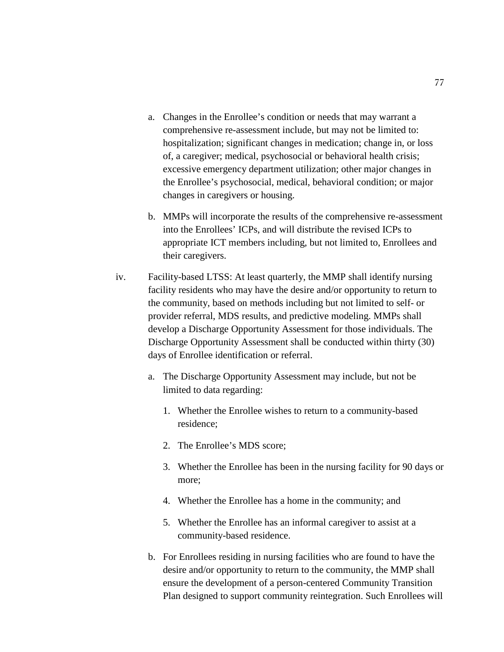- a. Changes in the Enrollee's condition or needs that may warrant a comprehensive re-assessment include, but may not be limited to: hospitalization; significant changes in medication; change in, or loss of, a caregiver; medical, psychosocial or behavioral health crisis; excessive emergency department utilization; other major changes in the Enrollee's psychosocial, medical, behavioral condition; or major changes in caregivers or housing.
- b. MMPs will incorporate the results of the comprehensive re-assessment into the Enrollees' ICPs, and will distribute the revised ICPs to appropriate ICT members including, but not limited to, Enrollees and their caregivers.
- iv. Facility-based LTSS: At least quarterly, the MMP shall identify nursing facility residents who may have the desire and/or opportunity to return to the community, based on methods including but not limited to self- or provider referral, MDS results, and predictive modeling. MMPs shall develop a Discharge Opportunity Assessment for those individuals. The Discharge Opportunity Assessment shall be conducted within thirty (30) days of Enrollee identification or referral.
	- a. The Discharge Opportunity Assessment may include, but not be limited to data regarding:
		- 1. Whether the Enrollee wishes to return to a community-based residence;
		- 2. The Enrollee's MDS score;
		- 3. Whether the Enrollee has been in the nursing facility for 90 days or more;
		- 4. Whether the Enrollee has a home in the community; and
		- 5. Whether the Enrollee has an informal caregiver to assist at a community-based residence.
	- b. For Enrollees residing in nursing facilities who are found to have the desire and/or opportunity to return to the community, the MMP shall ensure the development of a person-centered Community Transition Plan designed to support community reintegration. Such Enrollees will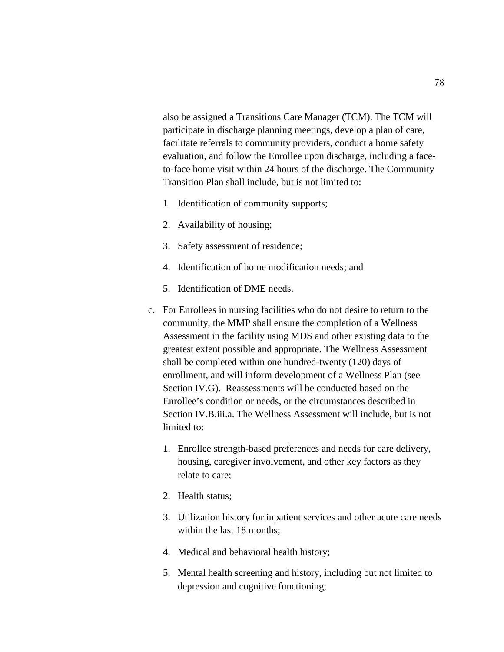also be assigned a Transitions Care Manager (TCM). The TCM will participate in discharge planning meetings, develop a plan of care, facilitate referrals to community providers, conduct a home safety evaluation, and follow the Enrollee upon discharge, including a faceto-face home visit within 24 hours of the discharge. The Community Transition Plan shall include, but is not limited to:

- 1. Identification of community supports;
- 2. Availability of housing;
- 3. Safety assessment of residence;
- 4. Identification of home modification needs; and
- 5. Identification of DME needs.
- c. For Enrollees in nursing facilities who do not desire to return to the community, the MMP shall ensure the completion of a Wellness Assessment in the facility using MDS and other existing data to the greatest extent possible and appropriate. The Wellness Assessment shall be completed within one hundred-twenty (120) days of enrollment, and will inform development of a Wellness Plan (see Section IV.G). Reassessments will be conducted based on the Enrollee's condition or needs, or the circumstances described in Section IV.B.iii.a. The Wellness Assessment will include, but is not limited to:
	- 1. Enrollee strength-based preferences and needs for care delivery, housing, caregiver involvement, and other key factors as they relate to care;
	- 2. Health status;
	- 3. Utilization history for inpatient services and other acute care needs within the last 18 months;
	- 4. Medical and behavioral health history;
	- 5. Mental health screening and history, including but not limited to depression and cognitive functioning;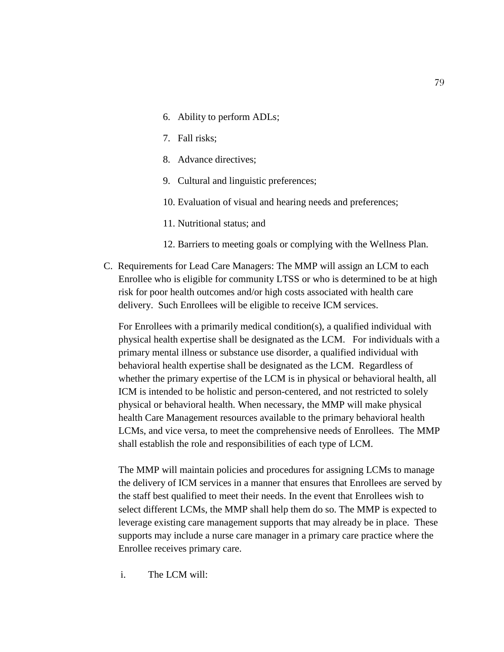- 6. Ability to perform ADLs;
- 7. Fall risks;
- 8. Advance directives;
- 9. Cultural and linguistic preferences;
- 10. Evaluation of visual and hearing needs and preferences;
- 11. Nutritional status; and
- 12. Barriers to meeting goals or complying with the Wellness Plan.
- C. Requirements for Lead Care Managers: The MMP will assign an LCM to each Enrollee who is eligible for community LTSS or who is determined to be at high risk for poor health outcomes and/or high costs associated with health care delivery. Such Enrollees will be eligible to receive ICM services.

For Enrollees with a primarily medical condition(s), a qualified individual with physical health expertise shall be designated as the LCM. For individuals with a primary mental illness or substance use disorder, a qualified individual with behavioral health expertise shall be designated as the LCM. Regardless of whether the primary expertise of the LCM is in physical or behavioral health, all ICM is intended to be holistic and person-centered, and not restricted to solely physical or behavioral health. When necessary, the MMP will make physical health Care Management resources available to the primary behavioral health LCMs, and vice versa, to meet the comprehensive needs of Enrollees. The MMP shall establish the role and responsibilities of each type of LCM.

The MMP will maintain policies and procedures for assigning LCMs to manage the delivery of ICM services in a manner that ensures that Enrollees are served by the staff best qualified to meet their needs. In the event that Enrollees wish to select different LCMs, the MMP shall help them do so. The MMP is expected to leverage existing care management supports that may already be in place. These supports may include a nurse care manager in a primary care practice where the Enrollee receives primary care.

i. The LCM will: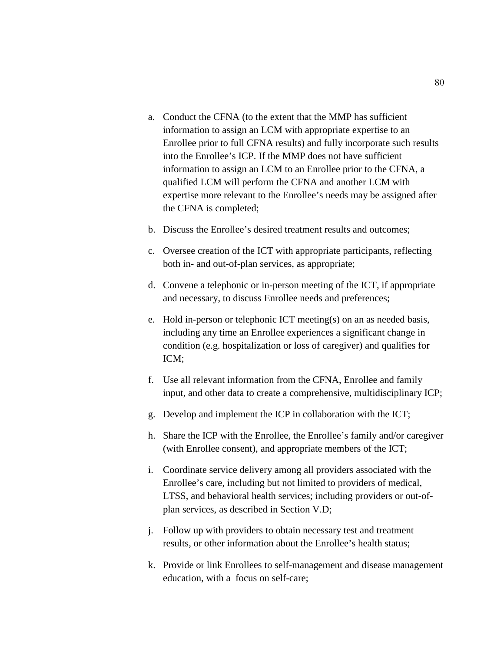- a. Conduct the CFNA (to the extent that the MMP has sufficient information to assign an LCM with appropriate expertise to an Enrollee prior to full CFNA results) and fully incorporate such results into the Enrollee's ICP. If the MMP does not have sufficient information to assign an LCM to an Enrollee prior to the CFNA, a qualified LCM will perform the CFNA and another LCM with expertise more relevant to the Enrollee's needs may be assigned after the CFNA is completed;
- b. Discuss the Enrollee's desired treatment results and outcomes;
- c. Oversee creation of the ICT with appropriate participants, reflecting both in- and out-of-plan services, as appropriate;
- d. Convene a telephonic or in-person meeting of the ICT, if appropriate and necessary, to discuss Enrollee needs and preferences;
- e. Hold in-person or telephonic ICT meeting(s) on an as needed basis, including any time an Enrollee experiences a significant change in condition (e.g. hospitalization or loss of caregiver) and qualifies for ICM;
- f. Use all relevant information from the CFNA, Enrollee and family input, and other data to create a comprehensive, multidisciplinary ICP;
- g. Develop and implement the ICP in collaboration with the ICT;
- h. Share the ICP with the Enrollee, the Enrollee's family and/or caregiver (with Enrollee consent), and appropriate members of the ICT;
- i. Coordinate service delivery among all providers associated with the Enrollee's care, including but not limited to providers of medical, LTSS, and behavioral health services; including providers or out-ofplan services, as described in Section V.D;
- j. Follow up with providers to obtain necessary test and treatment results, or other information about the Enrollee's health status;
- k. Provide or link Enrollees to self-management and disease management education, with a focus on self-care;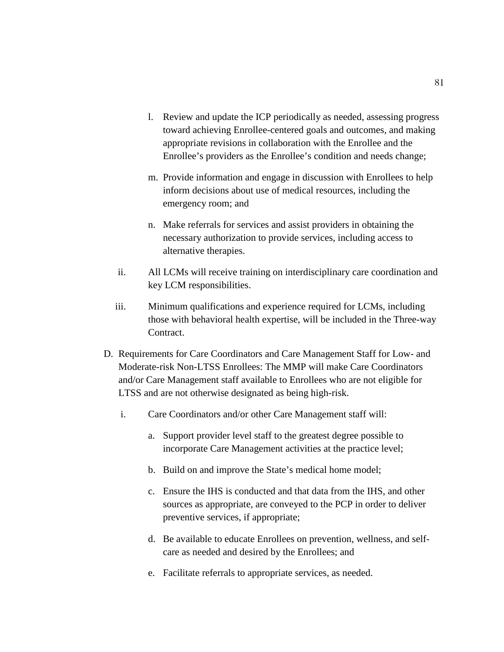- l. Review and update the ICP periodically as needed, assessing progress toward achieving Enrollee-centered goals and outcomes, and making appropriate revisions in collaboration with the Enrollee and the Enrollee's providers as the Enrollee's condition and needs change;
- m. Provide information and engage in discussion with Enrollees to help inform decisions about use of medical resources, including the emergency room; and
- n. Make referrals for services and assist providers in obtaining the necessary authorization to provide services, including access to alternative therapies.
- ii. All LCMs will receive training on interdisciplinary care coordination and key LCM responsibilities.
- iii. Minimum qualifications and experience required for LCMs, including those with behavioral health expertise, will be included in the Three-way Contract.
- D. Requirements for Care Coordinators and Care Management Staff for Low- and Moderate-risk Non-LTSS Enrollees: The MMP will make Care Coordinators and/or Care Management staff available to Enrollees who are not eligible for LTSS and are not otherwise designated as being high-risk.
	- i. Care Coordinators and/or other Care Management staff will:
		- a. Support provider level staff to the greatest degree possible to incorporate Care Management activities at the practice level;
		- b. Build on and improve the State's medical home model;
		- c. Ensure the IHS is conducted and that data from the IHS, and other sources as appropriate, are conveyed to the PCP in order to deliver preventive services, if appropriate;
		- d. Be available to educate Enrollees on prevention, wellness, and selfcare as needed and desired by the Enrollees; and
		- e. Facilitate referrals to appropriate services, as needed.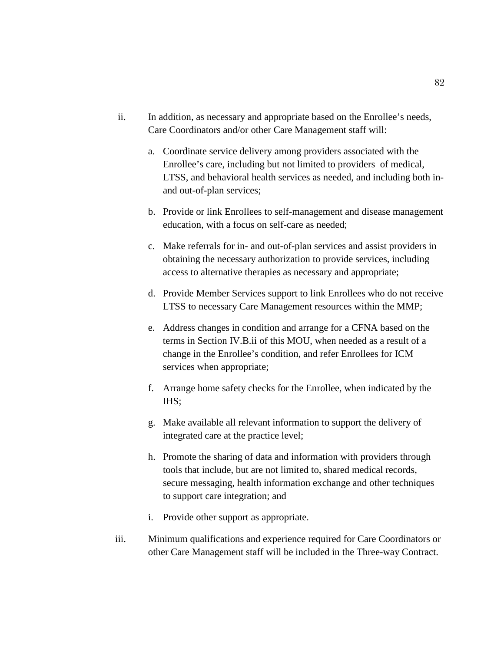- ii. In addition, as necessary and appropriate based on the Enrollee's needs, Care Coordinators and/or other Care Management staff will:
	- a. Coordinate service delivery among providers associated with the Enrollee's care, including but not limited to providers of medical, LTSS, and behavioral health services as needed, and including both inand out-of-plan services;
	- b. Provide or link Enrollees to self-management and disease management education, with a focus on self-care as needed;
	- c. Make referrals for in- and out-of-plan services and assist providers in obtaining the necessary authorization to provide services, including access to alternative therapies as necessary and appropriate;
	- d. Provide Member Services support to link Enrollees who do not receive LTSS to necessary Care Management resources within the MMP;
	- e. Address changes in condition and arrange for a CFNA based on the terms in Section IV.B.ii of this MOU, when needed as a result of a change in the Enrollee's condition, and refer Enrollees for ICM services when appropriate;
	- f. Arrange home safety checks for the Enrollee, when indicated by the IHS;
	- g. Make available all relevant information to support the delivery of integrated care at the practice level;
	- h. Promote the sharing of data and information with providers through tools that include, but are not limited to, shared medical records, secure messaging, health information exchange and other techniques to support care integration; and
	- i. Provide other support as appropriate.
- iii. Minimum qualifications and experience required for Care Coordinators or other Care Management staff will be included in the Three-way Contract.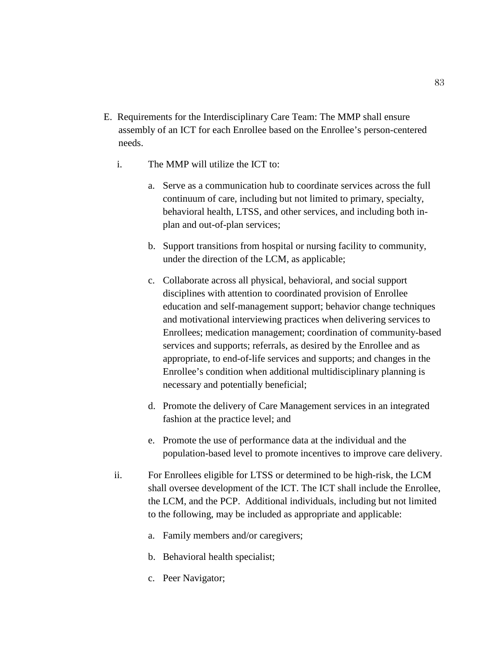- E. Requirements for the Interdisciplinary Care Team: The MMP shall ensure assembly of an ICT for each Enrollee based on the Enrollee's person-centered needs.
	- i. The MMP will utilize the ICT to:
		- a. Serve as a communication hub to coordinate services across the full continuum of care, including but not limited to primary, specialty, behavioral health, LTSS, and other services, and including both inplan and out-of-plan services;
		- b. Support transitions from hospital or nursing facility to community, under the direction of the LCM, as applicable;
		- c. Collaborate across all physical, behavioral, and social support disciplines with attention to coordinated provision of Enrollee education and self-management support; behavior change techniques and motivational interviewing practices when delivering services to Enrollees; medication management; coordination of community-based services and supports; referrals, as desired by the Enrollee and as appropriate, to end-of-life services and supports; and changes in the Enrollee's condition when additional multidisciplinary planning is necessary and potentially beneficial;
		- d. Promote the delivery of Care Management services in an integrated fashion at the practice level; and
		- e. Promote the use of performance data at the individual and the population-based level to promote incentives to improve care delivery.
	- ii. For Enrollees eligible for LTSS or determined to be high-risk, the LCM shall oversee development of the ICT. The ICT shall include the Enrollee, the LCM, and the PCP. Additional individuals, including but not limited to the following, may be included as appropriate and applicable:
		- a. Family members and/or caregivers;
		- b. Behavioral health specialist;
		- c. Peer Navigator;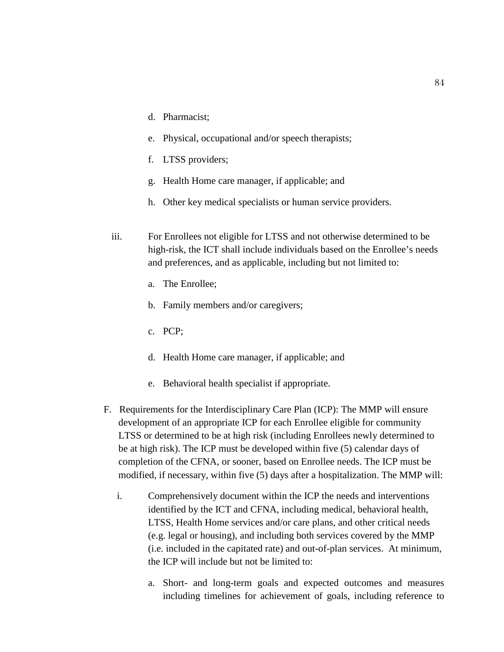- d. Pharmacist;
- e. Physical, occupational and/or speech therapists;
- f. LTSS providers;
- g. Health Home care manager, if applicable; and
- h. Other key medical specialists or human service providers.
- iii. For Enrollees not eligible for LTSS and not otherwise determined to be high-risk, the ICT shall include individuals based on the Enrollee's needs and preferences, and as applicable, including but not limited to:
	- a. The Enrollee;
	- b. Family members and/or caregivers;
	- c. PCP;
	- d. Health Home care manager, if applicable; and
	- e. Behavioral health specialist if appropriate.
- F. Requirements for the Interdisciplinary Care Plan (ICP): The MMP will ensure development of an appropriate ICP for each Enrollee eligible for community LTSS or determined to be at high risk (including Enrollees newly determined to be at high risk). The ICP must be developed within five (5) calendar days of completion of the CFNA, or sooner, based on Enrollee needs. The ICP must be modified, if necessary, within five (5) days after a hospitalization. The MMP will:
	- i. Comprehensively document within the ICP the needs and interventions identified by the ICT and CFNA, including medical, behavioral health, LTSS, Health Home services and/or care plans, and other critical needs (e.g. legal or housing), and including both services covered by the MMP (i.e. included in the capitated rate) and out-of-plan services. At minimum, the ICP will include but not be limited to:
		- a. Short- and long-term goals and expected outcomes and measures including timelines for achievement of goals, including reference to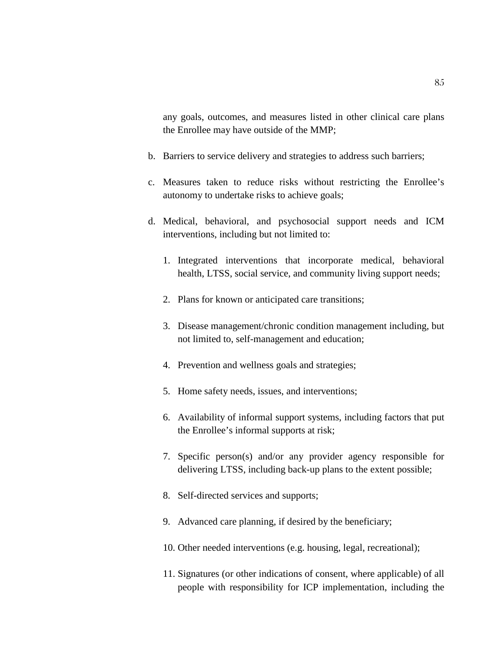any goals, outcomes, and measures listed in other clinical care plans the Enrollee may have outside of the MMP;

- b. Barriers to service delivery and strategies to address such barriers;
- c. Measures taken to reduce risks without restricting the Enrollee's autonomy to undertake risks to achieve goals;
- d. Medical, behavioral, and psychosocial support needs and ICM interventions, including but not limited to:
	- 1. Integrated interventions that incorporate medical, behavioral health, LTSS, social service, and community living support needs;
	- 2. Plans for known or anticipated care transitions;
	- 3. Disease management/chronic condition management including, but not limited to, self-management and education;
	- 4. Prevention and wellness goals and strategies;
	- 5. Home safety needs, issues, and interventions;
	- 6. Availability of informal support systems, including factors that put the Enrollee's informal supports at risk;
	- 7. Specific person(s) and/or any provider agency responsible for delivering LTSS, including back-up plans to the extent possible;
	- 8. Self-directed services and supports;
	- 9. Advanced care planning, if desired by the beneficiary;
	- 10. Other needed interventions (e.g. housing, legal, recreational);
	- 11. Signatures (or other indications of consent, where applicable) of all people with responsibility for ICP implementation, including the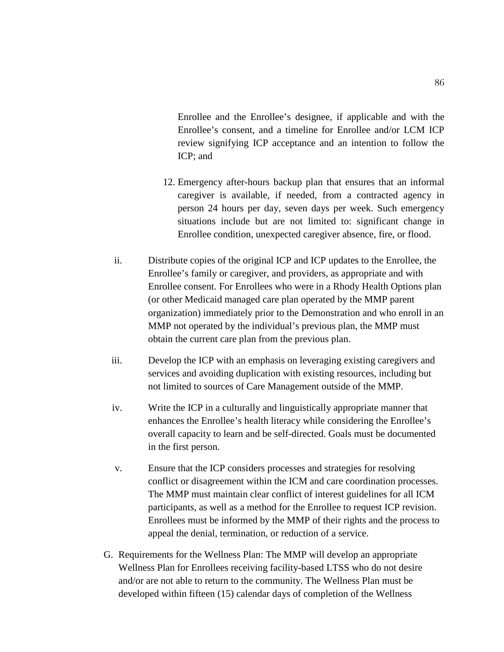Enrollee and the Enrollee's designee, if applicable and with the Enrollee's consent, and a timeline for Enrollee and/or LCM ICP review signifying ICP acceptance and an intention to follow the ICP; and

- 12. Emergency after-hours backup plan that ensures that an informal caregiver is available, if needed, from a contracted agency in person 24 hours per day, seven days per week. Such emergency situations include but are not limited to: significant change in Enrollee condition, unexpected caregiver absence, fire, or flood.
- ii. Distribute copies of the original ICP and ICP updates to the Enrollee, the Enrollee's family or caregiver, and providers, as appropriate and with Enrollee consent. For Enrollees who were in a Rhody Health Options plan (or other Medicaid managed care plan operated by the MMP parent organization) immediately prior to the Demonstration and who enroll in an MMP not operated by the individual's previous plan, the MMP must obtain the current care plan from the previous plan.
- iii. Develop the ICP with an emphasis on leveraging existing caregivers and services and avoiding duplication with existing resources, including but not limited to sources of Care Management outside of the MMP.
- iv. Write the ICP in a culturally and linguistically appropriate manner that enhances the Enrollee's health literacy while considering the Enrollee's overall capacity to learn and be self-directed. Goals must be documented in the first person.
- v. Ensure that the ICP considers processes and strategies for resolving conflict or disagreement within the ICM and care coordination processes. The MMP must maintain clear conflict of interest guidelines for all ICM participants, as well as a method for the Enrollee to request ICP revision. Enrollees must be informed by the MMP of their rights and the process to appeal the denial, termination, or reduction of a service.
- G. Requirements for the Wellness Plan: The MMP will develop an appropriate Wellness Plan for Enrollees receiving facility-based LTSS who do not desire and/or are not able to return to the community. The Wellness Plan must be developed within fifteen (15) calendar days of completion of the Wellness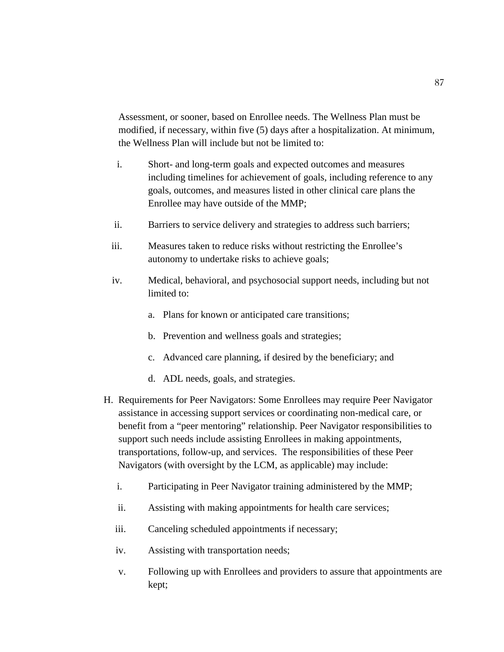Assessment, or sooner, based on Enrollee needs. The Wellness Plan must be modified, if necessary, within five (5) days after a hospitalization. At minimum, the Wellness Plan will include but not be limited to:

- i. Short- and long-term goals and expected outcomes and measures including timelines for achievement of goals, including reference to any goals, outcomes, and measures listed in other clinical care plans the Enrollee may have outside of the MMP;
- ii. Barriers to service delivery and strategies to address such barriers;
- iii. Measures taken to reduce risks without restricting the Enrollee's autonomy to undertake risks to achieve goals;
- iv. Medical, behavioral, and psychosocial support needs, including but not limited to:
	- a. Plans for known or anticipated care transitions;
	- b. Prevention and wellness goals and strategies;
	- c. Advanced care planning, if desired by the beneficiary; and
	- d. ADL needs, goals, and strategies.
- H. Requirements for Peer Navigators: Some Enrollees may require Peer Navigator assistance in accessing support services or coordinating non-medical care, or benefit from a "peer mentoring" relationship. Peer Navigator responsibilities to support such needs include assisting Enrollees in making appointments, transportations, follow-up, and services. The responsibilities of these Peer Navigators (with oversight by the LCM, as applicable) may include:
	- i. Participating in Peer Navigator training administered by the MMP;
	- ii. Assisting with making appointments for health care services;
	- iii. Canceling scheduled appointments if necessary;
	- iv. Assisting with transportation needs;
	- v. Following up with Enrollees and providers to assure that appointments are kept;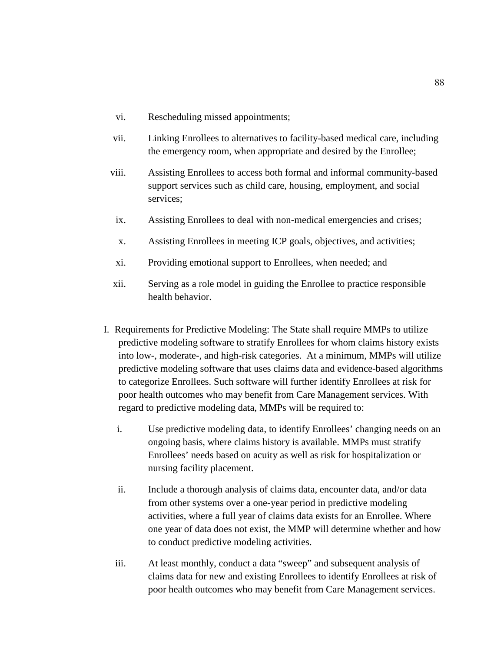- vi. Rescheduling missed appointments;
- vii. Linking Enrollees to alternatives to facility-based medical care, including the emergency room, when appropriate and desired by the Enrollee;
- viii. Assisting Enrollees to access both formal and informal community-based support services such as child care, housing, employment, and social services;
- ix. Assisting Enrollees to deal with non-medical emergencies and crises;
- x. Assisting Enrollees in meeting ICP goals, objectives, and activities;
- xi. Providing emotional support to Enrollees, when needed; and
- xii. Serving as a role model in guiding the Enrollee to practice responsible health behavior.
- I. Requirements for Predictive Modeling: The State shall require MMPs to utilize predictive modeling software to stratify Enrollees for whom claims history exists into low-, moderate-, and high-risk categories. At a minimum, MMPs will utilize predictive modeling software that uses claims data and evidence-based algorithms to categorize Enrollees. Such software will further identify Enrollees at risk for poor health outcomes who may benefit from Care Management services. With regard to predictive modeling data, MMPs will be required to:
	- i. Use predictive modeling data, to identify Enrollees' changing needs on an ongoing basis, where claims history is available. MMPs must stratify Enrollees' needs based on acuity as well as risk for hospitalization or nursing facility placement.
	- ii. Include a thorough analysis of claims data, encounter data, and/or data from other systems over a one-year period in predictive modeling activities, where a full year of claims data exists for an Enrollee. Where one year of data does not exist, the MMP will determine whether and how to conduct predictive modeling activities.
	- iii. At least monthly, conduct a data "sweep" and subsequent analysis of claims data for new and existing Enrollees to identify Enrollees at risk of poor health outcomes who may benefit from Care Management services.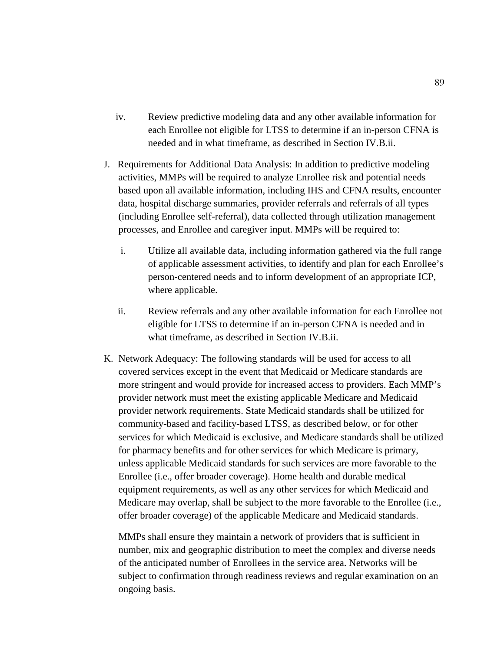- iv. Review predictive modeling data and any other available information for each Enrollee not eligible for LTSS to determine if an in-person CFNA is needed and in what timeframe, as described in Section IV.B.ii.
- J. Requirements for Additional Data Analysis: In addition to predictive modeling activities, MMPs will be required to analyze Enrollee risk and potential needs based upon all available information, including IHS and CFNA results, encounter data, hospital discharge summaries, provider referrals and referrals of all types (including Enrollee self-referral), data collected through utilization management processes, and Enrollee and caregiver input. MMPs will be required to:
	- i. Utilize all available data, including information gathered via the full range of applicable assessment activities, to identify and plan for each Enrollee's person-centered needs and to inform development of an appropriate ICP, where applicable.
	- ii. Review referrals and any other available information for each Enrollee not eligible for LTSS to determine if an in-person CFNA is needed and in what timeframe, as described in Section IV.B.ii.
- K. Network Adequacy: The following standards will be used for access to all covered services except in the event that Medicaid or Medicare standards are more stringent and would provide for increased access to providers. Each MMP's provider network must meet the existing applicable Medicare and Medicaid provider network requirements. State Medicaid standards shall be utilized for community-based and facility-based LTSS, as described below, or for other services for which Medicaid is exclusive, and Medicare standards shall be utilized for pharmacy benefits and for other services for which Medicare is primary, unless applicable Medicaid standards for such services are more favorable to the Enrollee (i.e., offer broader coverage). Home health and durable medical equipment requirements, as well as any other services for which Medicaid and Medicare may overlap, shall be subject to the more favorable to the Enrollee (i.e., offer broader coverage) of the applicable Medicare and Medicaid standards.

MMPs shall ensure they maintain a network of providers that is sufficient in number, mix and geographic distribution to meet the complex and diverse needs of the anticipated number of Enrollees in the service area. Networks will be subject to confirmation through readiness reviews and regular examination on an ongoing basis.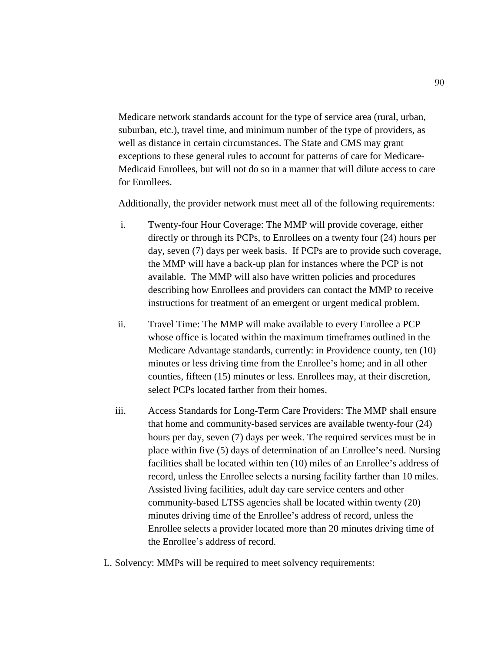Medicare network standards account for the type of service area (rural, urban, suburban, etc.), travel time, and minimum number of the type of providers, as well as distance in certain circumstances. The State and CMS may grant exceptions to these general rules to account for patterns of care for Medicare-Medicaid Enrollees, but will not do so in a manner that will dilute access to care for Enrollees.

Additionally, the provider network must meet all of the following requirements:

- i. Twenty-four Hour Coverage: The MMP will provide coverage, either directly or through its PCPs, to Enrollees on a twenty four (24) hours per day, seven (7) days per week basis. If PCPs are to provide such coverage, the MMP will have a back-up plan for instances where the PCP is not available. The MMP will also have written policies and procedures describing how Enrollees and providers can contact the MMP to receive instructions for treatment of an emergent or urgent medical problem.
- ii. Travel Time: The MMP will make available to every Enrollee a PCP whose office is located within the maximum timeframes outlined in the Medicare Advantage standards, currently: in Providence county, ten (10) minutes or less driving time from the Enrollee's home; and in all other counties, fifteen (15) minutes or less. Enrollees may, at their discretion, select PCPs located farther from their homes.
- iii. Access Standards for Long-Term Care Providers: The MMP shall ensure that home and community-based services are available twenty-four (24) hours per day, seven (7) days per week. The required services must be in place within five (5) days of determination of an Enrollee's need. Nursing facilities shall be located within ten (10) miles of an Enrollee's address of record, unless the Enrollee selects a nursing facility farther than 10 miles. Assisted living facilities, adult day care service centers and other community-based LTSS agencies shall be located within twenty (20) minutes driving time of the Enrollee's address of record, unless the Enrollee selects a provider located more than 20 minutes driving time of the Enrollee's address of record.
- L. Solvency: MMPs will be required to meet solvency requirements: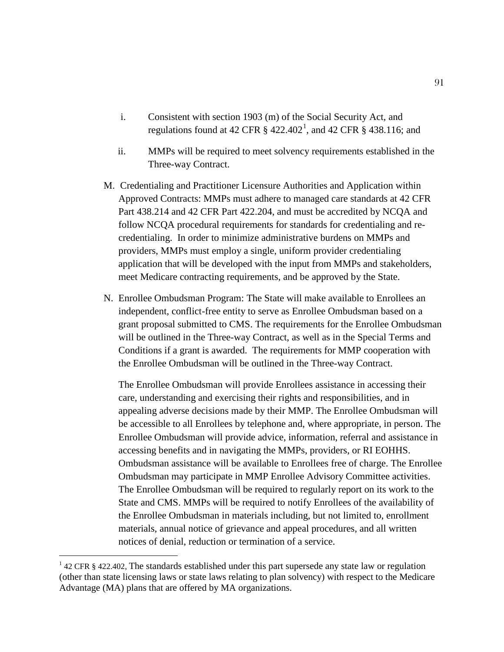- i. Consistent with section 1903 (m) of the Social Security Act, and regulations found at 42 CFR  $\S~422.402^1$  $\S~422.402^1$ , and 42 CFR  $\S~438.116$ ; and
- ii. MMPs will be required to meet solvency requirements established in the Three-way Contract.
- M. Credentialing and Practitioner Licensure Authorities and Application within Approved Contracts: MMPs must adhere to managed care standards at 42 CFR Part 438.214 and 42 CFR Part 422.204, and must be accredited by NCQA and follow NCQA procedural requirements for standards for credentialing and recredentialing. In order to minimize administrative burdens on MMPs and providers, MMPs must employ a single, uniform provider credentialing application that will be developed with the input from MMPs and stakeholders, meet Medicare contracting requirements, and be approved by the State.
- N. Enrollee Ombudsman Program: The State will make available to Enrollees an independent, conflict-free entity to serve as Enrollee Ombudsman based on a grant proposal submitted to CMS. The requirements for the Enrollee Ombudsman will be outlined in the Three-way Contract, as well as in the Special Terms and Conditions if a grant is awarded. The requirements for MMP cooperation with the Enrollee Ombudsman will be outlined in the Three-way Contract.

The Enrollee Ombudsman will provide Enrollees assistance in accessing their care, understanding and exercising their rights and responsibilities, and in appealing adverse decisions made by their MMP. The Enrollee Ombudsman will be accessible to all Enrollees by telephone and, where appropriate, in person. The Enrollee Ombudsman will provide advice, information, referral and assistance in accessing benefits and in navigating the MMPs, providers, or RI EOHHS. Ombudsman assistance will be available to Enrollees free of charge. The Enrollee Ombudsman may participate in MMP Enrollee Advisory Committee activities. The Enrollee Ombudsman will be required to regularly report on its work to the State and CMS. MMPs will be required to notify Enrollees of the availability of the Enrollee Ombudsman in materials including, but not limited to, enrollment materials, annual notice of grievance and appeal procedures, and all written notices of denial, reduction or termination of a service.

<span id="page-92-0"></span><sup>&</sup>lt;sup>1</sup> 42 CFR § 422.402, The standards established under this part supersede any state law or regulation (other than state licensing laws or state laws relating to plan solvency) with respect to the Medicare Advantage (MA) plans that are offered by MA organizations.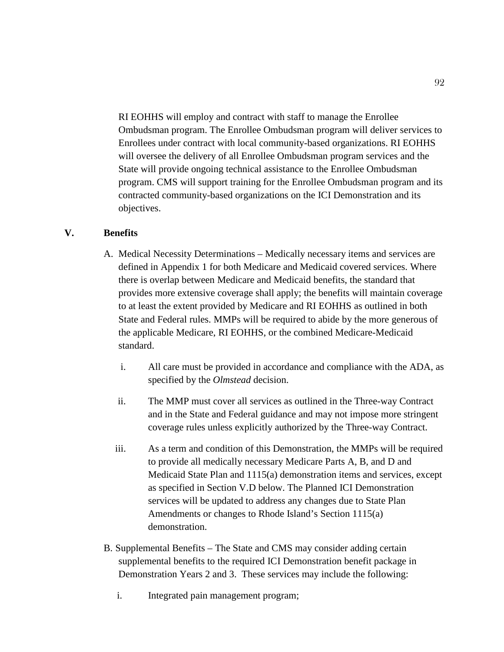RI EOHHS will employ and contract with staff to manage the Enrollee Ombudsman program. The Enrollee Ombudsman program will deliver services to Enrollees under contract with local community-based organizations. RI EOHHS will oversee the delivery of all Enrollee Ombudsman program services and the State will provide ongoing technical assistance to the Enrollee Ombudsman program. CMS will support training for the Enrollee Ombudsman program and its contracted community-based organizations on the ICI Demonstration and its objectives.

### **V. Benefits**

- A. Medical Necessity Determinations Medically necessary items and services are defined in Appendix 1 for both Medicare and Medicaid covered services. Where there is overlap between Medicare and Medicaid benefits, the standard that provides more extensive coverage shall apply; the benefits will maintain coverage to at least the extent provided by Medicare and RI EOHHS as outlined in both State and Federal rules. MMPs will be required to abide by the more generous of the applicable Medicare, RI EOHHS, or the combined Medicare-Medicaid standard.
	- i. All care must be provided in accordance and compliance with the ADA, as specified by the *Olmstead* decision.
	- ii. The MMP must cover all services as outlined in the Three-way Contract and in the State and Federal guidance and may not impose more stringent coverage rules unless explicitly authorized by the Three-way Contract.
	- iii. As a term and condition of this Demonstration, the MMPs will be required to provide all medically necessary Medicare Parts A, B, and D and Medicaid State Plan and 1115(a) demonstration items and services, except as specified in Section V.D below. The Planned ICI Demonstration services will be updated to address any changes due to State Plan Amendments or changes to Rhode Island's Section 1115(a) demonstration.
- B. Supplemental Benefits The State and CMS may consider adding certain supplemental benefits to the required ICI Demonstration benefit package in Demonstration Years 2 and 3. These services may include the following:
	- i. Integrated pain management program;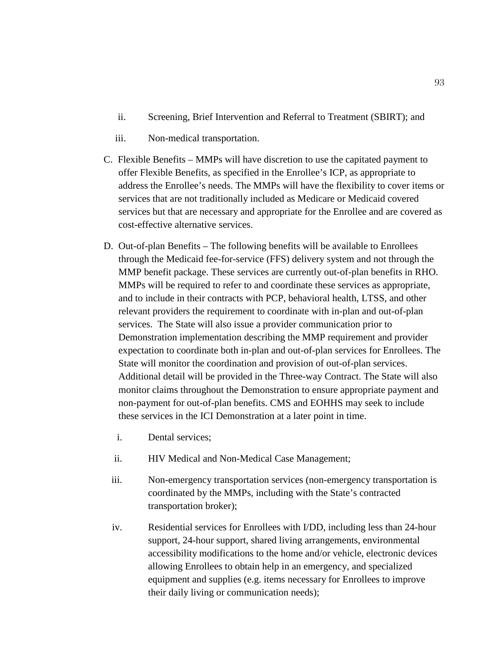- ii. Screening, Brief Intervention and Referral to Treatment (SBIRT); and
- iii. Non-medical transportation.
- C. Flexible Benefits MMPs will have discretion to use the capitated payment to offer Flexible Benefits, as specified in the Enrollee's ICP, as appropriate to address the Enrollee's needs. The MMPs will have the flexibility to cover items or services that are not traditionally included as Medicare or Medicaid covered services but that are necessary and appropriate for the Enrollee and are covered as cost-effective alternative services.
- D. Out-of-plan Benefits The following benefits will be available to Enrollees through the Medicaid fee-for-service (FFS) delivery system and not through the MMP benefit package. These services are currently out-of-plan benefits in RHO. MMPs will be required to refer to and coordinate these services as appropriate, and to include in their contracts with PCP, behavioral health, LTSS, and other relevant providers the requirement to coordinate with in-plan and out-of-plan services. The State will also issue a provider communication prior to Demonstration implementation describing the MMP requirement and provider expectation to coordinate both in-plan and out-of-plan services for Enrollees. The State will monitor the coordination and provision of out-of-plan services. Additional detail will be provided in the Three-way Contract. The State will also monitor claims throughout the Demonstration to ensure appropriate payment and non-payment for out-of-plan benefits. CMS and EOHHS may seek to include these services in the ICI Demonstration at a later point in time.
	- i. Dental services;
	- ii. HIV Medical and Non-Medical Case Management;
	- iii. Non-emergency transportation services (non-emergency transportation is coordinated by the MMPs, including with the State's contracted transportation broker);
	- iv. Residential services for Enrollees with I/DD, including less than 24-hour support, 24-hour support, shared living arrangements, environmental accessibility modifications to the home and/or vehicle, electronic devices allowing Enrollees to obtain help in an emergency, and specialized equipment and supplies (e.g. items necessary for Enrollees to improve their daily living or communication needs);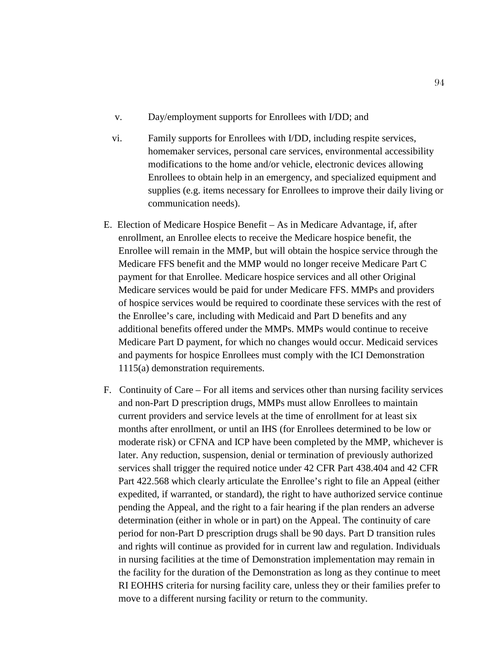- v. Day/employment supports for Enrollees with I/DD; and
- vi. Family supports for Enrollees with I/DD, including respite services, homemaker services, personal care services, environmental accessibility modifications to the home and/or vehicle, electronic devices allowing Enrollees to obtain help in an emergency, and specialized equipment and supplies (e.g. items necessary for Enrollees to improve their daily living or communication needs).
- E. Election of Medicare Hospice Benefit As in Medicare Advantage, if, after enrollment, an Enrollee elects to receive the Medicare hospice benefit, the Enrollee will remain in the MMP, but will obtain the hospice service through the Medicare FFS benefit and the MMP would no longer receive Medicare Part C payment for that Enrollee. Medicare hospice services and all other Original Medicare services would be paid for under Medicare FFS. MMPs and providers of hospice services would be required to coordinate these services with the rest of the Enrollee's care, including with Medicaid and Part D benefits and any additional benefits offered under the MMPs. MMPs would continue to receive Medicare Part D payment, for which no changes would occur. Medicaid services and payments for hospice Enrollees must comply with the ICI Demonstration 1115(a) demonstration requirements.
- F. Continuity of Care For all items and services other than nursing facility services and non-Part D prescription drugs, MMPs must allow Enrollees to maintain current providers and service levels at the time of enrollment for at least six months after enrollment, or until an IHS (for Enrollees determined to be low or moderate risk) or CFNA and ICP have been completed by the MMP, whichever is later. Any reduction, suspension, denial or termination of previously authorized services shall trigger the required notice under 42 CFR Part 438.404 and 42 CFR Part 422.568 which clearly articulate the Enrollee's right to file an Appeal (either expedited, if warranted, or standard), the right to have authorized service continue pending the Appeal, and the right to a fair hearing if the plan renders an adverse determination (either in whole or in part) on the Appeal. The continuity of care period for non-Part D prescription drugs shall be 90 days. Part D transition rules and rights will continue as provided for in current law and regulation. Individuals in nursing facilities at the time of Demonstration implementation may remain in the facility for the duration of the Demonstration as long as they continue to meet RI EOHHS criteria for nursing facility care, unless they or their families prefer to move to a different nursing facility or return to the community.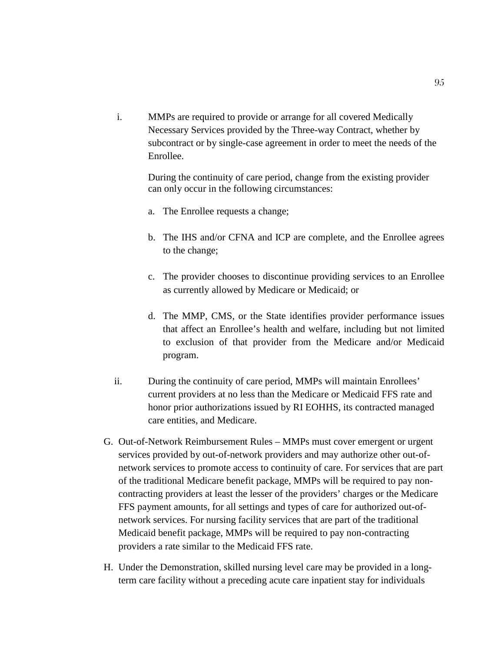i. MMPs are required to provide or arrange for all covered Medically Necessary Services provided by the Three-way Contract, whether by subcontract or by single-case agreement in order to meet the needs of the Enrollee.

During the continuity of care period, change from the existing provider can only occur in the following circumstances:

- a. The Enrollee requests a change;
- b. The IHS and/or CFNA and ICP are complete, and the Enrollee agrees to the change;
- c. The provider chooses to discontinue providing services to an Enrollee as currently allowed by Medicare or Medicaid; or
- d. The MMP, CMS, or the State identifies provider performance issues that affect an Enrollee's health and welfare, including but not limited to exclusion of that provider from the Medicare and/or Medicaid program.
- ii. During the continuity of care period, MMPs will maintain Enrollees' current providers at no less than the Medicare or Medicaid FFS rate and honor prior authorizations issued by RI EOHHS, its contracted managed care entities, and Medicare.
- G. Out-of-Network Reimbursement Rules MMPs must cover emergent or urgent services provided by out-of-network providers and may authorize other out-ofnetwork services to promote access to continuity of care. For services that are part of the traditional Medicare benefit package, MMPs will be required to pay noncontracting providers at least the lesser of the providers' charges or the Medicare FFS payment amounts, for all settings and types of care for authorized out-ofnetwork services. For nursing facility services that are part of the traditional Medicaid benefit package, MMPs will be required to pay non-contracting providers a rate similar to the Medicaid FFS rate.
- H. Under the Demonstration, skilled nursing level care may be provided in a longterm care facility without a preceding acute care inpatient stay for individuals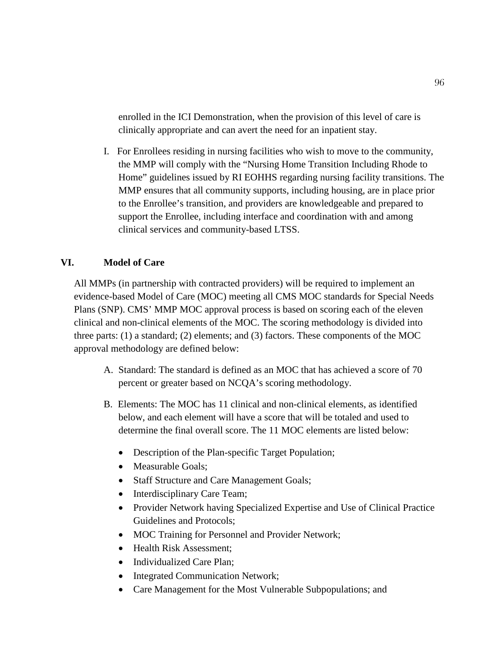enrolled in the ICI Demonstration, when the provision of this level of care is clinically appropriate and can avert the need for an inpatient stay.

I. For Enrollees residing in nursing facilities who wish to move to the community, the MMP will comply with the "Nursing Home Transition Including Rhode to Home" guidelines issued by RI EOHHS regarding nursing facility transitions. The MMP ensures that all community supports, including housing, are in place prior to the Enrollee's transition, and providers are knowledgeable and prepared to support the Enrollee, including interface and coordination with and among clinical services and community-based LTSS.

# **VI. Model of Care**

All MMPs (in partnership with contracted providers) will be required to implement an evidence-based Model of Care (MOC) meeting all CMS MOC standards for Special Needs Plans (SNP). CMS' MMP MOC approval process is based on scoring each of the eleven clinical and non-clinical elements of the MOC. The scoring methodology is divided into three parts: (1) a standard; (2) elements; and (3) factors. These components of the MOC approval methodology are defined below:

- A. Standard: The standard is defined as an MOC that has achieved a score of 70 percent or greater based on NCQA's scoring methodology.
- B. Elements: The MOC has 11 clinical and non-clinical elements, as identified below, and each element will have a score that will be totaled and used to determine the final overall score. The 11 MOC elements are listed below:
	- Description of the Plan-specific Target Population;
	- Measurable Goals;
	- Staff Structure and Care Management Goals;
	- Interdisciplinary Care Team;
	- Provider Network having Specialized Expertise and Use of Clinical Practice Guidelines and Protocols;
	- MOC Training for Personnel and Provider Network;
	- Health Risk Assessment;
	- Individualized Care Plan;
	- Integrated Communication Network;
	- Care Management for the Most Vulnerable Subpopulations; and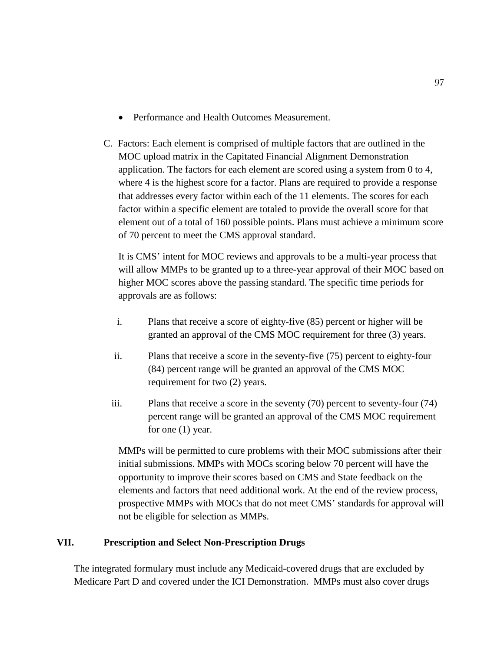- Performance and Health Outcomes Measurement.
- C. Factors: Each element is comprised of multiple factors that are outlined in the MOC upload matrix in the Capitated Financial Alignment Demonstration application. The factors for each element are scored using a system from 0 to 4, where 4 is the highest score for a factor. Plans are required to provide a response that addresses every factor within each of the 11 elements. The scores for each factor within a specific element are totaled to provide the overall score for that element out of a total of 160 possible points. Plans must achieve a minimum score of 70 percent to meet the CMS approval standard.

It is CMS' intent for MOC reviews and approvals to be a multi-year process that will allow MMPs to be granted up to a three-year approval of their MOC based on higher MOC scores above the passing standard. The specific time periods for approvals are as follows:

- i. Plans that receive a score of eighty-five (85) percent or higher will be granted an approval of the CMS MOC requirement for three (3) years.
- ii. Plans that receive a score in the seventy-five (75) percent to eighty-four (84) percent range will be granted an approval of the CMS MOC requirement for two (2) years.
- iii. Plans that receive a score in the seventy (70) percent to seventy-four (74) percent range will be granted an approval of the CMS MOC requirement for one (1) year.

MMPs will be permitted to cure problems with their MOC submissions after their initial submissions. MMPs with MOCs scoring below 70 percent will have the opportunity to improve their scores based on CMS and State feedback on the elements and factors that need additional work. At the end of the review process, prospective MMPs with MOCs that do not meet CMS' standards for approval will not be eligible for selection as MMPs.

# **VII. Prescription and Select Non-Prescription Drugs**

The integrated formulary must include any Medicaid-covered drugs that are excluded by Medicare Part D and covered under the ICI Demonstration. MMPs must also cover drugs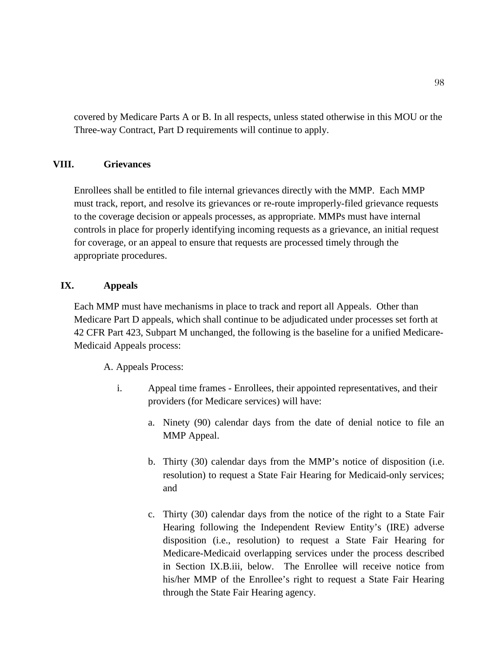covered by Medicare Parts A or B. In all respects, unless stated otherwise in this MOU or the Three-way Contract, Part D requirements will continue to apply.

## **VIII. Grievances**

Enrollees shall be entitled to file internal grievances directly with the MMP. Each MMP must track, report, and resolve its grievances or re-route improperly-filed grievance requests to the coverage decision or appeals processes, as appropriate. MMPs must have internal controls in place for properly identifying incoming requests as a grievance, an initial request for coverage, or an appeal to ensure that requests are processed timely through the appropriate procedures.

## **IX. Appeals**

Each MMP must have mechanisms in place to track and report all Appeals. Other than Medicare Part D appeals, which shall continue to be adjudicated under processes set forth at 42 CFR Part 423, Subpart M unchanged, the following is the baseline for a unified Medicare-Medicaid Appeals process:

A. Appeals Process:

- i. Appeal time frames Enrollees, their appointed representatives, and their providers (for Medicare services) will have:
	- a. Ninety (90) calendar days from the date of denial notice to file an MMP Appeal.
	- b. Thirty (30) calendar days from the MMP's notice of disposition (i.e. resolution) to request a State Fair Hearing for Medicaid-only services; and
	- c. Thirty (30) calendar days from the notice of the right to a State Fair Hearing following the Independent Review Entity's (IRE) adverse disposition (i.e., resolution) to request a State Fair Hearing for Medicare-Medicaid overlapping services under the process described in Section IX.B.iii, below. The Enrollee will receive notice from his/her MMP of the Enrollee's right to request a State Fair Hearing through the State Fair Hearing agency.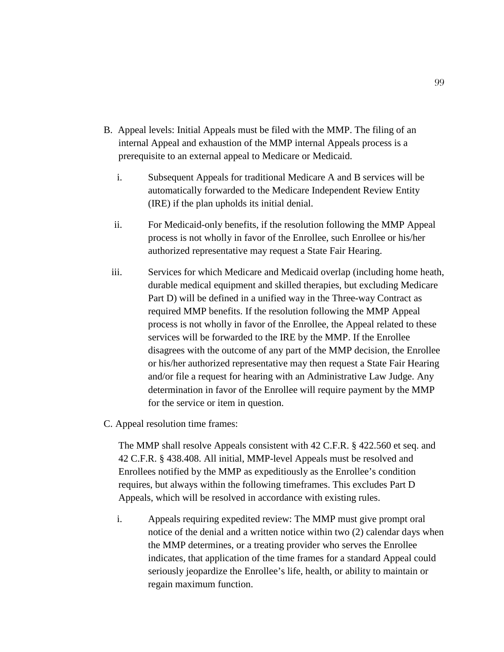- B. Appeal levels: Initial Appeals must be filed with the MMP. The filing of an internal Appeal and exhaustion of the MMP internal Appeals process is a prerequisite to an external appeal to Medicare or Medicaid.
	- i. Subsequent Appeals for traditional Medicare A and B services will be automatically forwarded to the Medicare Independent Review Entity (IRE) if the plan upholds its initial denial.
	- ii. For Medicaid-only benefits, if the resolution following the MMP Appeal process is not wholly in favor of the Enrollee, such Enrollee or his/her authorized representative may request a State Fair Hearing.
	- iii. Services for which Medicare and Medicaid overlap (including home heath, durable medical equipment and skilled therapies, but excluding Medicare Part D) will be defined in a unified way in the Three-way Contract as required MMP benefits. If the resolution following the MMP Appeal process is not wholly in favor of the Enrollee, the Appeal related to these services will be forwarded to the IRE by the MMP. If the Enrollee disagrees with the outcome of any part of the MMP decision, the Enrollee or his/her authorized representative may then request a State Fair Hearing and/or file a request for hearing with an Administrative Law Judge. Any determination in favor of the Enrollee will require payment by the MMP for the service or item in question.
- C. Appeal resolution time frames:

The MMP shall resolve Appeals consistent with 42 C.F.R. § 422.560 et seq. and 42 C.F.R. § 438.408. All initial, MMP-level Appeals must be resolved and Enrollees notified by the MMP as expeditiously as the Enrollee's condition requires, but always within the following timeframes. This excludes Part D Appeals, which will be resolved in accordance with existing rules.

i. Appeals requiring expedited review: The MMP must give prompt oral notice of the denial and a written notice within two (2) calendar days when the MMP determines, or a treating provider who serves the Enrollee indicates, that application of the time frames for a standard Appeal could seriously jeopardize the Enrollee's life, health, or ability to maintain or regain maximum function.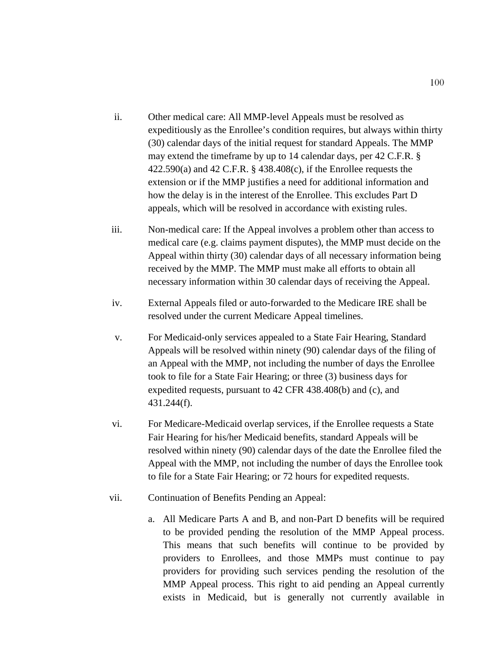- ii. Other medical care: All MMP-level Appeals must be resolved as expeditiously as the Enrollee's condition requires, but always within thirty (30) calendar days of the initial request for standard Appeals. The MMP may extend the timeframe by up to 14 calendar days, per 42 C.F.R. § 422.590(a) and 42 C.F.R. § 438.408(c), if the Enrollee requests the extension or if the MMP justifies a need for additional information and how the delay is in the interest of the Enrollee. This excludes Part D appeals, which will be resolved in accordance with existing rules.
- iii. Non-medical care: If the Appeal involves a problem other than access to medical care (e.g. claims payment disputes), the MMP must decide on the Appeal within thirty (30) calendar days of all necessary information being received by the MMP. The MMP must make all efforts to obtain all necessary information within 30 calendar days of receiving the Appeal.
- iv. External Appeals filed or auto-forwarded to the Medicare IRE shall be resolved under the current Medicare Appeal timelines.
- v. For Medicaid-only services appealed to a State Fair Hearing, Standard Appeals will be resolved within ninety (90) calendar days of the filing of an Appeal with the MMP, not including the number of days the Enrollee took to file for a State Fair Hearing; or three (3) business days for expedited requests, pursuant to 42 CFR 438.408(b) and (c), and 431.244(f).
- vi. For Medicare-Medicaid overlap services, if the Enrollee requests a State Fair Hearing for his/her Medicaid benefits, standard Appeals will be resolved within ninety (90) calendar days of the date the Enrollee filed the Appeal with the MMP, not including the number of days the Enrollee took to file for a State Fair Hearing; or 72 hours for expedited requests.
- vii. Continuation of Benefits Pending an Appeal:
	- a. All Medicare Parts A and B, and non-Part D benefits will be required to be provided pending the resolution of the MMP Appeal process. This means that such benefits will continue to be provided by providers to Enrollees, and those MMPs must continue to pay providers for providing such services pending the resolution of the MMP Appeal process. This right to aid pending an Appeal currently exists in Medicaid, but is generally not currently available in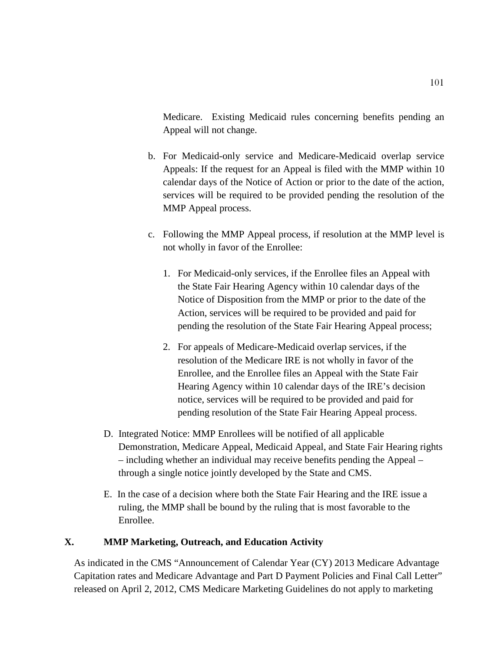Medicare. Existing Medicaid rules concerning benefits pending an Appeal will not change.

- b. For Medicaid-only service and Medicare-Medicaid overlap service Appeals: If the request for an Appeal is filed with the MMP within 10 calendar days of the Notice of Action or prior to the date of the action, services will be required to be provided pending the resolution of the MMP Appeal process.
- c. Following the MMP Appeal process, if resolution at the MMP level is not wholly in favor of the Enrollee:
	- 1. For Medicaid-only services, if the Enrollee files an Appeal with the State Fair Hearing Agency within 10 calendar days of the Notice of Disposition from the MMP or prior to the date of the Action, services will be required to be provided and paid for pending the resolution of the State Fair Hearing Appeal process;
	- 2. For appeals of Medicare-Medicaid overlap services, if the resolution of the Medicare IRE is not wholly in favor of the Enrollee, and the Enrollee files an Appeal with the State Fair Hearing Agency within 10 calendar days of the IRE's decision notice, services will be required to be provided and paid for pending resolution of the State Fair Hearing Appeal process.
- D. Integrated Notice: MMP Enrollees will be notified of all applicable Demonstration, Medicare Appeal, Medicaid Appeal, and State Fair Hearing rights – including whether an individual may receive benefits pending the Appeal – through a single notice jointly developed by the State and CMS.
- E. In the case of a decision where both the State Fair Hearing and the IRE issue a ruling, the MMP shall be bound by the ruling that is most favorable to the Enrollee.

# **X. MMP Marketing, Outreach, and Education Activity**

As indicated in the CMS "Announcement of Calendar Year (CY) 2013 Medicare Advantage Capitation rates and Medicare Advantage and Part D Payment Policies and Final Call Letter" released on April 2, 2012, CMS Medicare Marketing Guidelines do not apply to marketing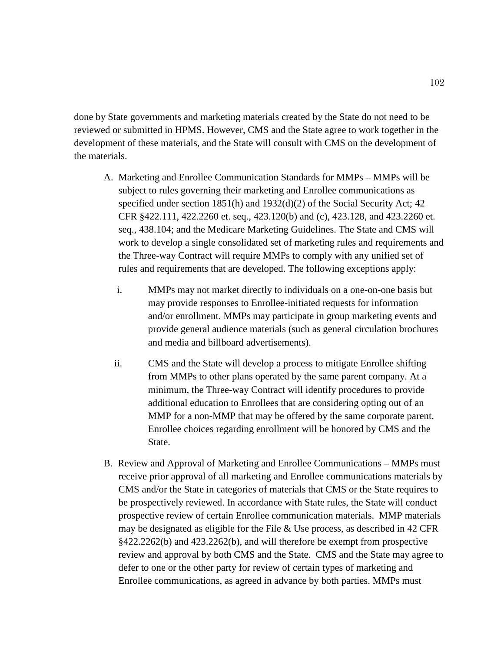done by State governments and marketing materials created by the State do not need to be reviewed or submitted in HPMS. However, CMS and the State agree to work together in the development of these materials, and the State will consult with CMS on the development of the materials.

- A. Marketing and Enrollee Communication Standards for MMPs MMPs will be subject to rules governing their marketing and Enrollee communications as specified under section 1851(h) and 1932(d)(2) of the Social Security Act; 42 CFR §422.111, 422.2260 et. seq., 423.120(b) and (c), 423.128, and 423.2260 et. seq., 438.104; and the Medicare Marketing Guidelines. The State and CMS will work to develop a single consolidated set of marketing rules and requirements and the Three-way Contract will require MMPs to comply with any unified set of rules and requirements that are developed. The following exceptions apply:
	- i. MMPs may not market directly to individuals on a one-on-one basis but may provide responses to Enrollee-initiated requests for information and/or enrollment. MMPs may participate in group marketing events and provide general audience materials (such as general circulation brochures and media and billboard advertisements).
	- ii. CMS and the State will develop a process to mitigate Enrollee shifting from MMPs to other plans operated by the same parent company. At a minimum, the Three-way Contract will identify procedures to provide additional education to Enrollees that are considering opting out of an MMP for a non-MMP that may be offered by the same corporate parent. Enrollee choices regarding enrollment will be honored by CMS and the State.
- B. Review and Approval of Marketing and Enrollee Communications MMPs must receive prior approval of all marketing and Enrollee communications materials by CMS and/or the State in categories of materials that CMS or the State requires to be prospectively reviewed. In accordance with State rules, the State will conduct prospective review of certain Enrollee communication materials. MMP materials may be designated as eligible for the File & Use process, as described in 42 CFR §422.2262(b) and 423.2262(b), and will therefore be exempt from prospective review and approval by both CMS and the State. CMS and the State may agree to defer to one or the other party for review of certain types of marketing and Enrollee communications, as agreed in advance by both parties. MMPs must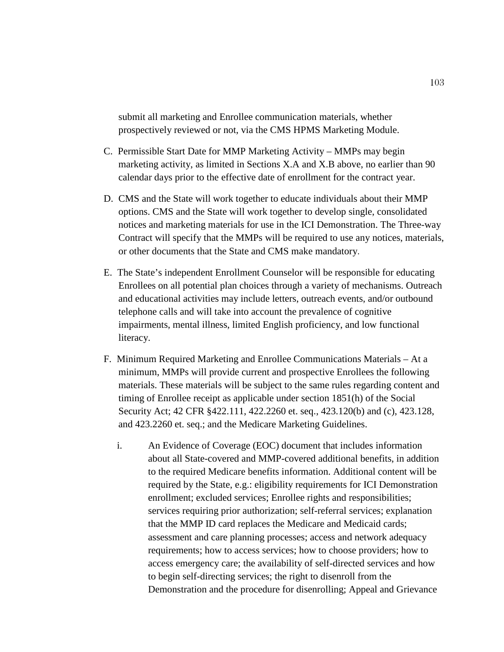submit all marketing and Enrollee communication materials, whether prospectively reviewed or not, via the CMS HPMS Marketing Module.

- C. Permissible Start Date for MMP Marketing Activity MMPs may begin marketing activity, as limited in Sections X.A and X.B above, no earlier than 90 calendar days prior to the effective date of enrollment for the contract year.
- D. CMS and the State will work together to educate individuals about their MMP options. CMS and the State will work together to develop single, consolidated notices and marketing materials for use in the ICI Demonstration. The Three-way Contract will specify that the MMPs will be required to use any notices, materials, or other documents that the State and CMS make mandatory.
- E. The State's independent Enrollment Counselor will be responsible for educating Enrollees on all potential plan choices through a variety of mechanisms. Outreach and educational activities may include letters, outreach events, and/or outbound telephone calls and will take into account the prevalence of cognitive impairments, mental illness, limited English proficiency, and low functional literacy.
- F. Minimum Required Marketing and Enrollee Communications Materials At a minimum, MMPs will provide current and prospective Enrollees the following materials. These materials will be subject to the same rules regarding content and timing of Enrollee receipt as applicable under section 1851(h) of the Social Security Act; 42 CFR §422.111, 422.2260 et. seq., 423.120(b) and (c), 423.128, and 423.2260 et. seq.; and the Medicare Marketing Guidelines.
	- i. An Evidence of Coverage (EOC) document that includes information about all State-covered and MMP-covered additional benefits, in addition to the required Medicare benefits information. Additional content will be required by the State, e.g.: eligibility requirements for ICI Demonstration enrollment; excluded services; Enrollee rights and responsibilities; services requiring prior authorization; self-referral services; explanation that the MMP ID card replaces the Medicare and Medicaid cards; assessment and care planning processes; access and network adequacy requirements; how to access services; how to choose providers; how to access emergency care; the availability of self-directed services and how to begin self-directing services; the right to disenroll from the Demonstration and the procedure for disenrolling; Appeal and Grievance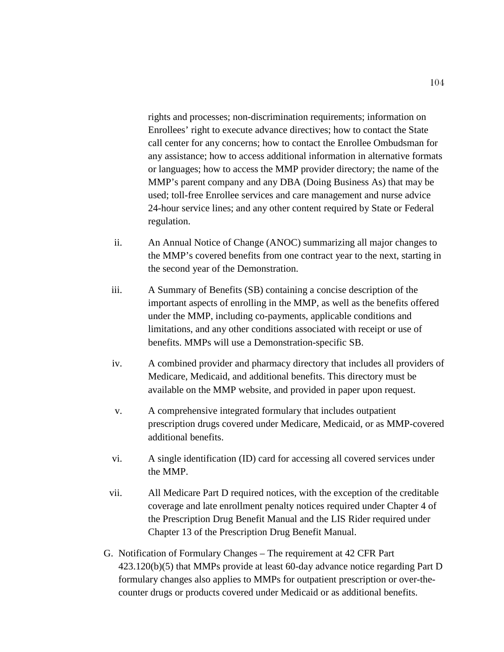rights and processes; non-discrimination requirements; information on Enrollees' right to execute advance directives; how to contact the State call center for any concerns; how to contact the Enrollee Ombudsman for any assistance; how to access additional information in alternative formats or languages; how to access the MMP provider directory; the name of the MMP's parent company and any DBA (Doing Business As) that may be used; toll-free Enrollee services and care management and nurse advice 24-hour service lines; and any other content required by State or Federal regulation.

- ii. An Annual Notice of Change (ANOC) summarizing all major changes to the MMP's covered benefits from one contract year to the next, starting in the second year of the Demonstration.
- iii. A Summary of Benefits (SB) containing a concise description of the important aspects of enrolling in the MMP, as well as the benefits offered under the MMP, including co-payments, applicable conditions and limitations, and any other conditions associated with receipt or use of benefits. MMPs will use a Demonstration-specific SB.
- iv. A combined provider and pharmacy directory that includes all providers of Medicare, Medicaid, and additional benefits. This directory must be available on the MMP website, and provided in paper upon request.
- v. A comprehensive integrated formulary that includes outpatient prescription drugs covered under Medicare, Medicaid, or as MMP-covered additional benefits.
- vi. A single identification (ID) card for accessing all covered services under the MMP.
- vii. All Medicare Part D required notices, with the exception of the creditable coverage and late enrollment penalty notices required under Chapter 4 of the Prescription Drug Benefit Manual and the LIS Rider required under Chapter 13 of the Prescription Drug Benefit Manual.
- G. Notification of Formulary Changes The requirement at 42 CFR Part 423.120(b)(5) that MMPs provide at least 60-day advance notice regarding Part D formulary changes also applies to MMPs for outpatient prescription or over-thecounter drugs or products covered under Medicaid or as additional benefits.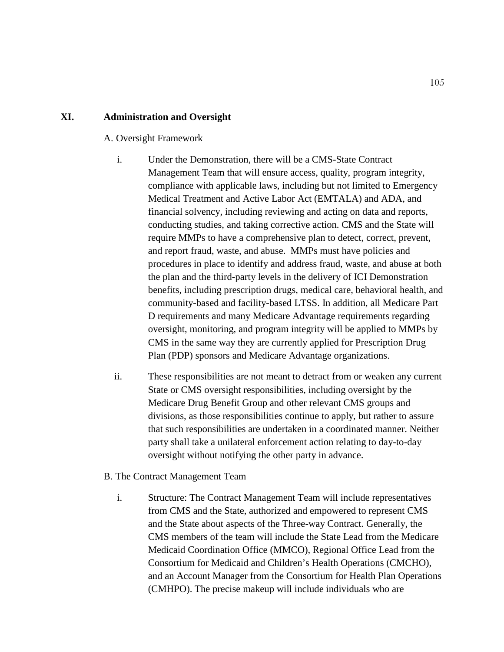### **XI. Administration and Oversight**

#### A. Oversight Framework

- i. Under the Demonstration, there will be a CMS-State Contract Management Team that will ensure access, quality, program integrity, compliance with applicable laws, including but not limited to Emergency Medical Treatment and Active Labor Act (EMTALA) and ADA, and financial solvency, including reviewing and acting on data and reports, conducting studies, and taking corrective action. CMS and the State will require MMPs to have a comprehensive plan to detect, correct, prevent, and report fraud, waste, and abuse. MMPs must have policies and procedures in place to identify and address fraud, waste, and abuse at both the plan and the third-party levels in the delivery of ICI Demonstration benefits, including prescription drugs, medical care, behavioral health, and community-based and facility-based LTSS. In addition, all Medicare Part D requirements and many Medicare Advantage requirements regarding oversight, monitoring, and program integrity will be applied to MMPs by CMS in the same way they are currently applied for Prescription Drug Plan (PDP) sponsors and Medicare Advantage organizations.
- ii. These responsibilities are not meant to detract from or weaken any current State or CMS oversight responsibilities, including oversight by the Medicare Drug Benefit Group and other relevant CMS groups and divisions, as those responsibilities continue to apply, but rather to assure that such responsibilities are undertaken in a coordinated manner. Neither party shall take a unilateral enforcement action relating to day-to-day oversight without notifying the other party in advance.
- B. The Contract Management Team
	- i. Structure: The Contract Management Team will include representatives from CMS and the State, authorized and empowered to represent CMS and the State about aspects of the Three-way Contract. Generally, the CMS members of the team will include the State Lead from the Medicare Medicaid Coordination Office (MMCO), Regional Office Lead from the Consortium for Medicaid and Children's Health Operations (CMCHO), and an Account Manager from the Consortium for Health Plan Operations (CMHPO). The precise makeup will include individuals who are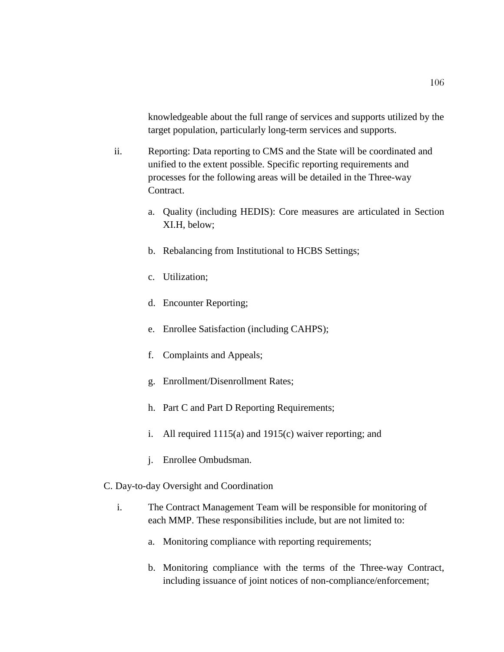knowledgeable about the full range of services and supports utilized by the target population, particularly long-term services and supports.

- ii. Reporting: Data reporting to CMS and the State will be coordinated and unified to the extent possible. Specific reporting requirements and processes for the following areas will be detailed in the Three-way Contract.
	- a. Quality (including HEDIS): Core measures are articulated in Section XI.H, below;
	- b. Rebalancing from Institutional to HCBS Settings;
	- c. Utilization;
	- d. Encounter Reporting;
	- e. Enrollee Satisfaction (including CAHPS);
	- f. Complaints and Appeals;
	- g. Enrollment/Disenrollment Rates;
	- h. Part C and Part D Reporting Requirements;
	- i. All required 1115(a) and 1915(c) waiver reporting; and
	- j. Enrollee Ombudsman.
- C. Day-to-day Oversight and Coordination
	- i. The Contract Management Team will be responsible for monitoring of each MMP. These responsibilities include, but are not limited to:
		- a. Monitoring compliance with reporting requirements;
		- b. Monitoring compliance with the terms of the Three-way Contract, including issuance of joint notices of non-compliance/enforcement;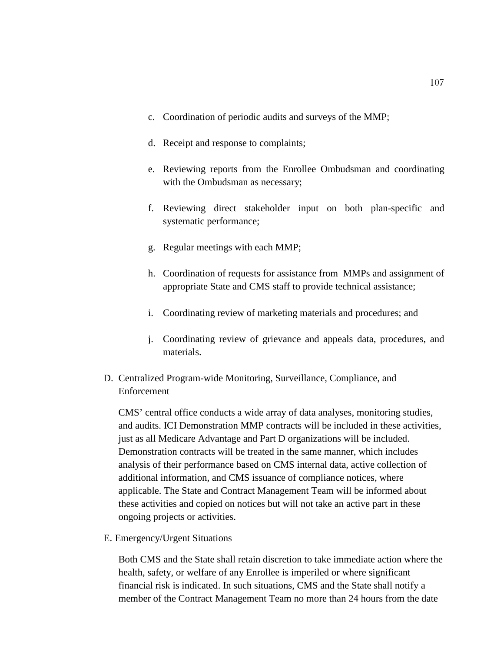- c. Coordination of periodic audits and surveys of the MMP;
- d. Receipt and response to complaints;
- e. Reviewing reports from the Enrollee Ombudsman and coordinating with the Ombudsman as necessary;
- f. Reviewing direct stakeholder input on both plan-specific and systematic performance;
- g. Regular meetings with each MMP;
- h. Coordination of requests for assistance from MMPs and assignment of appropriate State and CMS staff to provide technical assistance;
- i. Coordinating review of marketing materials and procedures; and
- j. Coordinating review of grievance and appeals data, procedures, and materials.
- D. Centralized Program-wide Monitoring, Surveillance, Compliance, and Enforcement

CMS' central office conducts a wide array of data analyses, monitoring studies, and audits. ICI Demonstration MMP contracts will be included in these activities, just as all Medicare Advantage and Part D organizations will be included. Demonstration contracts will be treated in the same manner, which includes analysis of their performance based on CMS internal data, active collection of additional information, and CMS issuance of compliance notices, where applicable. The State and Contract Management Team will be informed about these activities and copied on notices but will not take an active part in these ongoing projects or activities.

E. Emergency/Urgent Situations

Both CMS and the State shall retain discretion to take immediate action where the health, safety, or welfare of any Enrollee is imperiled or where significant financial risk is indicated. In such situations, CMS and the State shall notify a member of the Contract Management Team no more than 24 hours from the date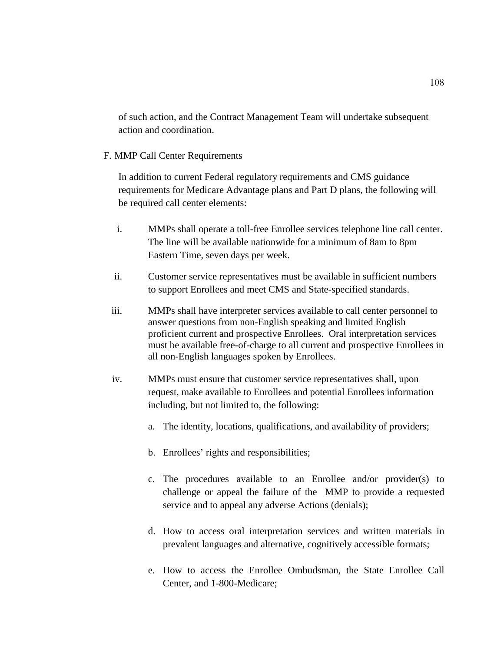of such action, and the Contract Management Team will undertake subsequent action and coordination.

## F. MMP Call Center Requirements

In addition to current Federal regulatory requirements and CMS guidance requirements for Medicare Advantage plans and Part D plans, the following will be required call center elements:

- i. MMPs shall operate a toll-free Enrollee services telephone line call center. The line will be available nationwide for a minimum of 8am to 8pm Eastern Time, seven days per week.
- ii. Customer service representatives must be available in sufficient numbers to support Enrollees and meet CMS and State-specified standards.
- iii. MMPs shall have interpreter services available to call center personnel to answer questions from non-English speaking and limited English proficient current and prospective Enrollees. Oral interpretation services must be available free-of-charge to all current and prospective Enrollees in all non-English languages spoken by Enrollees.
- iv. MMPs must ensure that customer service representatives shall, upon request, make available to Enrollees and potential Enrollees information including, but not limited to, the following:
	- a. The identity, locations, qualifications, and availability of providers;
	- b. Enrollees' rights and responsibilities;
	- c. The procedures available to an Enrollee and/or provider(s) to challenge or appeal the failure of the MMP to provide a requested service and to appeal any adverse Actions (denials);
	- d. How to access oral interpretation services and written materials in prevalent languages and alternative, cognitively accessible formats;
	- e. How to access the Enrollee Ombudsman, the State Enrollee Call Center, and 1-800-Medicare;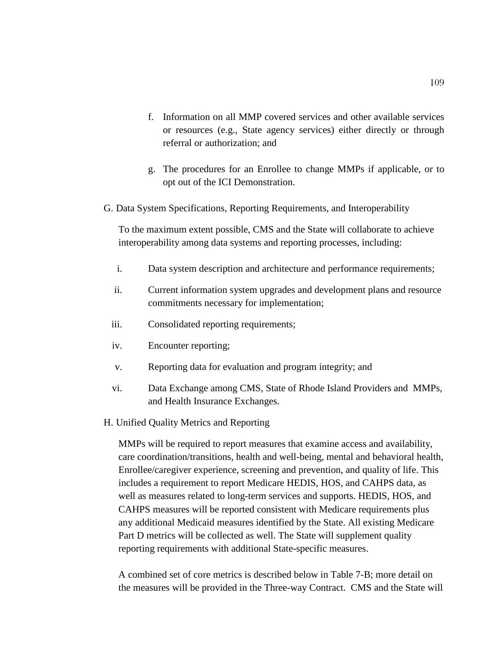- f. Information on all MMP covered services and other available services or resources (e.g., State agency services) either directly or through referral or authorization; and
- g. The procedures for an Enrollee to change MMPs if applicable, or to opt out of the ICI Demonstration.
- G. Data System Specifications, Reporting Requirements, and Interoperability

To the maximum extent possible, CMS and the State will collaborate to achieve interoperability among data systems and reporting processes, including:

- i. Data system description and architecture and performance requirements;
- ii. Current information system upgrades and development plans and resource commitments necessary for implementation;
- iii. Consolidated reporting requirements;
- iv. Encounter reporting;
- v. Reporting data for evaluation and program integrity; and
- vi. Data Exchange among CMS, State of Rhode Island Providers and MMPs, and Health Insurance Exchanges.
- H. Unified Quality Metrics and Reporting

MMPs will be required to report measures that examine access and availability, care coordination/transitions, health and well-being, mental and behavioral health, Enrollee/caregiver experience, screening and prevention, and quality of life. This includes a requirement to report Medicare HEDIS, HOS, and CAHPS data, as well as measures related to long-term services and supports. HEDIS, HOS, and CAHPS measures will be reported consistent with Medicare requirements plus any additional Medicaid measures identified by the State. All existing Medicare Part D metrics will be collected as well. The State will supplement quality reporting requirements with additional State-specific measures.

A combined set of core metrics is described below in Table 7-B; more detail on the measures will be provided in the Three-way Contract. CMS and the State will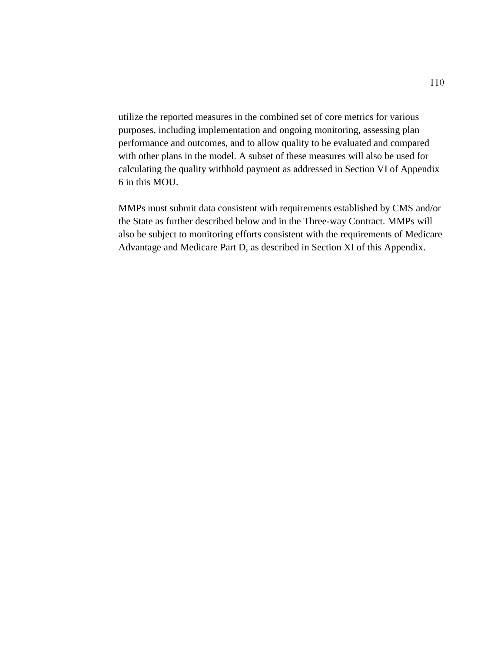utilize the reported measures in the combined set of core metrics for various purposes, including implementation and ongoing monitoring, assessing plan performance and outcomes, and to allow quality to be evaluated and compared with other plans in the model. A subset of these measures will also be used for calculating the quality withhold payment as addressed in Section VI of Appendix 6 in this MOU.

MMPs must submit data consistent with requirements established by CMS and/or the State as further described below and in the Three-way Contract. MMPs will also be subject to monitoring efforts consistent with the requirements of Medicare Advantage and Medicare Part D, as described in Section XI of this Appendix.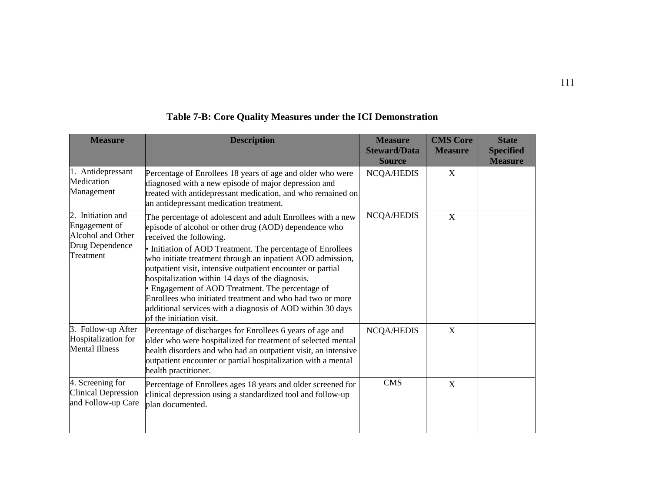| <b>Measure</b>                                                                          | <b>Description</b>                                                                                                                                                                                                                                                                                                                                                                                                                                                                                                                                                                                        | <b>Measure</b><br><b>Steward/Data</b><br><b>Source</b> | <b>CMS Core</b><br><b>Measure</b> | <b>State</b><br><b>Specified</b><br><b>Measure</b> |
|-----------------------------------------------------------------------------------------|-----------------------------------------------------------------------------------------------------------------------------------------------------------------------------------------------------------------------------------------------------------------------------------------------------------------------------------------------------------------------------------------------------------------------------------------------------------------------------------------------------------------------------------------------------------------------------------------------------------|--------------------------------------------------------|-----------------------------------|----------------------------------------------------|
| 1. Antidepressant<br>Medication<br>Management                                           | Percentage of Enrollees 18 years of age and older who were<br>diagnosed with a new episode of major depression and<br>treated with antidepressant medication, and who remained on<br>an antidepressant medication treatment.                                                                                                                                                                                                                                                                                                                                                                              | <b>NCQA/HEDIS</b>                                      | X                                 |                                                    |
| 2. Initiation and<br>Engagement of<br>Alcohol and Other<br>Drug Dependence<br>Treatment | The percentage of adolescent and adult Enrollees with a new<br>episode of alcohol or other drug (AOD) dependence who<br>received the following.<br>• Initiation of AOD Treatment. The percentage of Enrollees<br>who initiate treatment through an inpatient AOD admission,<br>outpatient visit, intensive outpatient encounter or partial<br>hospitalization within 14 days of the diagnosis.<br>• Engagement of AOD Treatment. The percentage of<br>Enrollees who initiated treatment and who had two or more<br>additional services with a diagnosis of AOD within 30 days<br>of the initiation visit. | <b>NCQA/HEDIS</b>                                      | X                                 |                                                    |
| 3. Follow-up After<br>Hospitalization for<br><b>Mental Illness</b>                      | Percentage of discharges for Enrollees 6 years of age and<br>older who were hospitalized for treatment of selected mental<br>health disorders and who had an outpatient visit, an intensive<br>outpatient encounter or partial hospitalization with a mental<br>health practitioner.                                                                                                                                                                                                                                                                                                                      | <b>NCQA/HEDIS</b>                                      | X                                 |                                                    |
| 4. Screening for<br><b>Clinical Depression</b><br>and Follow-up Care                    | Percentage of Enrollees ages 18 years and older screened for<br>clinical depression using a standardized tool and follow-up<br>plan documented.                                                                                                                                                                                                                                                                                                                                                                                                                                                           | <b>CMS</b>                                             | $\mathbf X$                       |                                                    |

## **Table 7-B: Core Quality Measures under the ICI Demonstration**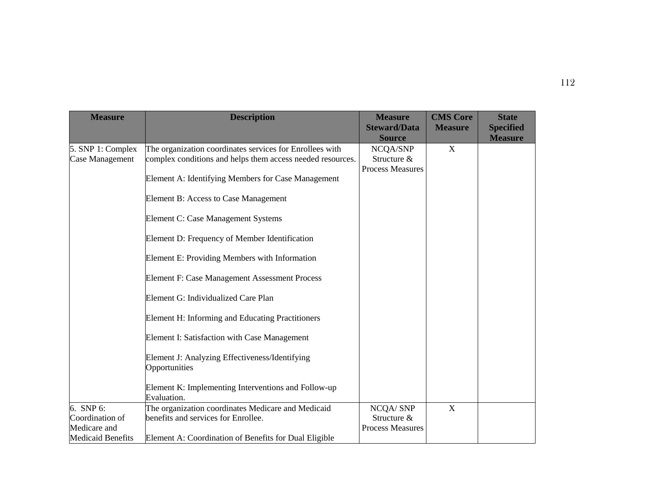| <b>Measure</b>                                                           | <b>Description</b>                                                                                                                                                                                                                                                                                                                                                                                                                                                                                                                                                                                                                                                                 | <b>Measure</b><br><b>Steward/Data</b><br><b>Source</b> | <b>CMS Core</b><br><b>Measure</b> | <b>State</b><br><b>Specified</b><br><b>Measure</b> |
|--------------------------------------------------------------------------|------------------------------------------------------------------------------------------------------------------------------------------------------------------------------------------------------------------------------------------------------------------------------------------------------------------------------------------------------------------------------------------------------------------------------------------------------------------------------------------------------------------------------------------------------------------------------------------------------------------------------------------------------------------------------------|--------------------------------------------------------|-----------------------------------|----------------------------------------------------|
| 5. SNP 1: Complex<br>Case Management                                     | The organization coordinates services for Enrollees with<br>complex conditions and helps them access needed resources.<br>Element A: Identifying Members for Case Management<br>Element B: Access to Case Management<br>Element C: Case Management Systems<br>Element D: Frequency of Member Identification<br>Element E: Providing Members with Information<br>Element F: Case Management Assessment Process<br>Element G: Individualized Care Plan<br>Element H: Informing and Educating Practitioners<br>Element I: Satisfaction with Case Management<br>Element J: Analyzing Effectiveness/Identifying<br>Opportunities<br>Element K: Implementing Interventions and Follow-up | NCQA/SNP<br>Structure &<br><b>Process Measures</b>     | X                                 |                                                    |
| 6. SNP 6:<br>Coordination of<br>Medicare and<br><b>Medicaid Benefits</b> | Evaluation.<br>The organization coordinates Medicare and Medicaid<br>benefits and services for Enrollee.<br>Element A: Coordination of Benefits for Dual Eligible                                                                                                                                                                                                                                                                                                                                                                                                                                                                                                                  | NCQA/SNP<br>Structure &<br><b>Process Measures</b>     | X                                 |                                                    |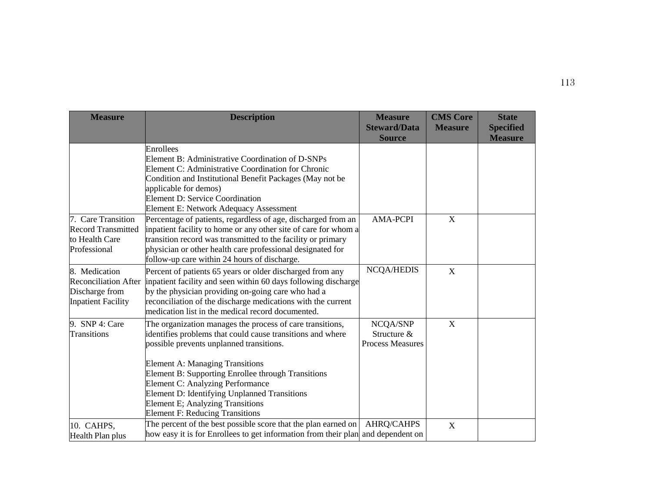| <b>Measure</b>                                                                              | <b>Description</b>                                                                                                                                                                                                                                                                                                                                                                                                                                  | <b>Measure</b><br><b>Steward/Data</b><br><b>Source</b> | <b>CMS Core</b><br><b>Measure</b> | <b>State</b><br><b>Specified</b><br><b>Measure</b> |
|---------------------------------------------------------------------------------------------|-----------------------------------------------------------------------------------------------------------------------------------------------------------------------------------------------------------------------------------------------------------------------------------------------------------------------------------------------------------------------------------------------------------------------------------------------------|--------------------------------------------------------|-----------------------------------|----------------------------------------------------|
|                                                                                             | Enrollees<br>Element B: Administrative Coordination of D-SNPs<br>Element C: Administrative Coordination for Chronic<br>Condition and Institutional Benefit Packages (May not be<br>applicable for demos)<br>Element D: Service Coordination<br>Element E: Network Adequacy Assessment                                                                                                                                                               |                                                        |                                   |                                                    |
| 7. Care Transition<br><b>Record Transmitted</b><br>to Health Care<br>Professional           | Percentage of patients, regardless of age, discharged from an<br>inpatient facility to home or any other site of care for whom a<br>transition record was transmitted to the facility or primary<br>physician or other health care professional designated for<br>follow-up care within 24 hours of discharge.                                                                                                                                      | <b>AMA-PCPI</b>                                        | $\mathbf X$                       |                                                    |
| 8. Medication<br><b>Reconciliation After</b><br>Discharge from<br><b>Inpatient Facility</b> | Percent of patients 65 years or older discharged from any<br>inpatient facility and seen within 60 days following discharge<br>by the physician providing on-going care who had a<br>reconciliation of the discharge medications with the current<br>medication list in the medical record documented.                                                                                                                                              | <b>NCQA/HEDIS</b>                                      | X                                 |                                                    |
| 9. SNP 4: Care<br>Transitions                                                               | The organization manages the process of care transitions,<br>identifies problems that could cause transitions and where<br>possible prevents unplanned transitions.<br><b>Element A: Managing Transitions</b><br>Element B: Supporting Enrollee through Transitions<br>Element C: Analyzing Performance<br><b>Element D: Identifying Unplanned Transitions</b><br><b>Element E; Analyzing Transitions</b><br><b>Element F: Reducing Transitions</b> | NCQA/SNP<br>Structure &<br><b>Process Measures</b>     | $\mathbf X$                       |                                                    |
| 10. CAHPS,<br>Health Plan plus                                                              | The percent of the best possible score that the plan earned on<br>how easy it is for Enrollees to get information from their plan and dependent on                                                                                                                                                                                                                                                                                                  | <b>AHRQ/CAHPS</b>                                      | $\mathbf X$                       |                                                    |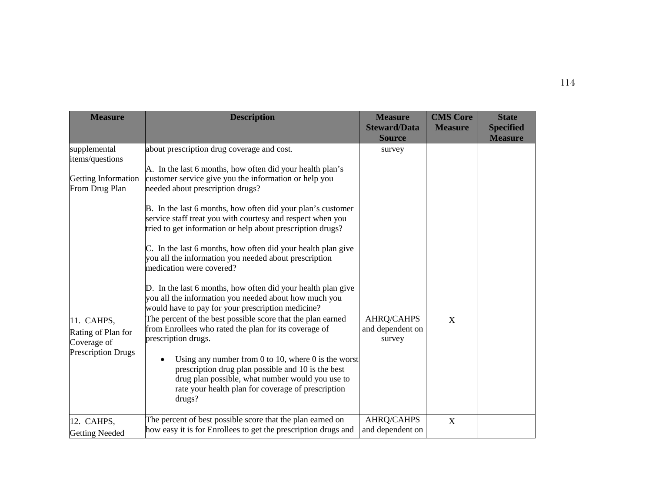| <b>Measure</b>                                                               | <b>Description</b>                                                                                                                                                                                                                                                                                                                                                                                                                                                                                                                                                                                                                                                                                                                 | <b>Measure</b><br><b>Steward/Data</b><br><b>Source</b> | <b>CMS Core</b><br><b>Measure</b> | <b>State</b><br><b>Specified</b><br><b>Measure</b> |
|------------------------------------------------------------------------------|------------------------------------------------------------------------------------------------------------------------------------------------------------------------------------------------------------------------------------------------------------------------------------------------------------------------------------------------------------------------------------------------------------------------------------------------------------------------------------------------------------------------------------------------------------------------------------------------------------------------------------------------------------------------------------------------------------------------------------|--------------------------------------------------------|-----------------------------------|----------------------------------------------------|
| supplemental<br>items/questions<br>Getting Information<br>From Drug Plan     | about prescription drug coverage and cost.<br>A. In the last 6 months, how often did your health plan's<br>customer service give you the information or help you<br>needed about prescription drugs?<br>B. In the last 6 months, how often did your plan's customer<br>service staff treat you with courtesy and respect when you<br>tried to get information or help about prescription drugs?<br>C. In the last 6 months, how often did your health plan give<br>you all the information you needed about prescription<br>medication were covered?<br>D. In the last 6 months, how often did your health plan give<br>you all the information you needed about how much you<br>would have to pay for your prescription medicine? | survey                                                 |                                   |                                                    |
| 11. CAHPS,<br>Rating of Plan for<br>Coverage of<br><b>Prescription Drugs</b> | The percent of the best possible score that the plan earned<br>from Enrollees who rated the plan for its coverage of<br>prescription drugs.<br>Using any number from 0 to 10, where 0 is the worst<br>prescription drug plan possible and 10 is the best<br>drug plan possible, what number would you use to<br>rate your health plan for coverage of prescription<br>drugs?                                                                                                                                                                                                                                                                                                                                                       | AHRQ/CAHPS<br>and dependent on<br>survey               | $\mathbf X$                       |                                                    |
| 12. CAHPS,<br><b>Getting Needed</b>                                          | The percent of best possible score that the plan earned on<br>how easy it is for Enrollees to get the prescription drugs and                                                                                                                                                                                                                                                                                                                                                                                                                                                                                                                                                                                                       | AHRQ/CAHPS<br>and dependent on                         | $\mathbf X$                       |                                                    |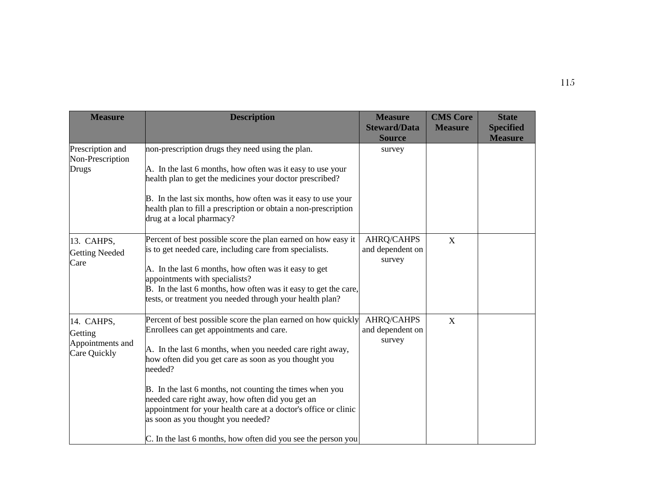| <b>Measure</b>                                            | <b>Description</b>                                                                                                                                                                                                                                                                                                                                                                                                                                                                                                                   | <b>Measure</b><br><b>Steward/Data</b><br><b>Source</b> | <b>CMS Core</b><br><b>Measure</b> | <b>State</b><br><b>Specified</b><br><b>Measure</b> |
|-----------------------------------------------------------|--------------------------------------------------------------------------------------------------------------------------------------------------------------------------------------------------------------------------------------------------------------------------------------------------------------------------------------------------------------------------------------------------------------------------------------------------------------------------------------------------------------------------------------|--------------------------------------------------------|-----------------------------------|----------------------------------------------------|
| Prescription and<br>Non-Prescription<br>Drugs             | non-prescription drugs they need using the plan.<br>A. In the last 6 months, how often was it easy to use your<br>health plan to get the medicines your doctor prescribed?<br>B. In the last six months, how often was it easy to use your<br>health plan to fill a prescription or obtain a non-prescription<br>drug at a local pharmacy?                                                                                                                                                                                           | survey                                                 |                                   |                                                    |
| 13. CAHPS,<br><b>Getting Needed</b><br>Care               | Percent of best possible score the plan earned on how easy it<br>is to get needed care, including care from specialists.<br>A. In the last 6 months, how often was it easy to get<br>appointments with specialists?<br>B. In the last 6 months, how often was it easy to get the care,<br>tests, or treatment you needed through your health plan?                                                                                                                                                                                   | <b>AHRQ/CAHPS</b><br>and dependent on<br>survey        | X                                 |                                                    |
| 14. CAHPS,<br>Getting<br>Appointments and<br>Care Quickly | Percent of best possible score the plan earned on how quickly<br>Enrollees can get appointments and care.<br>A. In the last 6 months, when you needed care right away,<br>how often did you get care as soon as you thought you<br>needed?<br>B. In the last 6 months, not counting the times when you<br>needed care right away, how often did you get an<br>appointment for your health care at a doctor's office or clinic<br>as soon as you thought you needed?<br>C. In the last 6 months, how often did you see the person you | <b>AHRQ/CAHPS</b><br>and dependent on<br>survey        | X                                 |                                                    |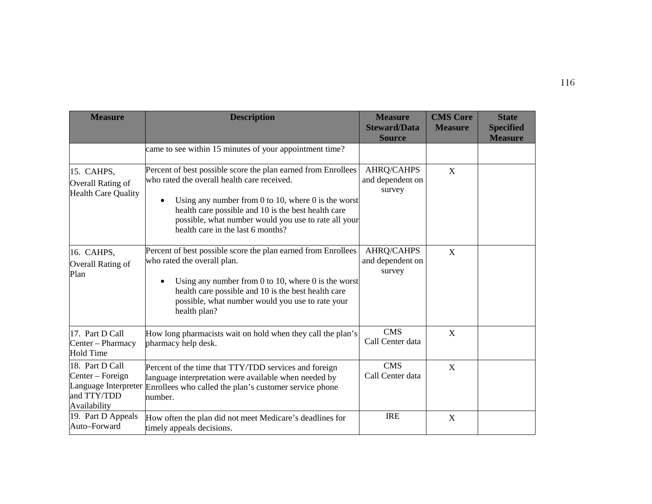| <b>Measure</b>                                                                             | <b>Description</b>                                                                                                                                                                                                                                                                                                      | <b>Measure</b><br><b>Steward/Data</b><br><b>Source</b> | <b>CMS Core</b><br><b>Measure</b> | <b>State</b><br><b>Specified</b><br><b>Measure</b> |
|--------------------------------------------------------------------------------------------|-------------------------------------------------------------------------------------------------------------------------------------------------------------------------------------------------------------------------------------------------------------------------------------------------------------------------|--------------------------------------------------------|-----------------------------------|----------------------------------------------------|
|                                                                                            | came to see within 15 minutes of your appointment time?                                                                                                                                                                                                                                                                 |                                                        |                                   |                                                    |
| 15. CAHPS,<br>Overall Rating of<br><b>Health Care Quality</b>                              | Percent of best possible score the plan earned from Enrollees<br>who rated the overall health care received.<br>Using any number from 0 to 10, where 0 is the worst<br>health care possible and 10 is the best health care<br>possible, what number would you use to rate all your<br>health care in the last 6 months? | <b>AHRQ/CAHPS</b><br>and dependent on<br>survey        | X                                 |                                                    |
| 16. CAHPS,<br>Overall Rating of<br>Plan                                                    | Percent of best possible score the plan earned from Enrollees<br>who rated the overall plan.<br>Using any number from 0 to 10, where 0 is the worst<br>health care possible and 10 is the best health care<br>possible, what number would you use to rate your<br>health plan?                                          | <b>AHRQ/CAHPS</b><br>and dependent on<br>survey        | X                                 |                                                    |
| 17. Part D Call<br>Center - Pharmacy<br><b>Hold Time</b>                                   | How long pharmacists wait on hold when they call the plan's<br>pharmacy help desk.                                                                                                                                                                                                                                      | <b>CMS</b><br>Call Center data                         | X                                 |                                                    |
| 18. Part D Call<br>Center – Foreign<br>Language Interpreter<br>and TTY/TDD<br>Availability | Percent of the time that TTY/TDD services and foreign<br>language interpretation were available when needed by<br>Enrollees who called the plan's customer service phone<br>number.                                                                                                                                     | <b>CMS</b><br>Call Center data                         | X                                 |                                                    |
| 19. Part D Appeals<br>Auto-Forward                                                         | How often the plan did not meet Medicare's deadlines for<br>timely appeals decisions.                                                                                                                                                                                                                                   | <b>IRE</b>                                             | X                                 |                                                    |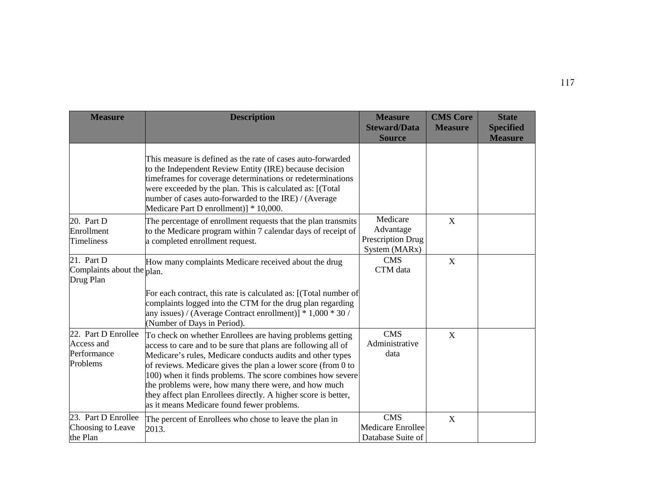| <b>Measure</b>                                                 | <b>Description</b>                                                                                                                                                                                                                                                                                                                                                                                                                                                                                                            | <b>Measure</b><br><b>Steward/Data</b><br><b>Source</b>      | <b>CMS Core</b><br><b>Measure</b> | <b>State</b><br><b>Specified</b><br><b>Measure</b> |
|----------------------------------------------------------------|-------------------------------------------------------------------------------------------------------------------------------------------------------------------------------------------------------------------------------------------------------------------------------------------------------------------------------------------------------------------------------------------------------------------------------------------------------------------------------------------------------------------------------|-------------------------------------------------------------|-----------------------------------|----------------------------------------------------|
|                                                                | This measure is defined as the rate of cases auto-forwarded<br>to the Independent Review Entity (IRE) because decision<br>timeframes for coverage determinations or redeterminations<br>were exceeded by the plan. This is calculated as: [(Total<br>number of cases auto-forwarded to the IRE) / (Average<br>Medicare Part D enrollment)] * 10,000.                                                                                                                                                                          |                                                             |                                   |                                                    |
| 20. Part D<br>Enrollment<br><b>Timeliness</b>                  | The percentage of enrollment requests that the plan transmits<br>to the Medicare program within 7 calendar days of receipt of<br>a completed enrollment request.                                                                                                                                                                                                                                                                                                                                                              | Medicare<br>Advantage<br>Prescription Drug<br>System (MARx) | X                                 |                                                    |
| 21. Part D<br>Complaints about the $_{\rm plan.}$<br>Drug Plan | How many complaints Medicare received about the drug<br>For each contract, this rate is calculated as: [(Total number of<br>complaints logged into the CTM for the drug plan regarding<br>any issues) / (Average Contract enrollment)] $* 1,000 * 30$ /                                                                                                                                                                                                                                                                       | <b>CMS</b><br>CTM data                                      | X                                 |                                                    |
| 22. Part D Enrollee<br>Access and<br>Performance<br>Problems   | (Number of Days in Period).<br>To check on whether Enrollees are having problems getting<br>access to care and to be sure that plans are following all of<br>Medicare's rules, Medicare conducts audits and other types<br>of reviews. Medicare gives the plan a lower score (from 0 to<br>100) when it finds problems. The score combines how severe<br>the problems were, how many there were, and how much<br>they affect plan Enrollees directly. A higher score is better,<br>as it means Medicare found fewer problems. | <b>CMS</b><br>Administrative<br>data                        | X                                 |                                                    |
| 23. Part D Enrollee<br>Choosing to Leave<br>the Plan           | The percent of Enrollees who chose to leave the plan in<br>2013.                                                                                                                                                                                                                                                                                                                                                                                                                                                              | <b>CMS</b><br><b>Medicare Enrollee</b><br>Database Suite of | X                                 |                                                    |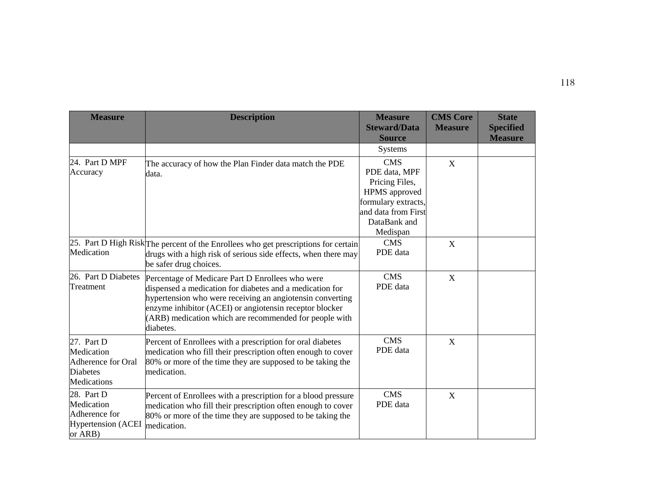| <b>Measure</b>                                                                          | <b>Description</b>                                                                                                                                                                                                                                                                                          | <b>Measure</b><br><b>Steward/Data</b><br><b>Source</b>                                                                                   | <b>CMS Core</b><br><b>Measure</b> | <b>State</b><br><b>Specified</b><br><b>Measure</b> |
|-----------------------------------------------------------------------------------------|-------------------------------------------------------------------------------------------------------------------------------------------------------------------------------------------------------------------------------------------------------------------------------------------------------------|------------------------------------------------------------------------------------------------------------------------------------------|-----------------------------------|----------------------------------------------------|
|                                                                                         |                                                                                                                                                                                                                                                                                                             | <b>Systems</b>                                                                                                                           |                                   |                                                    |
| 24. Part D MPF<br>Accuracy                                                              | The accuracy of how the Plan Finder data match the PDE<br>data.                                                                                                                                                                                                                                             | <b>CMS</b><br>PDE data, MPF<br>Pricing Files,<br>HPMS approved<br>formulary extracts,<br>and data from First<br>DataBank and<br>Medispan | $\mathbf X$                       |                                                    |
| Medication                                                                              | 25. Part D High Risk The percent of the Enrollees who get prescriptions for certain<br>drugs with a high risk of serious side effects, when there may<br>be safer drug choices.                                                                                                                             | <b>CMS</b><br>PDE data                                                                                                                   | X                                 |                                                    |
| 26. Part D Diabetes<br>Treatment                                                        | Percentage of Medicare Part D Enrollees who were<br>dispensed a medication for diabetes and a medication for<br>hypertension who were receiving an angiotensin converting<br>enzyme inhibitor (ACEI) or angiotensin receptor blocker<br>(ARB) medication which are recommended for people with<br>diabetes. | <b>CMS</b><br>PDE data                                                                                                                   | $\mathbf X$                       |                                                    |
| 27. Part D<br>Medication<br>Adherence for Oral<br><b>Diabetes</b><br><b>Medications</b> | Percent of Enrollees with a prescription for oral diabetes<br>medication who fill their prescription often enough to cover<br>80% or more of the time they are supposed to be taking the<br>medication.                                                                                                     | <b>CMS</b><br>PDE data                                                                                                                   | $\mathbf X$                       |                                                    |
| 28. Part D<br>Medication<br>Adherence for<br><b>Hypertension</b> (ACEI<br>or ARB)       | Percent of Enrollees with a prescription for a blood pressure<br>medication who fill their prescription often enough to cover<br>80% or more of the time they are supposed to be taking the<br>medication.                                                                                                  | <b>CMS</b><br>PDE data                                                                                                                   | X                                 |                                                    |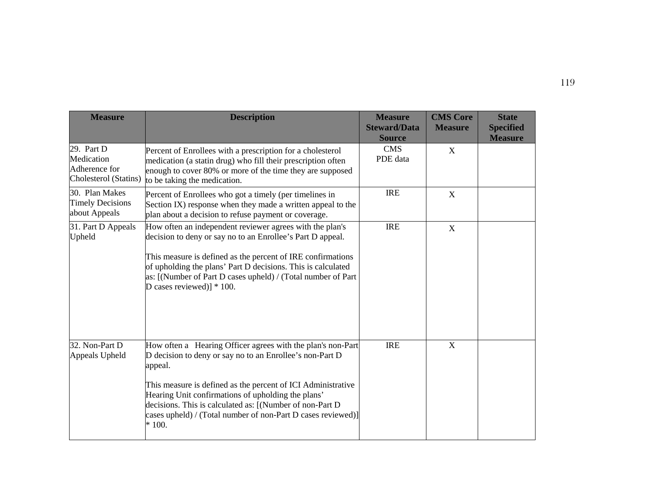| <b>Measure</b>                                                     | <b>Description</b>                                                                                                                                                                                                                                                                                                                                    | <b>Measure</b><br><b>Steward/Data</b><br><b>Source</b> | <b>CMS Core</b><br><b>Measure</b> | <b>State</b><br><b>Specified</b><br><b>Measure</b> |
|--------------------------------------------------------------------|-------------------------------------------------------------------------------------------------------------------------------------------------------------------------------------------------------------------------------------------------------------------------------------------------------------------------------------------------------|--------------------------------------------------------|-----------------------------------|----------------------------------------------------|
| 29. Part D<br>Medication<br>Adherence for<br>Cholesterol (Statins) | Percent of Enrollees with a prescription for a cholesterol<br>medication (a statin drug) who fill their prescription often<br>enough to cover 80% or more of the time they are supposed<br>to be taking the medication.                                                                                                                               | <b>CMS</b><br>PDE data                                 | X                                 |                                                    |
| 30. Plan Makes<br><b>Timely Decisions</b><br>about Appeals         | Percent of Enrollees who got a timely (per timelines in<br>Section IX) response when they made a written appeal to the<br>plan about a decision to refuse payment or coverage.                                                                                                                                                                        | <b>IRE</b>                                             | X                                 |                                                    |
| 31. Part D Appeals<br>Upheld                                       | How often an independent reviewer agrees with the plan's<br>decision to deny or say no to an Enrollee's Part D appeal.<br>This measure is defined as the percent of IRE confirmations<br>of upholding the plans' Part D decisions. This is calculated<br>as: [(Number of Part D cases upheld) / (Total number of Part<br>D cases reviewed)] $* 100$ . | <b>IRE</b>                                             | X                                 |                                                    |
| 32. Non-Part D<br>Appeals Upheld                                   | How often a Hearing Officer agrees with the plan's non-Part<br>D decision to deny or say no to an Enrollee's non-Part D<br>appeal.                                                                                                                                                                                                                    | <b>IRE</b>                                             | X                                 |                                                    |
|                                                                    | This measure is defined as the percent of ICI Administrative<br>Hearing Unit confirmations of upholding the plans'<br>decisions. This is calculated as: [(Number of non-Part D<br>cases upheld) / (Total number of non-Part D cases reviewed)]<br>$*100.$                                                                                             |                                                        |                                   |                                                    |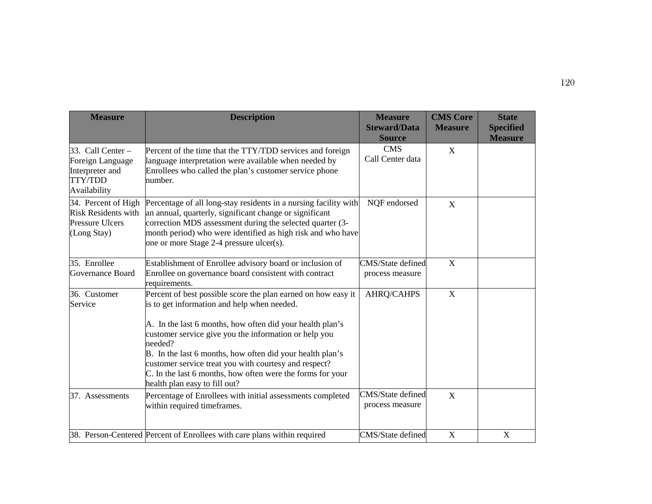| <b>Measure</b>                                                                             | <b>Description</b>                                                                                                                                                                                                                                                                                                                                                                                                                                                 | <b>Measure</b><br><b>Steward/Data</b><br><b>Source</b> | <b>CMS Core</b><br><b>Measure</b> | <b>State</b><br><b>Specified</b><br><b>Measure</b> |
|--------------------------------------------------------------------------------------------|--------------------------------------------------------------------------------------------------------------------------------------------------------------------------------------------------------------------------------------------------------------------------------------------------------------------------------------------------------------------------------------------------------------------------------------------------------------------|--------------------------------------------------------|-----------------------------------|----------------------------------------------------|
| 33. Call Center -<br>Foreign Language<br>Interpreter and<br><b>TTY/TDD</b><br>Availability | Percent of the time that the TTY/TDD services and foreign<br>language interpretation were available when needed by<br>Enrollees who called the plan's customer service phone<br>number.                                                                                                                                                                                                                                                                            | <b>CMS</b><br>Call Center data                         | X                                 |                                                    |
| 34. Percent of High<br><b>Risk Residents with</b><br><b>Pressure Ulcers</b><br>(Long Stay) | Percentage of all long-stay residents in a nursing facility with<br>an annual, quarterly, significant change or significant<br>correction MDS assessment during the selected quarter (3-<br>month period) who were identified as high risk and who have<br>one or more Stage 2-4 pressure ulcer(s).                                                                                                                                                                | NQF endorsed                                           | X                                 |                                                    |
| 35. Enrollee<br>Governance Board                                                           | Establishment of Enrollee advisory board or inclusion of<br>Enrollee on governance board consistent with contract<br>requirements.                                                                                                                                                                                                                                                                                                                                 | CMS/State defined<br>process measure                   | X                                 |                                                    |
| 36. Customer<br>Service                                                                    | Percent of best possible score the plan earned on how easy it<br>is to get information and help when needed.<br>A. In the last 6 months, how often did your health plan's<br>customer service give you the information or help you<br>needed?<br>B. In the last 6 months, how often did your health plan's<br>customer service treat you with courtesy and respect?<br>C. In the last 6 months, how often were the forms for your<br>health plan easy to fill out? | AHRQ/CAHPS                                             | $\mathbf X$                       |                                                    |
| 37. Assessments                                                                            | Percentage of Enrollees with initial assessments completed<br>within required timeframes.                                                                                                                                                                                                                                                                                                                                                                          | CMS/State defined<br>process measure                   | X                                 |                                                    |
|                                                                                            | 38. Person-Centered Percent of Enrollees with care plans within required                                                                                                                                                                                                                                                                                                                                                                                           | CMS/State defined                                      | $\mathbf X$                       | X                                                  |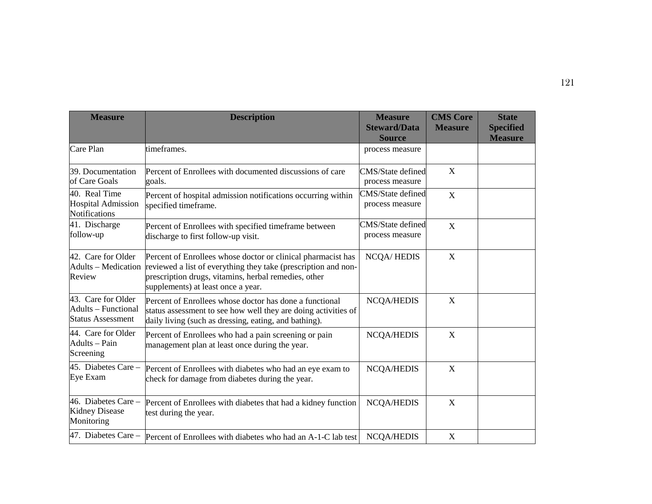| <b>Measure</b>                                                               | <b>Description</b>                                                                                                                                                                                                           | <b>Measure</b><br><b>Steward/Data</b><br><b>Source</b> | <b>CMS Core</b><br><b>Measure</b> | <b>State</b><br><b>Specified</b><br><b>Measure</b> |
|------------------------------------------------------------------------------|------------------------------------------------------------------------------------------------------------------------------------------------------------------------------------------------------------------------------|--------------------------------------------------------|-----------------------------------|----------------------------------------------------|
| Care Plan                                                                    | timeframes.                                                                                                                                                                                                                  | process measure                                        |                                   |                                                    |
| 39. Documentation<br>of Care Goals                                           | Percent of Enrollees with documented discussions of care<br>goals.                                                                                                                                                           | CMS/State defined<br>process measure                   | X                                 |                                                    |
| 40. Real Time<br><b>Hospital Admission</b><br><b>Notifications</b>           | Percent of hospital admission notifications occurring within<br>specified timeframe.                                                                                                                                         | CMS/State defined<br>process measure                   | $\mathbf X$                       |                                                    |
| 41. Discharge<br>follow-up                                                   | Percent of Enrollees with specified timeframe between<br>discharge to first follow-up visit.                                                                                                                                 | CMS/State defined<br>process measure                   | $\mathbf X$                       |                                                    |
| 42. Care for Older<br><b>Adults</b> - Medication<br>Review                   | Percent of Enrollees whose doctor or clinical pharmacist has<br>reviewed a list of everything they take (prescription and non-<br>prescription drugs, vitamins, herbal remedies, other<br>supplements) at least once a year. | <b>NCQA/HEDIS</b>                                      | X                                 |                                                    |
| 43. Care for Older<br><b>Adults</b> – Functional<br><b>Status Assessment</b> | Percent of Enrollees whose doctor has done a functional<br>status assessment to see how well they are doing activities of<br>daily living (such as dressing, eating, and bathing).                                           | <b>NCQA/HEDIS</b>                                      | $\mathbf X$                       |                                                    |
| 44. Care for Older<br>Adults - Pain<br>Screening                             | Percent of Enrollees who had a pain screening or pain<br>management plan at least once during the year.                                                                                                                      | <b>NCQA/HEDIS</b>                                      | X                                 |                                                    |
| 45. Diabetes Care -<br>Eye Exam                                              | Percent of Enrollees with diabetes who had an eye exam to<br>check for damage from diabetes during the year.                                                                                                                 | <b>NCQA/HEDIS</b>                                      | X                                 |                                                    |
| 46. Diabetes Care -<br><b>Kidney Disease</b><br>Monitoring                   | Percent of Enrollees with diabetes that had a kidney function<br>test during the year.                                                                                                                                       | <b>NCQA/HEDIS</b>                                      | X                                 |                                                    |
|                                                                              | 47. Diabetes Care – Percent of Enrollees with diabetes who had an A-1-C lab test NCQA/HEDIS                                                                                                                                  |                                                        | X                                 |                                                    |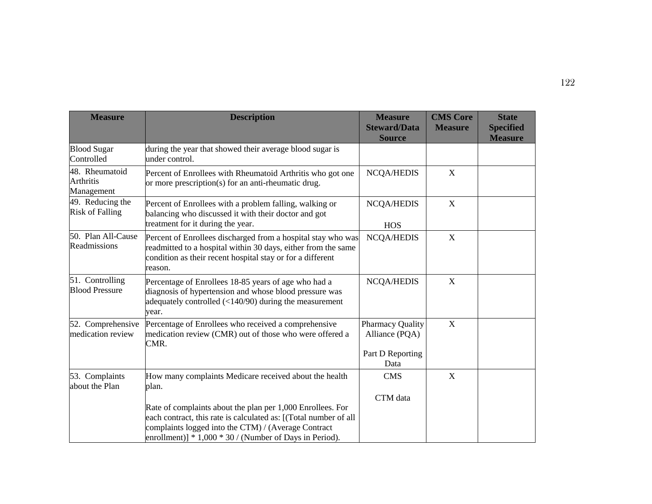| <b>Measure</b>                                   | <b>Description</b>                                                                                                                                                                                                                                                                                                    | <b>Measure</b><br><b>Steward/Data</b><br><b>Source</b>                | <b>CMS Core</b><br><b>Measure</b> | <b>State</b><br><b>Specified</b><br><b>Measure</b> |
|--------------------------------------------------|-----------------------------------------------------------------------------------------------------------------------------------------------------------------------------------------------------------------------------------------------------------------------------------------------------------------------|-----------------------------------------------------------------------|-----------------------------------|----------------------------------------------------|
| <b>Blood Sugar</b><br>Controlled                 | during the year that showed their average blood sugar is<br>under control.                                                                                                                                                                                                                                            |                                                                       |                                   |                                                    |
| 48. Rheumatoid<br><b>Arthritis</b><br>Management | Percent of Enrollees with Rheumatoid Arthritis who got one<br>or more prescription(s) for an anti-rheumatic drug.                                                                                                                                                                                                     | <b>NCQA/HEDIS</b>                                                     | $\mathbf X$                       |                                                    |
| 49. Reducing the<br><b>Risk of Falling</b>       | Percent of Enrollees with a problem falling, walking or<br>balancing who discussed it with their doctor and got<br>treatment for it during the year.                                                                                                                                                                  | <b>NCQA/HEDIS</b><br><b>HOS</b>                                       | X                                 |                                                    |
| 50. Plan All-Cause<br>Readmissions               | Percent of Enrollees discharged from a hospital stay who was<br>readmitted to a hospital within 30 days, either from the same<br>condition as their recent hospital stay or for a different<br>reason.                                                                                                                | <b>NCQA/HEDIS</b>                                                     | X                                 |                                                    |
| 51. Controlling<br><b>Blood Pressure</b>         | Percentage of Enrollees 18-85 years of age who had a<br>diagnosis of hypertension and whose blood pressure was<br>adequately controlled $\left($ < 140/90) during the measurement<br>year.                                                                                                                            | <b>NCQA/HEDIS</b>                                                     | $\mathbf X$                       |                                                    |
| 52. Comprehensive<br>medication review           | Percentage of Enrollees who received a comprehensive<br>medication review (CMR) out of those who were offered a<br>CMR.                                                                                                                                                                                               | <b>Pharmacy Quality</b><br>Alliance (PQA)<br>Part D Reporting<br>Data | $\mathbf X$                       |                                                    |
| 53. Complaints<br>about the Plan                 | How many complaints Medicare received about the health<br>plan.<br>Rate of complaints about the plan per 1,000 Enrollees. For<br>each contract, this rate is calculated as: [(Total number of all<br>complaints logged into the CTM) / (Average Contract<br>enrollment)] $* 1,000 * 30 /$ (Number of Days in Period). | <b>CMS</b><br>CTM data                                                | $\mathbf X$                       |                                                    |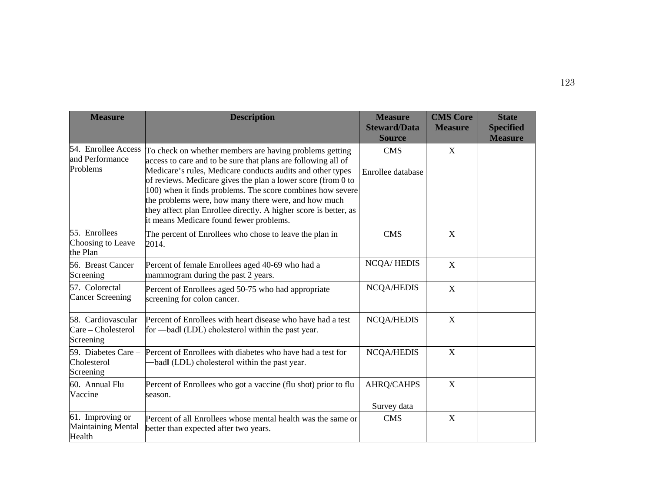| <b>Measure</b>                                        | <b>Description</b>                                                                                                                                                                                                                                                                                                                                                                                                                                                                          | <b>Measure</b><br><b>Steward/Data</b><br><b>Source</b> | <b>CMS Core</b><br><b>Measure</b> | <b>State</b><br><b>Specified</b><br><b>Measure</b> |
|-------------------------------------------------------|---------------------------------------------------------------------------------------------------------------------------------------------------------------------------------------------------------------------------------------------------------------------------------------------------------------------------------------------------------------------------------------------------------------------------------------------------------------------------------------------|--------------------------------------------------------|-----------------------------------|----------------------------------------------------|
| 54. Enrollee Access<br>and Performance<br>Problems    | To check on whether members are having problems getting<br>access to care and to be sure that plans are following all of<br>Medicare's rules, Medicare conducts audits and other types<br>of reviews. Medicare gives the plan a lower score (from 0 to<br>100) when it finds problems. The score combines how severe<br>the problems were, how many there were, and how much<br>they affect plan Enrollee directly. A higher score is better, as<br>it means Medicare found fewer problems. | <b>CMS</b><br>Enrollee database                        | X                                 |                                                    |
| 55. Enrollees<br>Choosing to Leave<br>the Plan        | The percent of Enrollees who chose to leave the plan in<br>2014.                                                                                                                                                                                                                                                                                                                                                                                                                            | <b>CMS</b>                                             | $\boldsymbol{\mathrm{X}}$         |                                                    |
| 56. Breast Cancer<br>Screening                        | Percent of female Enrollees aged 40-69 who had a<br>mammogram during the past 2 years.                                                                                                                                                                                                                                                                                                                                                                                                      | <b>NCQA/HEDIS</b>                                      | $\boldsymbol{\mathrm{X}}$         |                                                    |
| 57. Colorectal<br><b>Cancer Screening</b>             | Percent of Enrollees aged 50-75 who had appropriate<br>screening for colon cancer.                                                                                                                                                                                                                                                                                                                                                                                                          | <b>NCQA/HEDIS</b>                                      | X                                 |                                                    |
| 58. Cardiovascular<br>Care - Cholesterol<br>Screening | Percent of Enrollees with heart disease who have had a test<br>for —badl (LDL) cholesterol within the past year.                                                                                                                                                                                                                                                                                                                                                                            | <b>NCQA/HEDIS</b>                                      | X                                 |                                                    |
| Cholesterol<br>Screening                              | 59. Diabetes Care – Percent of Enrollees with diabetes who have had a test for<br>-badl (LDL) cholesterol within the past year.                                                                                                                                                                                                                                                                                                                                                             | <b>NCQA/HEDIS</b>                                      | X                                 |                                                    |
| 60. Annual Flu<br>Vaccine                             | Percent of Enrollees who got a vaccine (flu shot) prior to flu<br>season.                                                                                                                                                                                                                                                                                                                                                                                                                   | <b>AHRQ/CAHPS</b><br>Survey data                       | $\mathbf X$                       |                                                    |
| 61. Improving or<br>Maintaining Mental<br>Health      | Percent of all Enrollees whose mental health was the same or<br>better than expected after two years.                                                                                                                                                                                                                                                                                                                                                                                       | <b>CMS</b>                                             | X                                 |                                                    |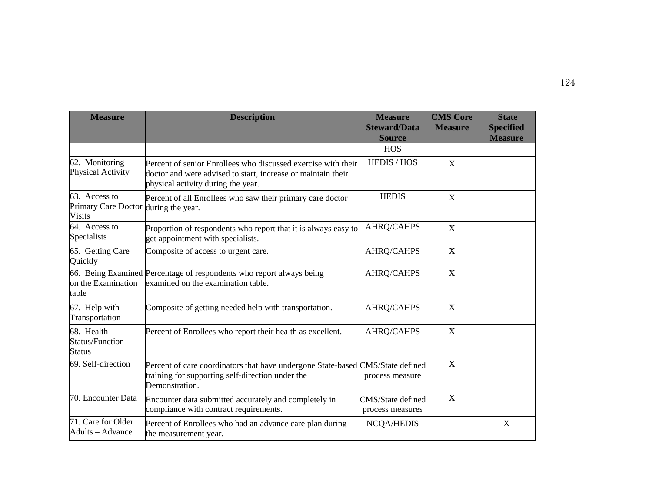| <b>Measure</b>                                        | <b>Description</b>                                                                                                                                                  | <b>Measure</b><br><b>Steward/Data</b><br><b>Source</b> | <b>CMS Core</b><br><b>Measure</b> | <b>State</b><br><b>Specified</b><br><b>Measure</b> |
|-------------------------------------------------------|---------------------------------------------------------------------------------------------------------------------------------------------------------------------|--------------------------------------------------------|-----------------------------------|----------------------------------------------------|
|                                                       |                                                                                                                                                                     | <b>HOS</b>                                             |                                   |                                                    |
| 62. Monitoring<br><b>Physical Activity</b>            | Percent of senior Enrollees who discussed exercise with their<br>doctor and were advised to start, increase or maintain their<br>physical activity during the year. | <b>HEDIS / HOS</b>                                     | X                                 |                                                    |
| 63. Access to<br>Primary Care Doctor<br><b>Visits</b> | Percent of all Enrollees who saw their primary care doctor<br>during the year.                                                                                      | <b>HEDIS</b>                                           | X                                 |                                                    |
| 64. Access to<br>Specialists                          | Proportion of respondents who report that it is always easy to<br>get appointment with specialists.                                                                 | AHRQ/CAHPS                                             | X                                 |                                                    |
| 65. Getting Care<br>Quickly                           | Composite of access to urgent care.                                                                                                                                 | <b>AHRQ/CAHPS</b>                                      | $\mathbf X$                       |                                                    |
| on the Examination<br>table                           | 66. Being Examined Percentage of respondents who report always being<br>examined on the examination table.                                                          | <b>AHRQ/CAHPS</b>                                      | X                                 |                                                    |
| 67. Help with<br>Transportation                       | Composite of getting needed help with transportation.                                                                                                               | <b>AHRQ/CAHPS</b>                                      | X                                 |                                                    |
| 68. Health<br><b>Status/Function</b><br><b>Status</b> | Percent of Enrollees who report their health as excellent.                                                                                                          | AHRQ/CAHPS                                             | X                                 |                                                    |
| 69. Self-direction                                    | Percent of care coordinators that have undergone State-based CMS/State defined<br>training for supporting self-direction under the<br>Demonstration.                | process measure                                        | $\mathbf X$                       |                                                    |
| 70. Encounter Data                                    | Encounter data submitted accurately and completely in<br>compliance with contract requirements.                                                                     | CMS/State defined<br>process measures                  | X                                 |                                                    |
| 71. Care for Older<br>Adults - Advance                | Percent of Enrollees who had an advance care plan during<br>the measurement year.                                                                                   | <b>NCQA/HEDIS</b>                                      |                                   | X                                                  |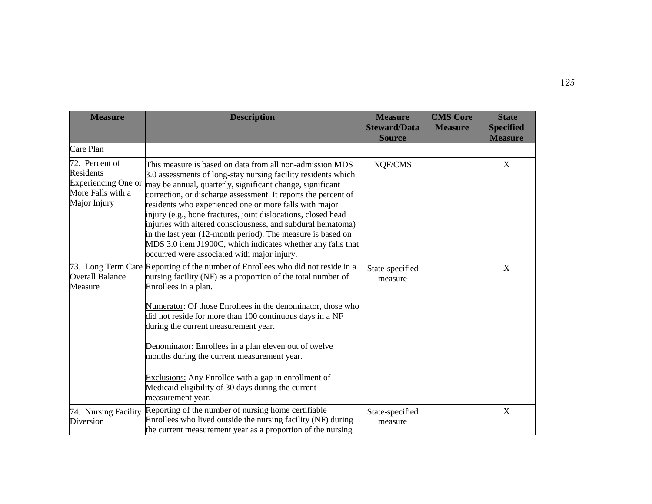| <b>Measure</b>                                                                          | <b>Description</b>                                                                                                                                                                                                                                                                                                                                                                                                                                                                                                                                                                                                              | <b>Measure</b><br><b>Steward/Data</b><br><b>Source</b> | <b>CMS Core</b><br><b>Measure</b> | <b>State</b><br><b>Specified</b><br><b>Measure</b> |
|-----------------------------------------------------------------------------------------|---------------------------------------------------------------------------------------------------------------------------------------------------------------------------------------------------------------------------------------------------------------------------------------------------------------------------------------------------------------------------------------------------------------------------------------------------------------------------------------------------------------------------------------------------------------------------------------------------------------------------------|--------------------------------------------------------|-----------------------------------|----------------------------------------------------|
| Care Plan                                                                               |                                                                                                                                                                                                                                                                                                                                                                                                                                                                                                                                                                                                                                 |                                                        |                                   |                                                    |
| 72. Percent of<br>Residents<br>Experiencing One or<br>More Falls with a<br>Major Injury | This measure is based on data from all non-admission MDS<br>3.0 assessments of long-stay nursing facility residents which<br>may be annual, quarterly, significant change, significant<br>correction, or discharge assessment. It reports the percent of<br>residents who experienced one or more falls with major<br>injury (e.g., bone fractures, joint dislocations, closed head<br>injuries with altered consciousness, and subdural hematoma)<br>in the last year (12-month period). The measure is based on<br>MDS 3.0 item J1900C, which indicates whether any falls that<br>occurred were associated with major injury. | NQF/CMS                                                |                                   | $\mathbf X$                                        |
| <b>Overall Balance</b><br>Measure                                                       | 73. Long Term Care Reporting of the number of Enrollees who did not reside in a<br>nursing facility (NF) as a proportion of the total number of<br>Enrollees in a plan.<br>Numerator: Of those Enrollees in the denominator, those who<br>did not reside for more than 100 continuous days in a NF<br>during the current measurement year.<br>Denominator: Enrollees in a plan eleven out of twelve<br>months during the current measurement year.<br>Exclusions: Any Enrollee with a gap in enrollment of<br>Medicaid eligibility of 30 days during the current<br>measurement year.                                           | State-specified<br>measure                             |                                   | X                                                  |
| 74. Nursing Facility<br>Diversion                                                       | Reporting of the number of nursing home certifiable<br>Enrollees who lived outside the nursing facility (NF) during<br>the current measurement year as a proportion of the nursing                                                                                                                                                                                                                                                                                                                                                                                                                                              | State-specified<br>measure                             |                                   | X                                                  |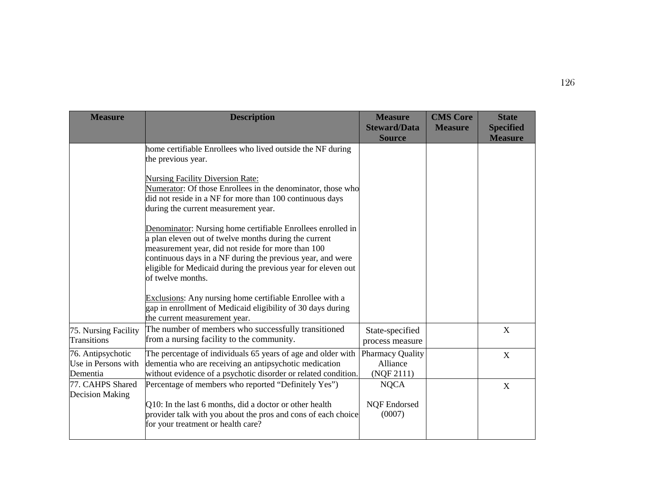| <b>Measure</b>                                       | <b>Description</b>                                                                                                                                                                                                                                                                                                             | <b>Measure</b><br><b>Steward/Data</b><br><b>Source</b> | <b>CMS Core</b><br><b>Measure</b> | <b>State</b><br><b>Specified</b><br><b>Measure</b> |
|------------------------------------------------------|--------------------------------------------------------------------------------------------------------------------------------------------------------------------------------------------------------------------------------------------------------------------------------------------------------------------------------|--------------------------------------------------------|-----------------------------------|----------------------------------------------------|
|                                                      | home certifiable Enrollees who lived outside the NF during<br>the previous year.                                                                                                                                                                                                                                               |                                                        |                                   |                                                    |
|                                                      | <b>Nursing Facility Diversion Rate:</b><br>Numerator: Of those Enrollees in the denominator, those who<br>did not reside in a NF for more than 100 continuous days<br>during the current measurement year.                                                                                                                     |                                                        |                                   |                                                    |
|                                                      | Denominator: Nursing home certifiable Enrollees enrolled in<br>a plan eleven out of twelve months during the current<br>measurement year, did not reside for more than 100<br>continuous days in a NF during the previous year, and were<br>eligible for Medicaid during the previous year for eleven out<br>of twelve months. |                                                        |                                   |                                                    |
|                                                      | Exclusions: Any nursing home certifiable Enrollee with a<br>gap in enrollment of Medicaid eligibility of 30 days during<br>the current measurement year.                                                                                                                                                                       |                                                        |                                   |                                                    |
| 75. Nursing Facility<br>Transitions                  | The number of members who successfully transitioned<br>from a nursing facility to the community.                                                                                                                                                                                                                               | State-specified<br>process measure                     |                                   | X                                                  |
| 76. Antipsychotic<br>Use in Persons with<br>Dementia | The percentage of individuals 65 years of age and older with<br>dementia who are receiving an antipsychotic medication<br>without evidence of a psychotic disorder or related condition.                                                                                                                                       | <b>Pharmacy Quality</b><br>Alliance<br>(NQF 2111)      |                                   | X                                                  |
| 77. CAHPS Shared<br><b>Decision Making</b>           | Percentage of members who reported "Definitely Yes")<br>Q10: In the last 6 months, did a doctor or other health<br>provider talk with you about the pros and cons of each choice<br>for your treatment or health care?                                                                                                         | <b>NQCA</b><br>NQF Endorsed<br>(0007)                  |                                   | X                                                  |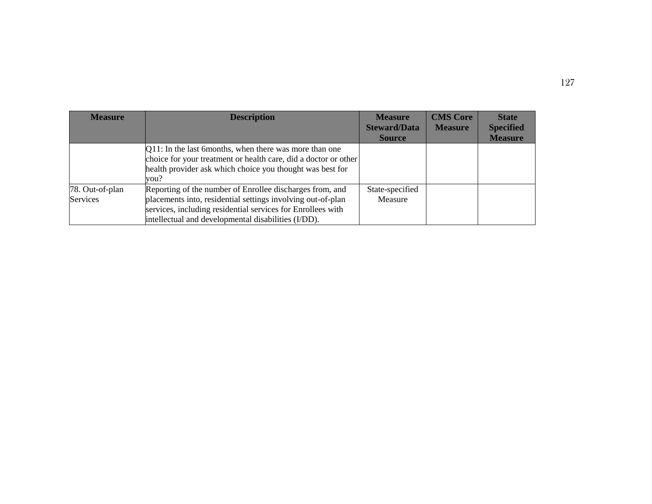| <b>Measure</b>                     | <b>Description</b>                                                                                                                                                                                                                            | <b>Measure</b><br><b>Steward/Data</b><br><b>Source</b> | <b>CMS Core</b><br><b>Measure</b> | <b>State</b><br><b>Specified</b><br><b>Measure</b> |
|------------------------------------|-----------------------------------------------------------------------------------------------------------------------------------------------------------------------------------------------------------------------------------------------|--------------------------------------------------------|-----------------------------------|----------------------------------------------------|
|                                    | Q11: In the last 6months, when there was more than one<br>choice for your treatment or health care, did a doctor or other<br>health provider ask which choice you thought was best for<br>vou?                                                |                                                        |                                   |                                                    |
| 78. Out-of-plan<br><b>Services</b> | Reporting of the number of Enrollee discharges from, and<br>placements into, residential settings involving out-of-plan<br>services, including residential services for Enrollees with<br>intellectual and developmental disabilities (I/DD). | State-specified<br>Measure                             |                                   |                                                    |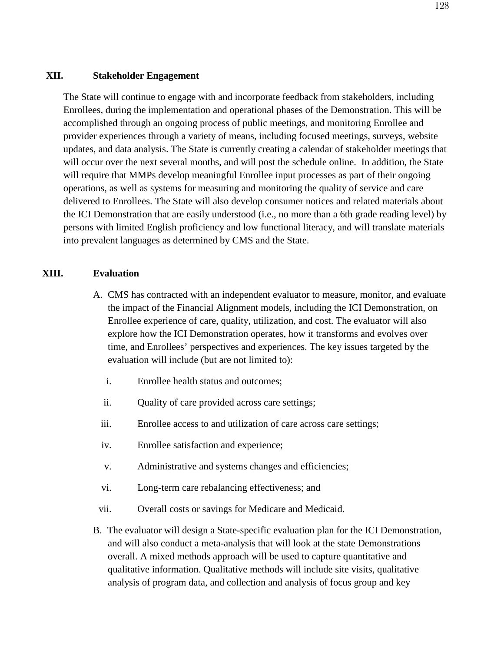## **XII. Stakeholder Engagement**

The State will continue to engage with and incorporate feedback from stakeholders, including Enrollees, during the implementation and operational phases of the Demonstration. This will be accomplished through an ongoing process of public meetings, and monitoring Enrollee and provider experiences through a variety of means, including focused meetings, surveys, website updates, and data analysis. The State is currently creating a calendar of stakeholder meetings that will occur over the next several months, and will post the schedule online. In addition, the State will require that MMPs develop meaningful Enrollee input processes as part of their ongoing operations, as well as systems for measuring and monitoring the quality of service and care delivered to Enrollees. The State will also develop consumer notices and related materials about the ICI Demonstration that are easily understood (i.e., no more than a 6th grade reading level) by persons with limited English proficiency and low functional literacy, and will translate materials into prevalent languages as determined by CMS and the State.

## **XIII. Evaluation**

- A. CMS has contracted with an independent evaluator to measure, monitor, and evaluate the impact of the Financial Alignment models, including the ICI Demonstration, on Enrollee experience of care, quality, utilization, and cost. The evaluator will also explore how the ICI Demonstration operates, how it transforms and evolves over time, and Enrollees' perspectives and experiences. The key issues targeted by the evaluation will include (but are not limited to):
	- i. Enrollee health status and outcomes;
	- ii. Quality of care provided across care settings;
	- iii. Enrollee access to and utilization of care across care settings;
	- iv. Enrollee satisfaction and experience;
	- v. Administrative and systems changes and efficiencies;
	- vi. Long-term care rebalancing effectiveness; and
- vii. Overall costs or savings for Medicare and Medicaid.
- B. The evaluator will design a State-specific evaluation plan for the ICI Demonstration, and will also conduct a meta-analysis that will look at the state Demonstrations overall. A mixed methods approach will be used to capture quantitative and qualitative information. Qualitative methods will include site visits, qualitative analysis of program data, and collection and analysis of focus group and key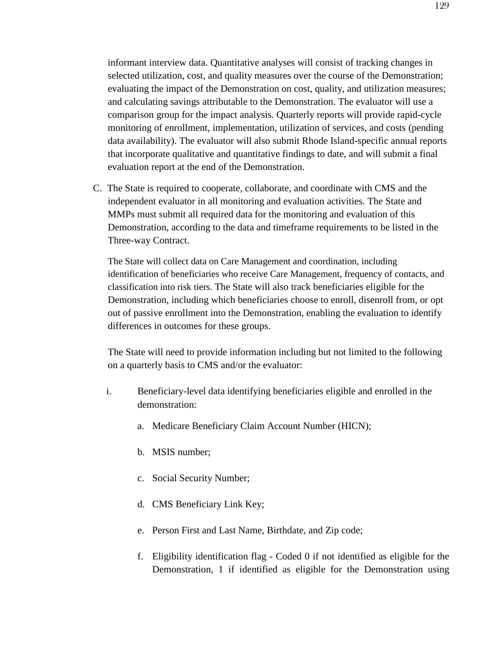informant interview data. Quantitative analyses will consist of tracking changes in selected utilization, cost, and quality measures over the course of the Demonstration; evaluating the impact of the Demonstration on cost, quality, and utilization measures; and calculating savings attributable to the Demonstration. The evaluator will use a comparison group for the impact analysis. Quarterly reports will provide rapid-cycle monitoring of enrollment, implementation, utilization of services, and costs (pending data availability). The evaluator will also submit Rhode Island-specific annual reports that incorporate qualitative and quantitative findings to date, and will submit a final evaluation report at the end of the Demonstration.

C. The State is required to cooperate, collaborate, and coordinate with CMS and the independent evaluator in all monitoring and evaluation activities. The State and MMPs must submit all required data for the monitoring and evaluation of this Demonstration, according to the data and timeframe requirements to be listed in the Three-way Contract.

The State will collect data on Care Management and coordination, including identification of beneficiaries who receive Care Management, frequency of contacts, and classification into risk tiers. The State will also track beneficiaries eligible for the Demonstration, including which beneficiaries choose to enroll, disenroll from, or opt out of passive enrollment into the Demonstration, enabling the evaluation to identify differences in outcomes for these groups.

The State will need to provide information including but not limited to the following on a quarterly basis to CMS and/or the evaluator:

- i. Beneficiary-level data identifying beneficiaries eligible and enrolled in the demonstration:
	- a. Medicare Beneficiary Claim Account Number (HICN);
	- b. MSIS number;
	- c. Social Security Number;
	- d. CMS Beneficiary Link Key;
	- e. Person First and Last Name, Birthdate, and Zip code;
	- f. Eligibility identification flag Coded 0 if not identified as eligible for the Demonstration, 1 if identified as eligible for the Demonstration using